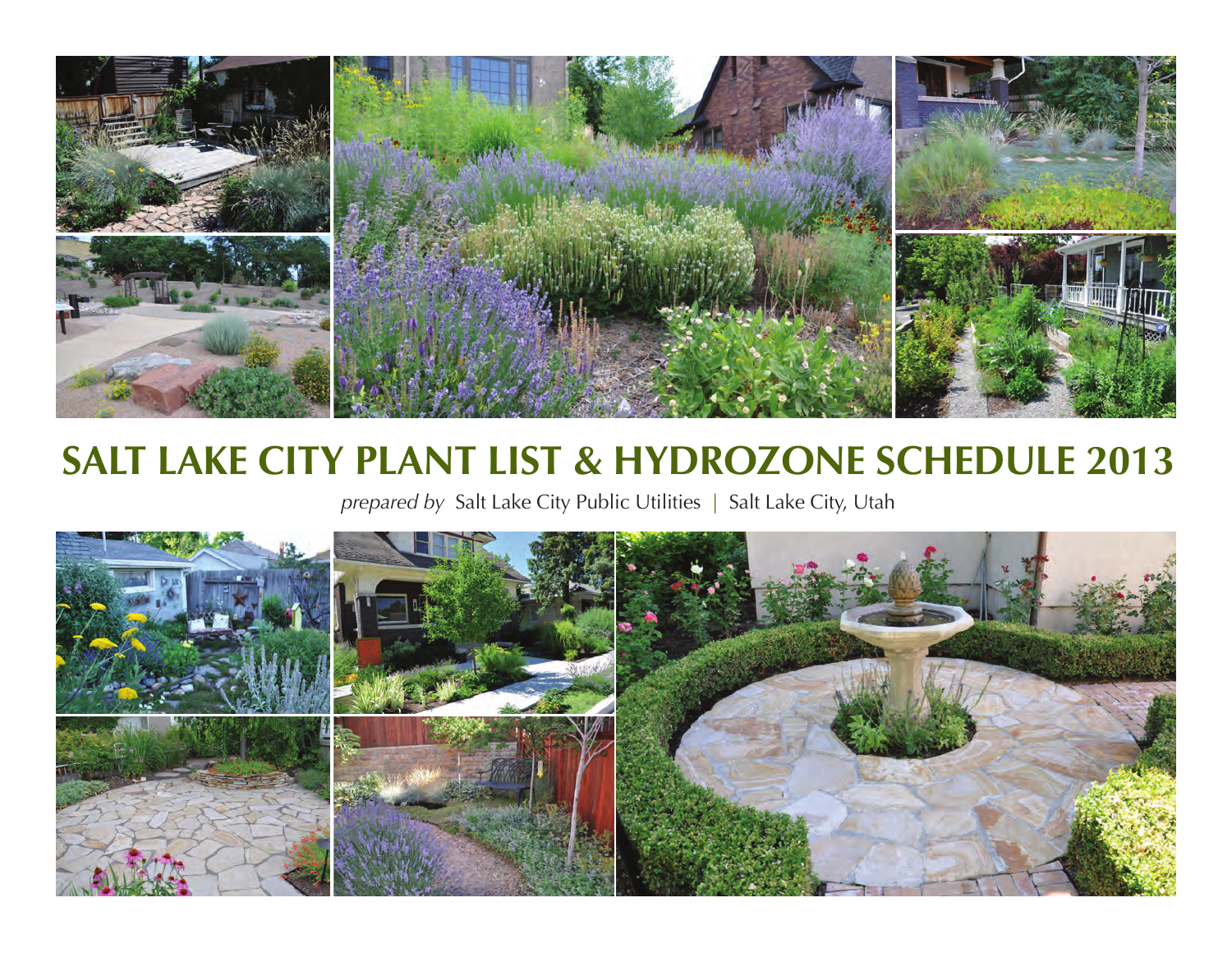

# **SALT LAKE CITY PLANT LIST & HYDROZONE SCHEDULE 2013**

*prepared by* Salt Lake City Public Utilities | Salt Lake City, Utah

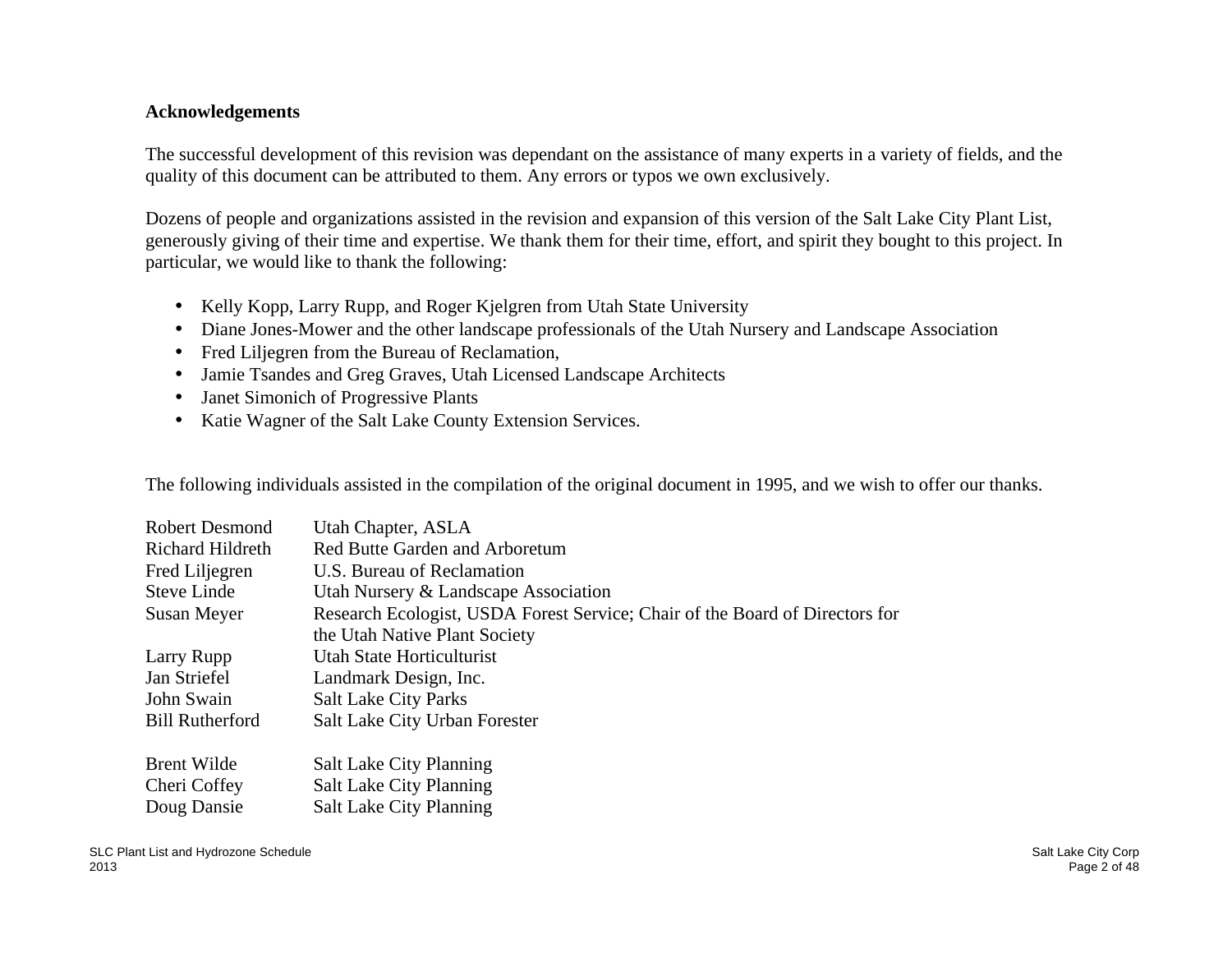#### **Acknowledgements**

The successful development of this revision was dependant on the assistance of many experts in a variety of fields, and the quality of this document can be attributed to them. Any errors or typos we own exclusively.

Dozens of people and organizations assisted in the revision and expansion of this version of the Salt Lake City Plant List, generously giving of their time and expertise. We thank them for their time, effort, and spirit they bought to this project. In particular, we would like to thank the following:

- Kelly Kopp, Larry Rupp, and Roger Kjelgren from Utah State University
- Diane Jones-Mower and the other landscape professionals of the Utah Nursery and Landscape Association
- Fred Liljegren from the Bureau of Reclamation,
- Jamie Tsandes and Greg Graves, Utah Licensed Landscape Architects
- Janet Simonich of Progressive Plants
- Katie Wagner of the Salt Lake County Extension Services.

The following individuals assisted in the compilation of the original document in 1995, and we wish to offer our thanks.

| Robert Desmond<br>Richard Hildreth | Utah Chapter, ASLA<br><b>Red Butte Garden and Arboretum</b>                  |
|------------------------------------|------------------------------------------------------------------------------|
| Fred Liljegren                     | U.S. Bureau of Reclamation                                                   |
| <b>Steve Linde</b>                 | Utah Nursery & Landscape Association                                         |
| Susan Meyer                        | Research Ecologist, USDA Forest Service; Chair of the Board of Directors for |
|                                    | the Utah Native Plant Society                                                |
| Larry Rupp                         | <b>Utah State Horticulturist</b>                                             |
| Jan Striefel                       | Landmark Design, Inc.                                                        |
| John Swain                         | <b>Salt Lake City Parks</b>                                                  |
| <b>Bill Rutherford</b>             | Salt Lake City Urban Forester                                                |
| <b>Brent Wilde</b>                 | <b>Salt Lake City Planning</b>                                               |
| Cheri Coffey                       | <b>Salt Lake City Planning</b>                                               |
| Doug Dansie                        | <b>Salt Lake City Planning</b>                                               |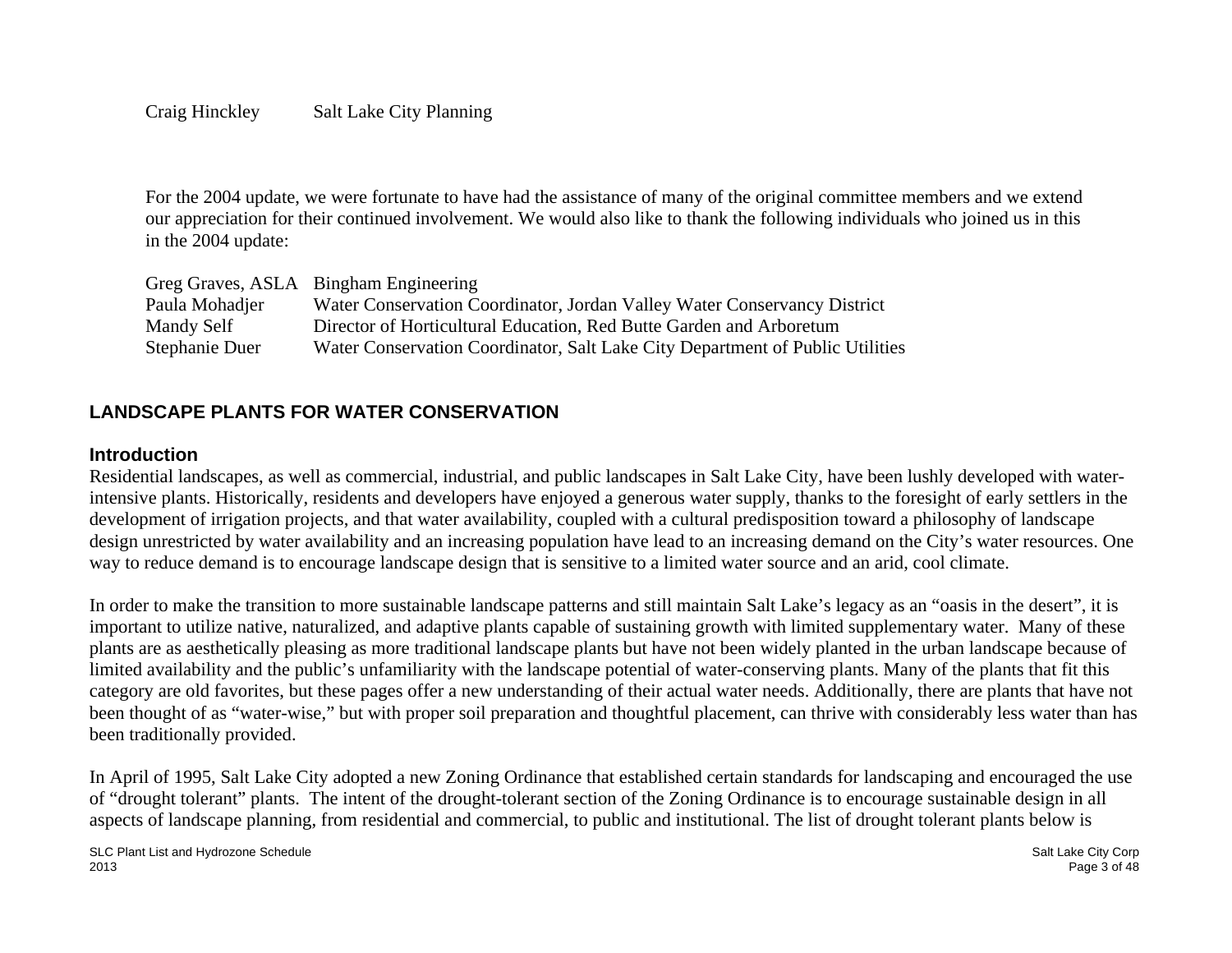#### Craig Hinckley Salt Lake City Planning

For the 2004 update, we were fortunate to have had the assistance of many of the original committee members and we extend our appreciation for their continued involvement. We would also like to thank the following individuals who joined us in this in the 2004 update:

|                | Greg Graves, ASLA Bingham Engineering                                         |
|----------------|-------------------------------------------------------------------------------|
| Paula Mohadjer | Water Conservation Coordinator, Jordan Valley Water Conservancy District      |
| Mandy Self     | Director of Horticultural Education, Red Butte Garden and Arboretum           |
| Stephanie Duer | Water Conservation Coordinator, Salt Lake City Department of Public Utilities |

## **LANDSCAPE PLANTS FOR WATER CONSERVATION**

#### **Introduction**

Residential landscapes, as well as commercial, industrial, and public landscapes in Salt Lake City, have been lushly developed with waterintensive plants. Historically, residents and developers have enjoyed a generous water supply, thanks to the foresight of early settlers in the development of irrigation projects, and that water availability, coupled with a cultural predisposition toward a philosophy of landscape design unrestricted by water availability and an increasing population have lead to an increasing demand on the City's water resources. One way to reduce demand is to encourage landscape design that is sensitive to a limited water source and an arid, cool climate.

In order to make the transition to more sustainable landscape patterns and still maintain Salt Lake's legacy as an "oasis in the desert", it is important to utilize native, naturalized, and adaptive plants capable of sustaining growth with limited supplementary water. Many of these plants are as aesthetically pleasing as more traditional landscape plants but have not been widely planted in the urban landscape because of limited availability and the public's unfamiliarity with the landscape potential of water-conserving plants. Many of the plants that fit this category are old favorites, but these pages offer a new understanding of their actual water needs. Additionally, there are plants that have not been thought of as "water-wise," but with proper soil preparation and thoughtful placement, can thrive with considerably less water than has been traditionally provided.

In April of 1995, Salt Lake City adopted a new Zoning Ordinance that established certain standards for landscaping and encouraged the use of "drought tolerant" plants. The intent of the drought-tolerant section of the Zoning Ordinance is to encourage sustainable design in all aspects of landscape planning, from residential and commercial, to public and institutional. The list of drought tolerant plants below is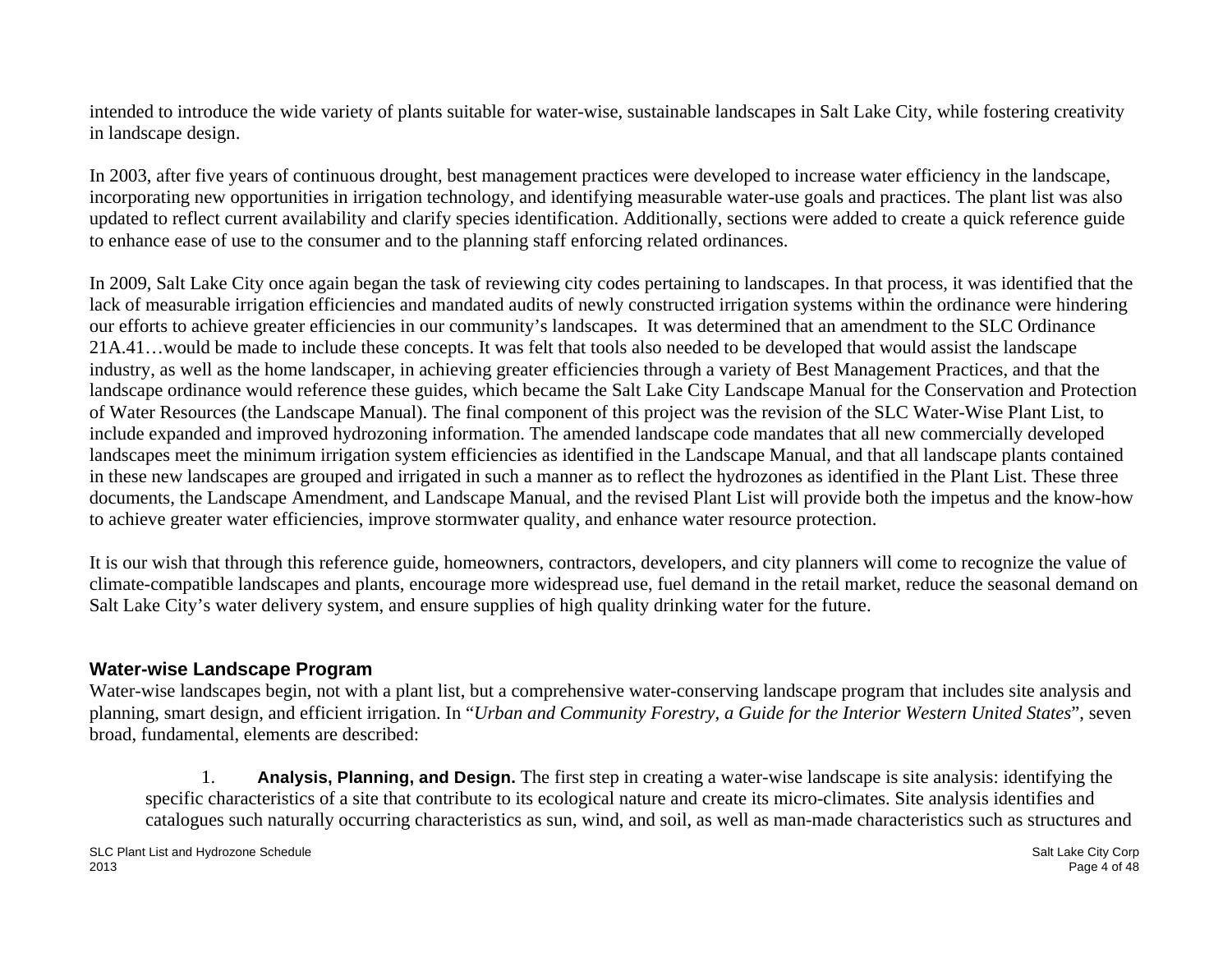intended to introduce the wide variety of plants suitable for water-wise, sustainable landscapes in Salt Lake City, while fostering creativity in landscape design.

In 2003, after five years of continuous drought, best management practices were developed to increase water efficiency in the landscape, incorporating new opportunities in irrigation technology, and identifying measurable water-use goals and practices. The plant list was also updated to reflect current availability and clarify species identification. Additionally, sections were added to create a quick reference guide to enhance ease of use to the consumer and to the planning staff enforcing related ordinances.

In 2009, Salt Lake City once again began the task of reviewing city codes pertaining to landscapes. In that process, it was identified that the lack of measurable irrigation efficiencies and mandated audits of newly constructed irrigation systems within the ordinance were hindering our efforts to achieve greater efficiencies in our community's landscapes. It was determined that an amendment to the SLC Ordinance 21A.41…would be made to include these concepts. It was felt that tools also needed to be developed that would assist the landscape industry, as well as the home landscaper, in achieving greater efficiencies through a variety of Best Management Practices, and that the landscape ordinance would reference these guides, which became the Salt Lake City Landscape Manual for the Conservation and Protection of Water Resources (the Landscape Manual). The final component of this project was the revision of the SLC Water-Wise Plant List, to include expanded and improved hydrozoning information. The amended landscape code mandates that all new commercially developed landscapes meet the minimum irrigation system efficiencies as identified in the Landscape Manual, and that all landscape plants contained in these new landscapes are grouped and irrigated in such a manner as to reflect the hydrozones as identified in the Plant List. These three documents, the Landscape Amendment, and Landscape Manual, and the revised Plant List will provide both the impetus and the know-how to achieve greater water efficiencies, improve stormwater quality, and enhance water resource protection.

It is our wish that through this reference guide, homeowners, contractors, developers, and city planners will come to recognize the value of climate-compatible landscapes and plants, encourage more widespread use, fuel demand in the retail market, reduce the seasonal demand on Salt Lake City's water delivery system, and ensure supplies of high quality drinking water for the future.

# **Water-wise Landscape Program**

Water-wise landscapes begin, not with a plant list, but a comprehensive water-conserving landscape program that includes site analysis and planning, smart design, and efficient irrigation. In "*Urban and Community Forestry, a Guide for the Interior Western United States*", seven broad, fundamental, elements are described:

1. **Analysis, Planning, and Design.** The first step in creating a water-wise landscape is site analysis: identifying the specific characteristics of a site that contribute to its ecological nature and create its micro-climates. Site analysis identifies and catalogues such naturally occurring characteristics as sun, wind, and soil, as well as man-made characteristics such as structures and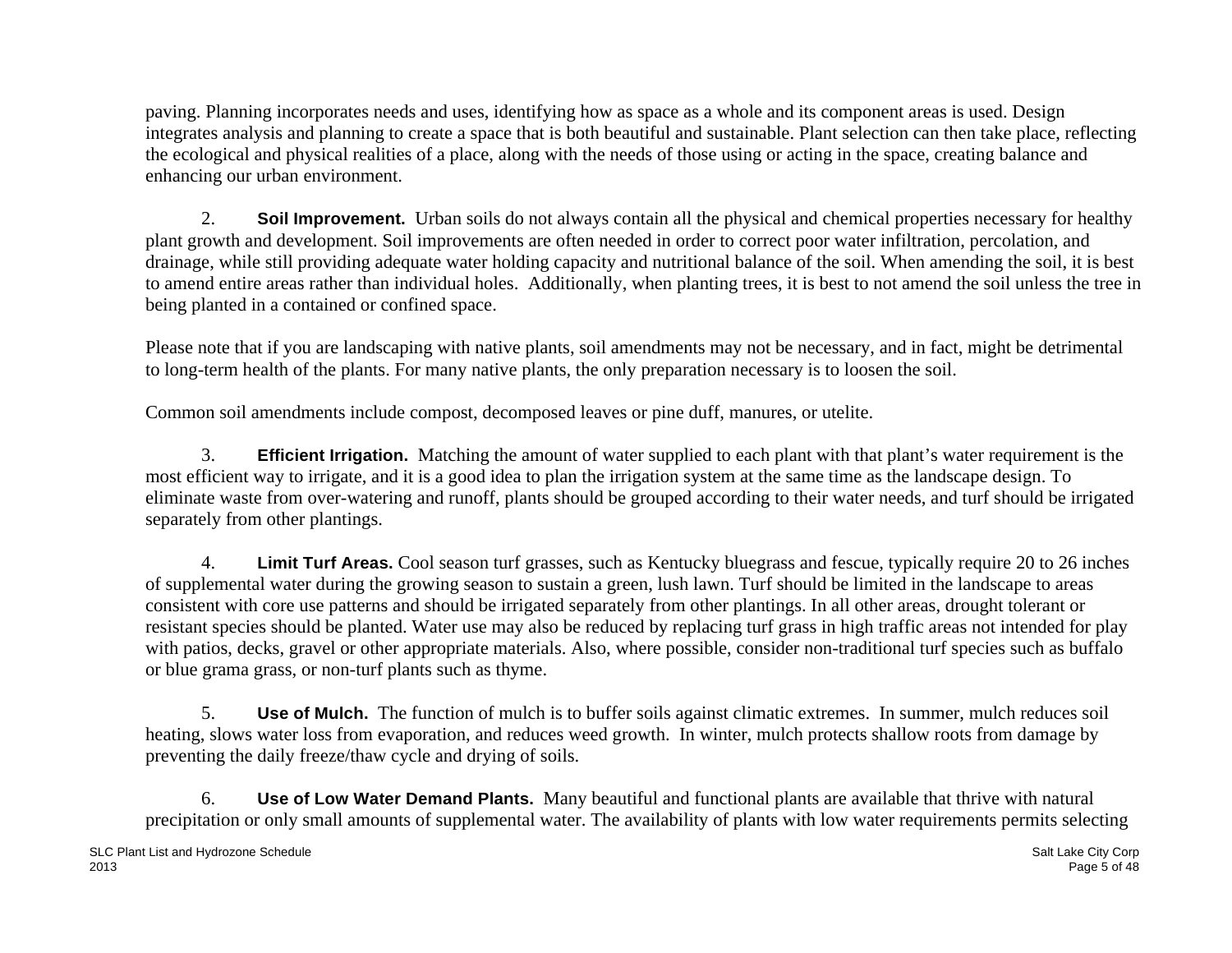paving. Planning incorporates needs and uses, identifying how as space as a whole and its component areas is used. Design integrates analysis and planning to create a space that is both beautiful and sustainable. Plant selection can then take place, reflecting the ecological and physical realities of a place, along with the needs of those using or acting in the space, creating balance and enhancing our urban environment.

2. **Soil Improvement.** Urban soils do not always contain all the physical and chemical properties necessary for healthy plant growth and development. Soil improvements are often needed in order to correct poor water infiltration, percolation, and drainage, while still providing adequate water holding capacity and nutritional balance of the soil. When amending the soil, it is best to amend entire areas rather than individual holes. Additionally, when planting trees, it is best to not amend the soil unless the tree in being planted in a contained or confined space.

Please note that if you are landscaping with native plants, soil amendments may not be necessary, and in fact, might be detrimental to long-term health of the plants. For many native plants, the only preparation necessary is to loosen the soil.

Common soil amendments include compost, decomposed leaves or pine duff, manures, or utelite.

3. **Efficient Irrigation.** Matching the amount of water supplied to each plant with that plant's water requirement is the most efficient way to irrigate, and it is a good idea to plan the irrigation system at the same time as the landscape design. To eliminate waste from over-watering and runoff, plants should be grouped according to their water needs, and turf should be irrigated separately from other plantings.

4. **Limit Turf Areas.** Cool season turf grasses, such as Kentucky bluegrass and fescue, typically require 20 to 26 inches of supplemental water during the growing season to sustain a green, lush lawn. Turf should be limited in the landscape to areas consistent with core use patterns and should be irrigated separately from other plantings. In all other areas, drought tolerant or resistant species should be planted. Water use may also be reduced by replacing turf grass in high traffic areas not intended for play with patios, decks, gravel or other appropriate materials. Also, where possible, consider non-traditional turf species such as buffalo or blue grama grass, or non-turf plants such as thyme.

5. **Use of Mulch.** The function of mulch is to buffer soils against climatic extremes. In summer, mulch reduces soil heating, slows water loss from evaporation, and reduces weed growth. In winter, mulch protects shallow roots from damage by preventing the daily freeze/thaw cycle and drying of soils.

6. **Use of Low Water Demand Plants.** Many beautiful and functional plants are available that thrive with natural precipitation or only small amounts of supplemental water. The availability of plants with low water requirements permits selecting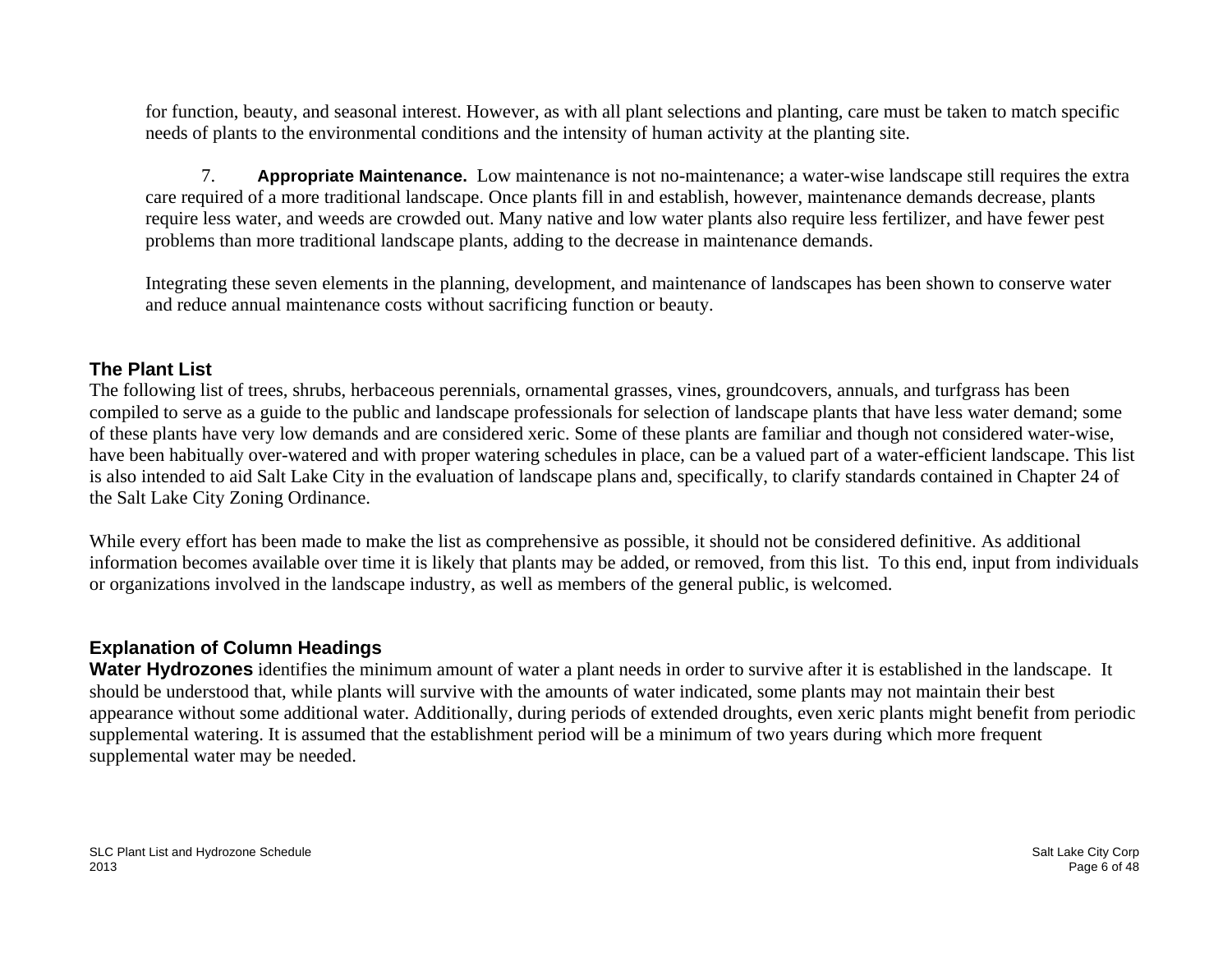for function, beauty, and seasonal interest. However, as with all plant selections and planting, care must be taken to match specific needs of plants to the environmental conditions and the intensity of human activity at the planting site.

7. **Appropriate Maintenance.** Low maintenance is not no-maintenance; a water-wise landscape still requires the extra care required of a more traditional landscape. Once plants fill in and establish, however, maintenance demands decrease, plants require less water, and weeds are crowded out. Many native and low water plants also require less fertilizer, and have fewer pest problems than more traditional landscape plants, adding to the decrease in maintenance demands.

Integrating these seven elements in the planning, development, and maintenance of landscapes has been shown to conserve water and reduce annual maintenance costs without sacrificing function or beauty.

# **The Plant List**

The following list of trees, shrubs, herbaceous perennials, ornamental grasses, vines, groundcovers, annuals, and turfgrass has been compiled to serve as a guide to the public and landscape professionals for selection of landscape plants that have less water demand; some of these plants have very low demands and are considered xeric. Some of these plants are familiar and though not considered water-wise, have been habitually over-watered and with proper watering schedules in place, can be a valued part of a water-efficient landscape. This list is also intended to aid Salt Lake City in the evaluation of landscape plans and, specifically, to clarify standards contained in Chapter 24 of the Salt Lake City Zoning Ordinance.

While every effort has been made to make the list as comprehensive as possible, it should not be considered definitive. As additional information becomes available over time it is likely that plants may be added, or removed, from this list. To this end, input from individuals or organizations involved in the landscape industry, as well as members of the general public, is welcomed.

# **Explanation of Column Headings**

**Water Hydrozones** identifies the minimum amount of water a plant needs in order to survive after it is established in the landscape. It should be understood that, while plants will survive with the amounts of water indicated, some plants may not maintain their best appearance without some additional water. Additionally, during periods of extended droughts, even xeric plants might benefit from periodic supplemental watering. It is assumed that the establishment period will be a minimum of two years during which more frequent supplemental water may be needed.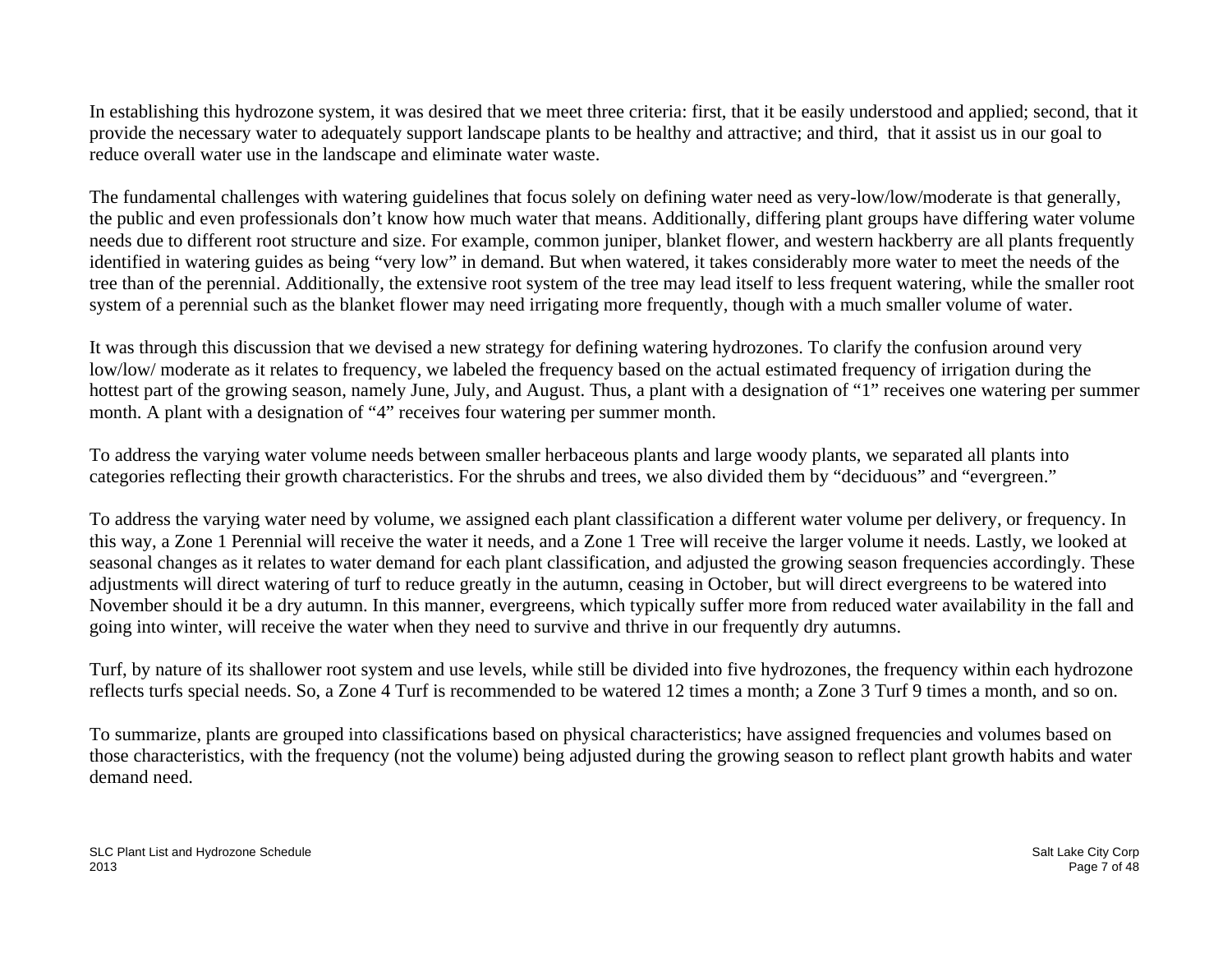In establishing this hydrozone system, it was desired that we meet three criteria: first, that it be easily understood and applied; second, that it provide the necessary water to adequately support landscape plants to be healthy and attractive; and third, that it assist us in our goal to reduce overall water use in the landscape and eliminate water waste.

The fundamental challenges with watering guidelines that focus solely on defining water need as very-low/low/moderate is that generally, the public and even professionals don't know how much water that means. Additionally, differing plant groups have differing water volume needs due to different root structure and size. For example, common juniper, blanket flower, and western hackberry are all plants frequently identified in watering guides as being "very low" in demand. But when watered, it takes considerably more water to meet the needs of the tree than of the perennial. Additionally, the extensive root system of the tree may lead itself to less frequent watering, while the smaller root system of a perennial such as the blanket flower may need irrigating more frequently, though with a much smaller volume of water.

It was through this discussion that we devised a new strategy for defining watering hydrozones. To clarify the confusion around very low/low/ moderate as it relates to frequency, we labeled the frequency based on the actual estimated frequency of irrigation during the hottest part of the growing season, namely June, July, and August. Thus, a plant with a designation of "1" receives one watering per summer month. A plant with a designation of "4" receives four watering per summer month.

To address the varying water volume needs between smaller herbaceous plants and large woody plants, we separated all plants into categories reflecting their growth characteristics. For the shrubs and trees, we also divided them by "deciduous" and "evergreen."

To address the varying water need by volume, we assigned each plant classification a different water volume per delivery, or frequency. In this way, a Zone 1 Perennial will receive the water it needs, and a Zone 1 Tree will receive the larger volume it needs. Lastly, we looked at seasonal changes as it relates to water demand for each plant classification, and adjusted the growing season frequencies accordingly. These adjustments will direct watering of turf to reduce greatly in the autumn, ceasing in October, but will direct evergreens to be watered into November should it be a dry autumn. In this manner, evergreens, which typically suffer more from reduced water availability in the fall and going into winter, will receive the water when they need to survive and thrive in our frequently dry autumns.

Turf, by nature of its shallower root system and use levels, while still be divided into five hydrozones, the frequency within each hydrozone reflects turfs special needs. So, a Zone 4 Turf is recommended to be watered 12 times a month; a Zone 3 Turf 9 times a month, and so on.

To summarize, plants are grouped into classifications based on physical characteristics; have assigned frequencies and volumes based on those characteristics, with the frequency (not the volume) being adjusted during the growing season to reflect plant growth habits and water demand need.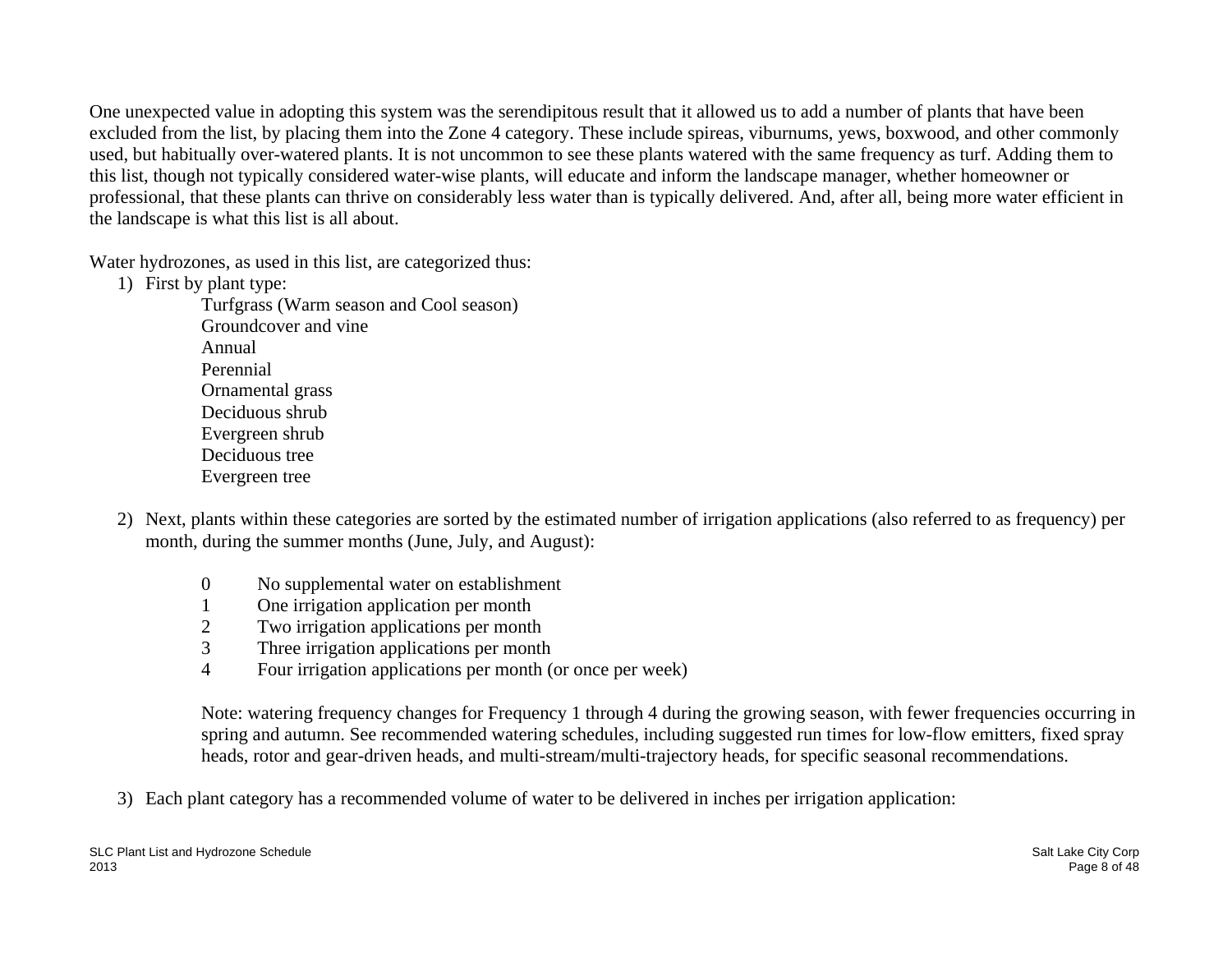One unexpected value in adopting this system was the serendipitous result that it allowed us to add a number of plants that have been excluded from the list, by placing them into the Zone 4 category. These include spireas, viburnums, yews, boxwood, and other commonly used, but habitually over-watered plants. It is not uncommon to see these plants watered with the same frequency as turf. Adding them to this list, though not typically considered water-wise plants, will educate and inform the landscape manager, whether homeowner or professional, that these plants can thrive on considerably less water than is typically delivered. And, after all, being more water efficient in the landscape is what this list is all about.

Water hydrozones, as used in this list, are categorized thus:

1) First by plant type:

Turfgrass (Warm season and Cool season) Groundcover and vine Annual Perennial Ornamental grass Deciduous shrub Evergreen shrub Deciduous tree Evergreen tree

- 2) Next, plants within these categories are sorted by the estimated number of irrigation applications (also referred to as frequency) per month, during the summer months (June, July, and August):
	- 0 No supplemental water on establishment
	- 1 One irrigation application per month
	- 2 Two irrigation applications per month
	- 3 Three irrigation applications per month
	- 4 Four irrigation applications per month (or once per week)

Note: watering frequency changes for Frequency 1 through 4 during the growing season, with fewer frequencies occurring in spring and autumn. See recommended watering schedules, including suggested run times for low-flow emitters, fixed spray heads, rotor and gear-driven heads, and multi-stream/multi-trajectory heads, for specific seasonal recommendations.

3) Each plant category has a recommended volume of water to be delivered in inches per irrigation application: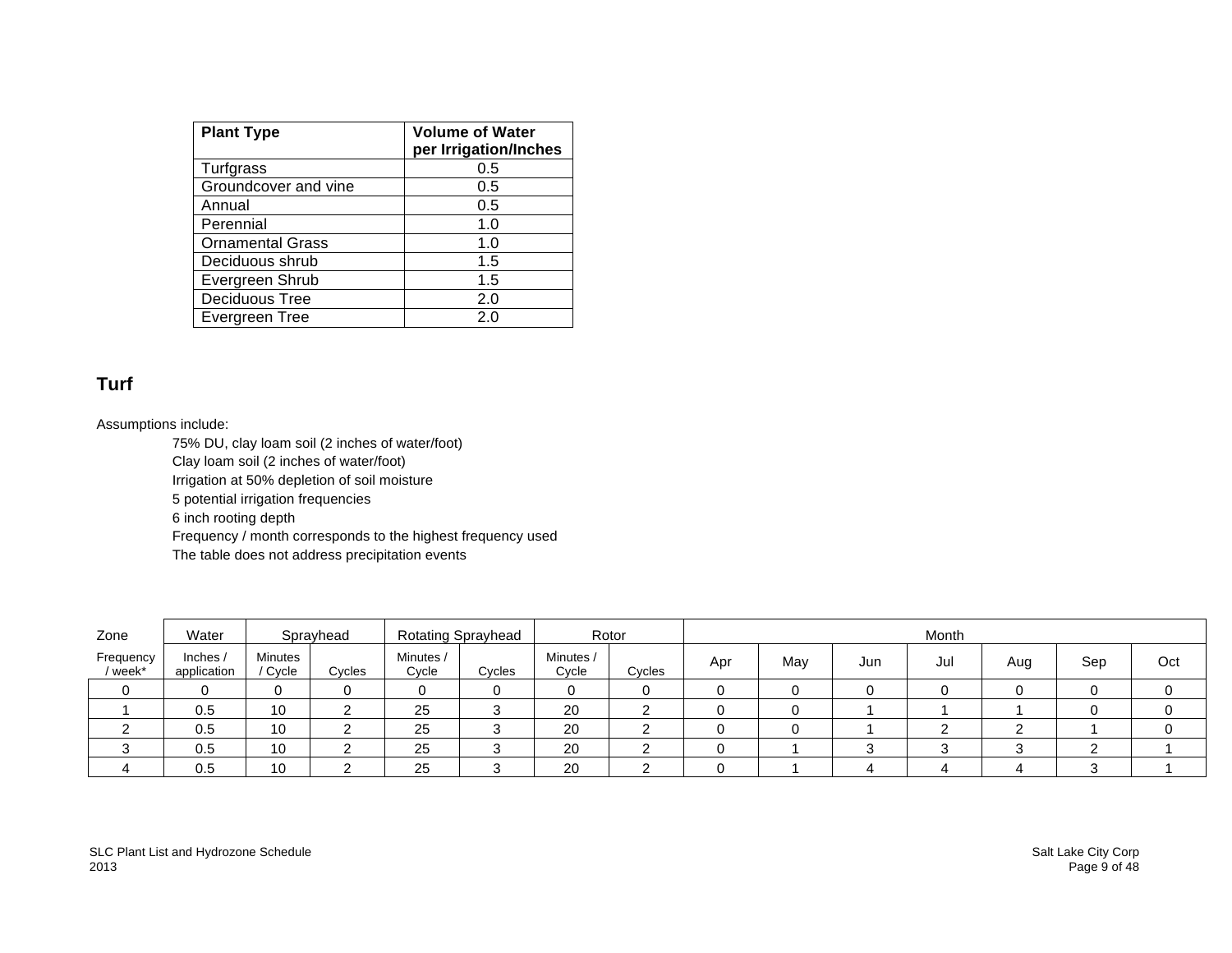| <b>Plant Type</b>       | <b>Volume of Water</b><br>per Irrigation/Inches |
|-------------------------|-------------------------------------------------|
| Turfgrass               | 0.5                                             |
| Groundcover and vine    | 0.5                                             |
| Annual                  | 0.5                                             |
| Perennial               | 1.0                                             |
| <b>Ornamental Grass</b> | 1.0                                             |
| Deciduous shrub         | 1.5                                             |
| Evergreen Shrub         | 1.5                                             |
| Deciduous Tree          | 2.0                                             |
| Evergreen Tree          | 2.0                                             |

# **Turf**

#### Assumptions include:

75% DU, clay loam soil (2 inches of water/foot) Clay loam soil (2 inches of water/foot) Irrigation at 50% depletion of soil moisture 5 potential irrigation frequencies 6 inch rooting depth Frequency / month corresponds to the highest frequency used The table does not address precipitation events

| Zone               | Water                   |                         | Sprayhead |                    | <b>Rotating Sprayhead</b> |                    | Rotor  | Month |     |     |     |     |     |     |
|--------------------|-------------------------|-------------------------|-----------|--------------------|---------------------------|--------------------|--------|-------|-----|-----|-----|-----|-----|-----|
| Frequency<br>week* | Inches /<br>application | <b>Minutes</b><br>Cycle | Cycles    | Minutes /<br>Cycle | Cycles                    | Minutes /<br>Cycle | Cycles | Apr   | May | Jun | Jul | Aug | Sep | Oct |
|                    |                         | 0                       |           |                    |                           |                    |        |       |     |     |     |     |     |     |
|                    | 0.5                     | 10                      |           | 25                 |                           | 20                 |        |       |     |     |     |     |     |     |
|                    | 0.5                     | 10                      |           | 25                 |                           | 20                 |        |       |     |     |     |     |     |     |
|                    | 0.5                     | 10                      |           | 25                 |                           | 20                 |        |       |     |     |     |     |     |     |
|                    | 0.5                     | 10                      |           | 25                 |                           | 20                 |        |       |     |     |     |     |     |     |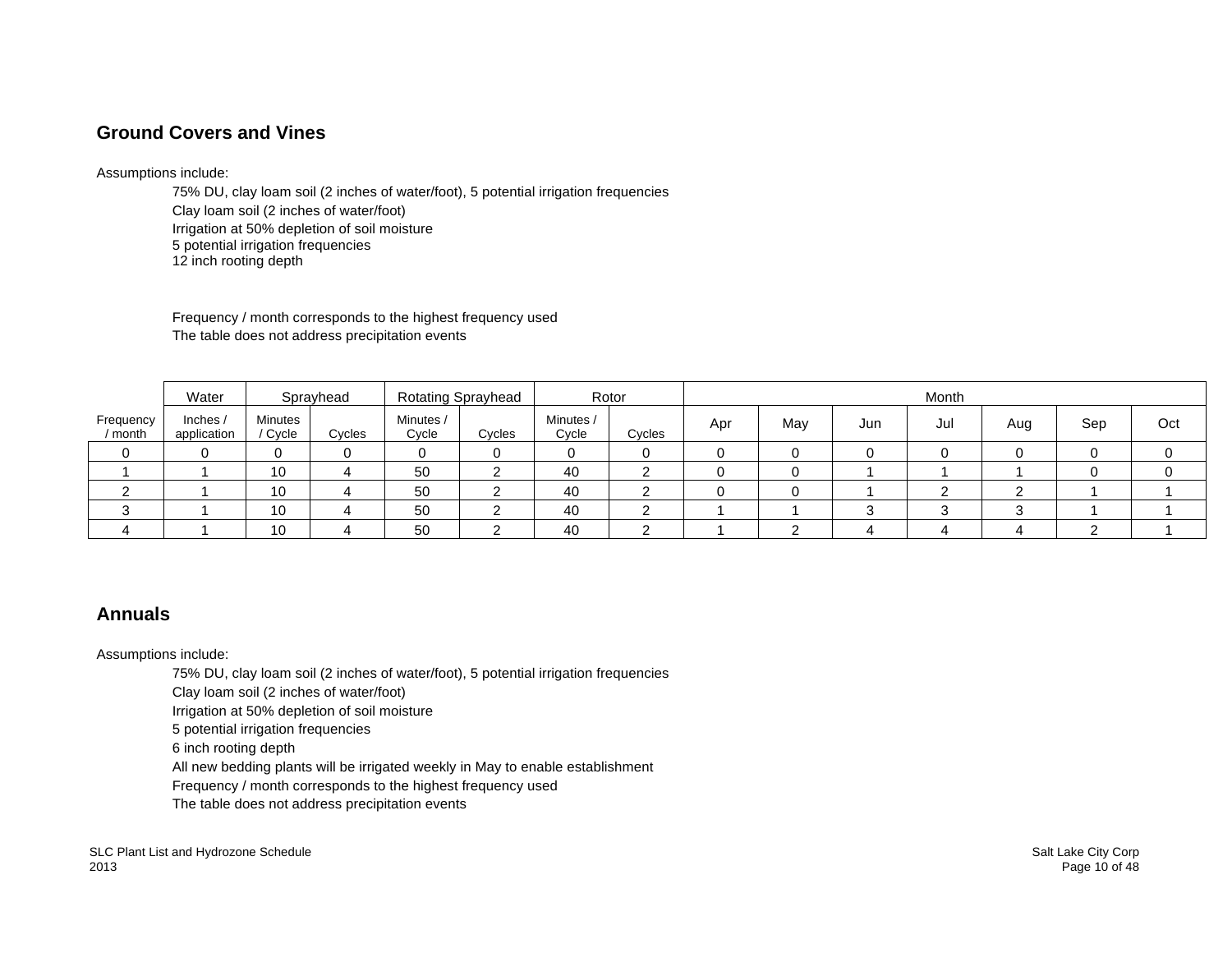## **Ground Covers and Vines**

#### Assumptions include:

75% DU, clay loam soil (2 inches of water/foot), 5 potential irrigation frequencies Clay loam soil (2 inches of water/foot) Irrigation at 50% depletion of soil moisture 5 potential irrigation frequencies 12 inch rooting depth

Frequency / month corresponds to the highest frequency used The table does not address precipitation events

|                      | Water                 |                           | Sprayhead |                    | <b>Rotating Sprayhead</b> | Rotor              |        |     |     |     | Month |     |     |     |
|----------------------|-----------------------|---------------------------|-----------|--------------------|---------------------------|--------------------|--------|-----|-----|-----|-------|-----|-----|-----|
| Frequency<br>/ month | Inches<br>application | <b>Minutes</b><br>/ Cycle | Cycles    | Minutes /<br>Cycle | Cycles                    | Minutes /<br>Cycle | Cycles | Apr | May | Jun | Jul   | Aug | Sep | Oct |
|                      |                       |                           |           |                    |                           | 0                  |        |     |     |     |       |     |     |     |
|                      |                       | 10                        |           | 50                 |                           | 40                 |        |     |     |     |       |     |     |     |
|                      |                       | 10                        |           | 50                 |                           | 40                 |        |     |     |     |       |     |     |     |
|                      |                       | 10                        |           | 50                 |                           | 40                 |        |     |     |     |       |     |     |     |
|                      |                       | 10                        |           | 50                 |                           | 40                 |        |     |     |     |       |     |     |     |

## **Annuals**

Assumptions include:

75% DU, clay loam soil (2 inches of water/foot), 5 potential irrigation frequencies

Clay loam soil (2 inches of water/foot)

Irrigation at 50% depletion of soil moisture

5 potential irrigation frequencies

6 inch rooting depth

All new bedding plants will be irrigated weekly in May to enable establishment

Frequency / month corresponds to the highest frequency used

The table does not address precipitation events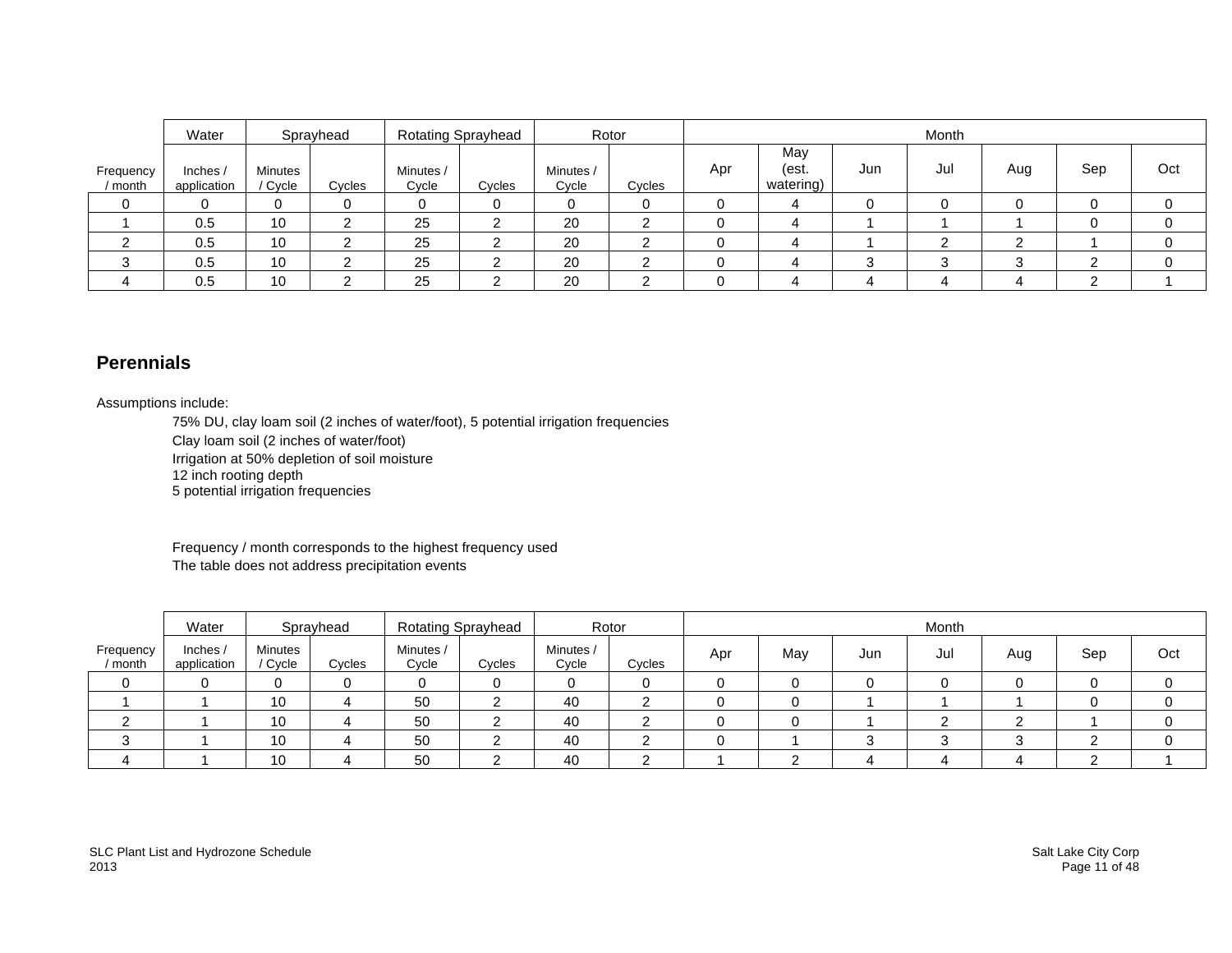|                      | Water                   |                  | Sprayhead |                    | Rotating Sprayhead |                    | Rotor  |     |                           |     | Month |     |     |     |
|----------------------|-------------------------|------------------|-----------|--------------------|--------------------|--------------------|--------|-----|---------------------------|-----|-------|-----|-----|-----|
| Frequency<br>/ month | Inches /<br>application | Minutes<br>Cycle | Cycles    | Minutes /<br>Cycle | Cycles             | Minutes /<br>Cycle | Cycles | Apr | May<br>(est.<br>watering) | Jun | Jul   | Aug | Sep | Oct |
|                      |                         | 0                |           |                    |                    |                    |        |     |                           |     |       |     |     |     |
|                      | 0.5                     | 10               |           | 25                 | ີ                  | 20                 | ◠      |     |                           |     |       |     |     |     |
|                      | 0.5                     | 10               |           | 25                 |                    | 20                 |        |     |                           |     |       |     |     |     |
|                      | 0.5                     | 10               |           | 25                 | _                  | 20                 |        |     |                           |     |       |     |     |     |
|                      | 0.5                     | 10               |           | 25                 |                    | 20                 |        |     |                           |     |       |     |     |     |

## **Perennials**

Assumptions include:

75% DU, clay loam soil (2 inches of water/foot), 5 potential irrigation frequencies

Clay loam soil (2 inches of water/foot)

Irrigation at 50% depletion of soil moisture

12 inch rooting depth

5 potential irrigation frequencies

Frequency / month corresponds to the highest frequency used The table does not address precipitation events

|                    | Water                   |                    | Sprayhead |                    | <b>Rotating Sprayhead</b> |                    | Rotor  | Month |     |     |     |     |     |     |
|--------------------|-------------------------|--------------------|-----------|--------------------|---------------------------|--------------------|--------|-------|-----|-----|-----|-----|-----|-----|
| Frequency<br>month | Inches /<br>application | Minutes<br>/ Cycle | Cycles    | Minutes /<br>Cycle | Cycles                    | Minutes /<br>Cycle | Cycles | Apr   | May | Jun | Jul | Aug | Sep | Oct |
| 0                  |                         |                    |           |                    |                           |                    |        |       |     |     |     |     |     |     |
|                    |                         | 10                 |           | 50                 |                           | 40                 |        |       |     |     |     |     |     |     |
| ົ                  |                         | 10                 |           | 50                 |                           | 40                 |        |       |     |     |     |     |     |     |
| ◠<br>ື             |                         | 10                 |           | 50                 |                           | 40                 |        |       |     |     |     |     |     |     |
|                    |                         | 10                 |           | 50                 |                           | 40                 |        |       |     |     |     |     |     |     |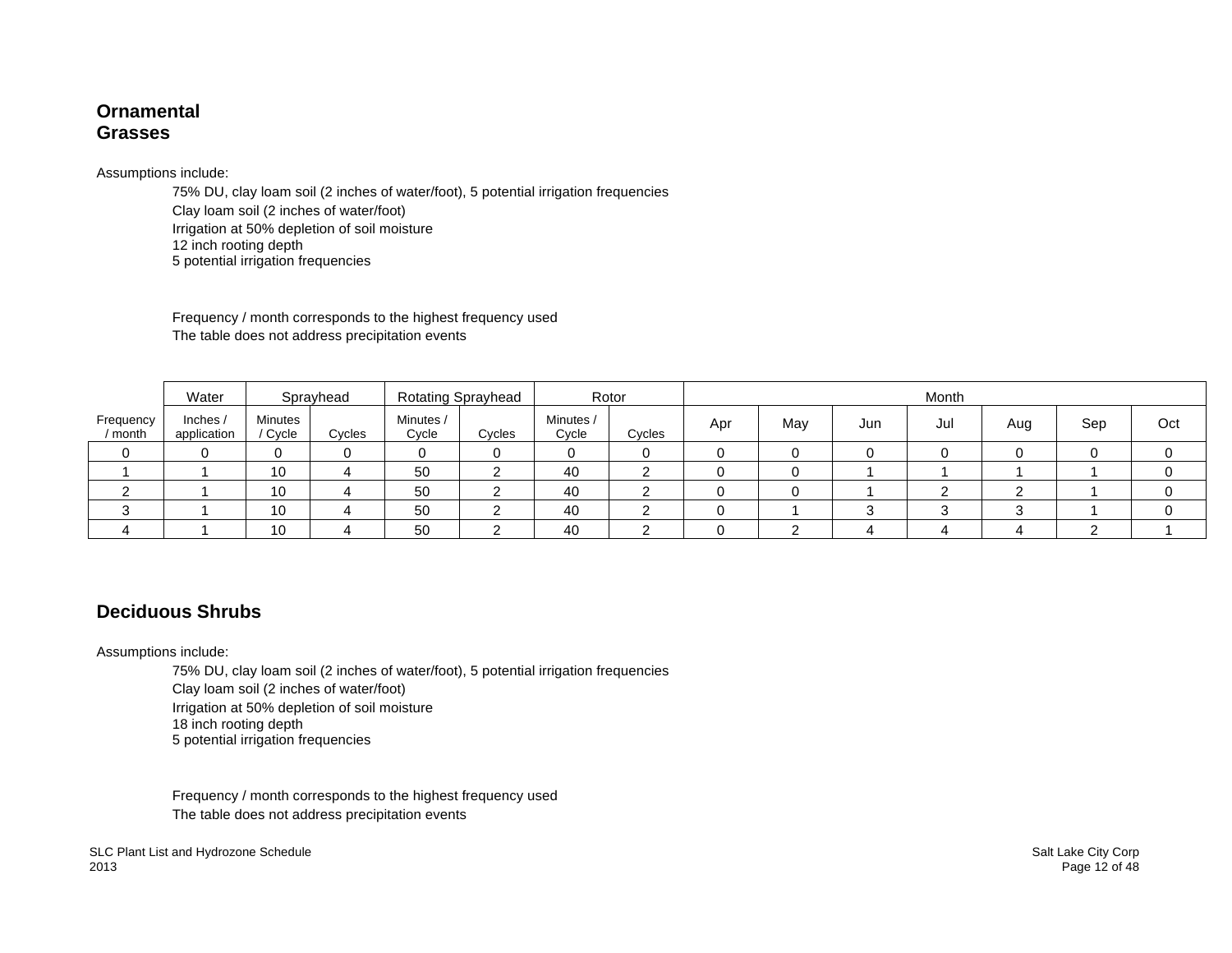#### **Ornamental Grasses**

#### Assumptions include:

75% DU, clay loam soil (2 inches of water/foot), 5 potential irrigation frequencies Clay loam soil (2 inches of water/foot) Irrigation at 50% depletion of soil moisture 12 inch rooting depth 5 potential irrigation frequencies

Frequency / month corresponds to the highest frequency used The table does not address precipitation events

|                    | Water                 |                           | Sprayhead |                    | <b>Rotating Sprayhead</b> | Rotor              |        |     |     |     | Month |     |     |     |
|--------------------|-----------------------|---------------------------|-----------|--------------------|---------------------------|--------------------|--------|-----|-----|-----|-------|-----|-----|-----|
| Frequency<br>month | Inches<br>application | <b>Minutes</b><br>' Cycle | Cycles    | Minutes /<br>Cycle | Cycles                    | Minutes /<br>Cycle | Cycles | Apr | May | Jun | Jul   | Aug | Sep | Oct |
|                    |                       |                           |           | 0                  |                           | 0                  |        |     |     |     |       |     |     |     |
|                    |                       | 10                        |           | 50                 |                           | 40                 |        |     |     |     |       |     |     |     |
|                    |                       | 10                        |           | 50                 |                           | 40                 |        |     |     |     |       |     |     |     |
|                    |                       | 10                        |           | 50                 |                           | 40                 |        |     |     |     |       |     |     |     |
|                    |                       | 10                        |           | 50                 |                           | 40                 |        |     |     |     |       |     |     |     |

## **Deciduous Shrubs**

#### Assumptions include:

75% DU, clay loam soil (2 inches of water/foot), 5 potential irrigation frequencies

Clay loam soil (2 inches of water/foot)

Irrigation at 50% depletion of soil moisture

18 inch rooting depth

5 potential irrigation frequencies

Frequency / month corresponds to the highest frequency used The table does not address precipitation events

SLC Plant List and Hydrozone Schedule<br>2013 **Salt Lake City Corp**<br>2013 **Page 12 of 48** 2013 Page 12 of 48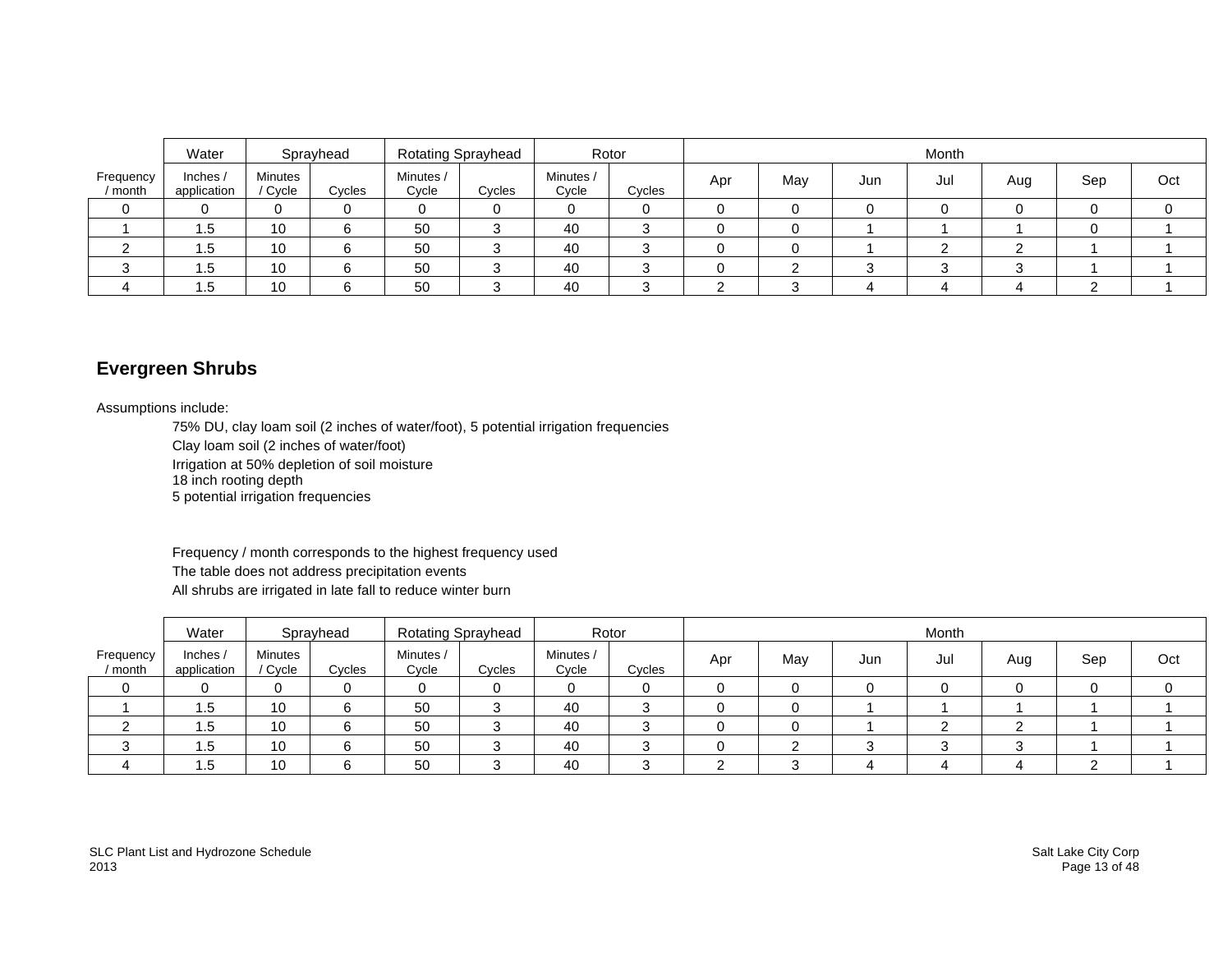|                      | Water                   |                  | Sprayhead |                    | <b>Rotating Sprayhead</b> |                    | Rotor  | Month |     |        |     |        |     |     |
|----------------------|-------------------------|------------------|-----------|--------------------|---------------------------|--------------------|--------|-------|-----|--------|-----|--------|-----|-----|
| Frequency<br>/ month | Inches /<br>application | Minutes<br>Cycle | Cycles    | Minutes /<br>Cycle | Cycles                    | Minutes /<br>Cycle | Cycles | Apr   | May | Jun    | Jul | Aug    | Sep | Oct |
|                      |                         |                  |           | 0                  |                           |                    |        |       |     |        |     |        |     |     |
|                      | 1.5                     | 10               | 6         | 50                 |                           | 40                 | ບ      | U     | 0   |        |     |        |     |     |
|                      | ا                       | 10               |           | 50                 |                           | 40                 |        |       |     |        |     |        |     |     |
|                      | .5                      | 10               |           | 50                 |                           | 40                 |        |       | ⌒   | $\sim$ | ⌒   | $\sim$ |     |     |
|                      | .5                      | 10               |           | 50                 |                           | 40                 |        |       |     |        |     | ↵      |     |     |

## **Evergreen Shrubs**

Assumptions include:

75% DU, clay loam soil (2 inches of water/foot), 5 potential irrigation frequencies

Clay loam soil (2 inches of water/foot)

Irrigation at 50% depletion of soil moisture

18 inch rooting depth

5 potential irrigation frequencies

Frequency / month corresponds to the highest frequency used The table does not address precipitation events All shrubs are irrigated in late fall to reduce winter burn

|                      | Water                   |                    | Sprayhead |                    | <b>Rotating Sprayhead</b> | Rotor              |        | Month |     |     |     |     |     |     |
|----------------------|-------------------------|--------------------|-----------|--------------------|---------------------------|--------------------|--------|-------|-----|-----|-----|-----|-----|-----|
| Frequency<br>/ month | Inches /<br>application | Minutes<br>/ Cycle | Cycles    | Minutes /<br>Cycle | Cycles                    | Minutes /<br>Cycle | Cycles | Apr   | May | Jun | Jul | Aug | Sep | Oct |
|                      |                         | $\Omega$           |           |                    |                           |                    |        |       |     |     |     |     |     |     |
|                      | 1.5                     | 10                 |           | 50                 |                           | 40                 |        |       |     |     |     |     |     |     |
|                      | 1.5                     | 10                 |           | 50                 |                           | 40                 |        |       |     |     |     |     |     |     |
| ື                    | 1.5                     | 10                 |           | 50                 |                           | 40                 |        |       |     |     |     |     |     |     |
|                      | 1.5                     | 10                 |           | 50                 |                           | 40                 |        |       |     |     |     |     |     |     |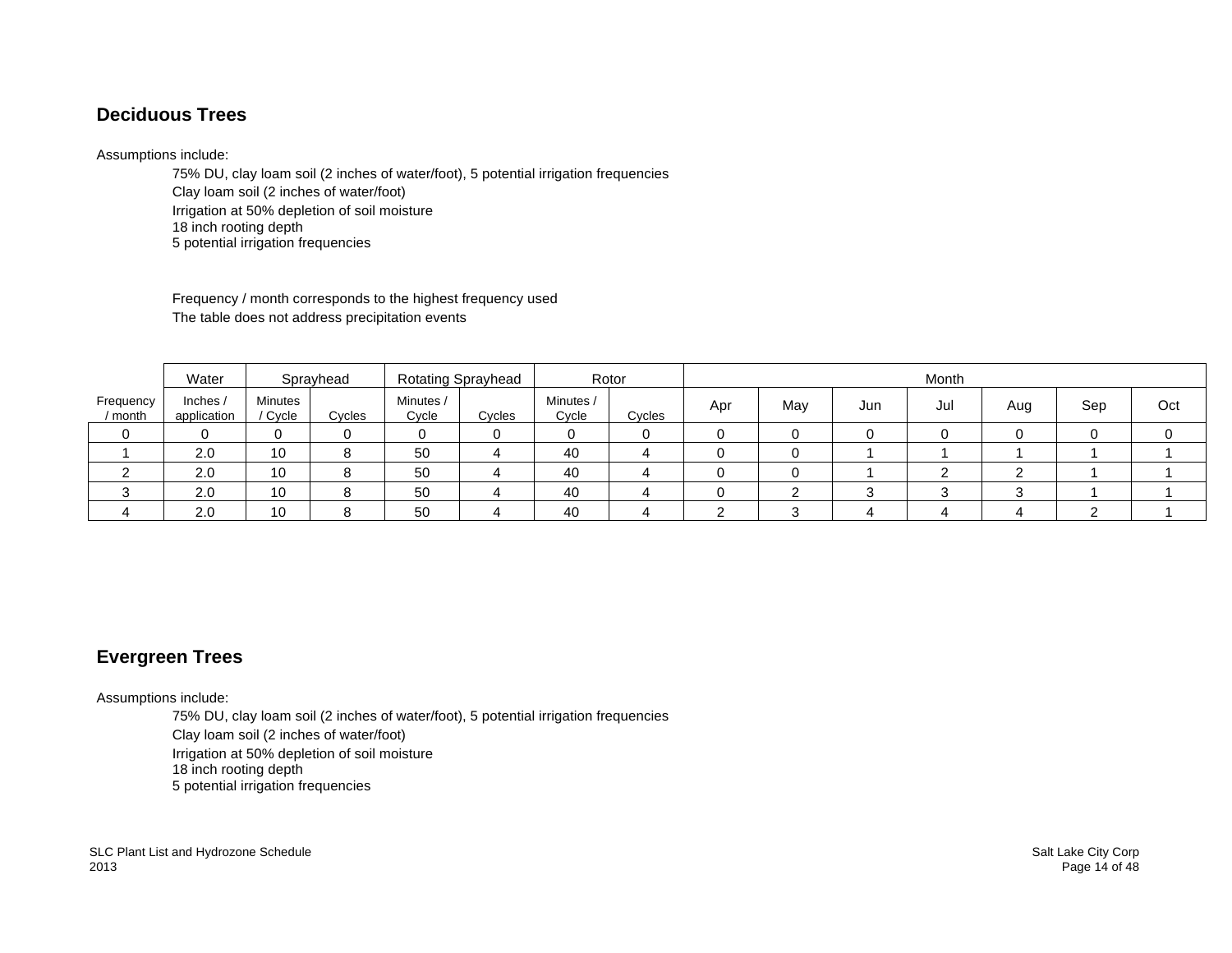## **Deciduous Trees**

#### Assumptions include:

75% DU, clay loam soil (2 inches of water/foot), 5 potential irrigation frequencies Clay loam soil (2 inches of water/foot) Irrigation at 50% depletion of soil moisture 18 inch rooting depth 5 potential irrigation frequencies

Frequency / month corresponds to the highest frequency used The table does not address precipitation events

|                      | Water                   |                         | Sprayhead |                    | <b>Rotating Sprayhead</b> |                    | Rotor  | Month |     |     |     |        |     |     |
|----------------------|-------------------------|-------------------------|-----------|--------------------|---------------------------|--------------------|--------|-------|-----|-----|-----|--------|-----|-----|
| Frequency<br>/ month | Inches /<br>application | <b>Minutes</b><br>Cycle | Cycles    | Minutes /<br>Cycle | Cycles                    | Minutes /<br>Cycle | Cycles | Apr   | May | Jun | Jul | Aug    | Sep | Oct |
|                      |                         | 0                       |           |                    |                           |                    |        |       |     |     |     |        |     |     |
|                      | 2.0                     | 10                      |           | 50                 |                           | 40                 |        |       |     |     |     |        |     |     |
|                      | 2.0                     | 10                      |           | 50                 |                           | 40                 |        |       |     |     |     |        |     |     |
|                      | 2.0                     | 10                      |           | 50                 |                           | 40                 |        |       |     | ົ   |     | $\sim$ |     |     |
|                      | 2.0                     | 10                      |           | 50                 |                           | 40                 |        |       |     |     |     |        |     |     |

# **Evergreen Trees**

Assumptions include:

75% DU, clay loam soil (2 inches of water/foot), 5 potential irrigation frequencies

Clay loam soil (2 inches of water/foot)

Irrigation at 50% depletion of soil moisture

18 inch rooting depth

5 potential irrigation frequencies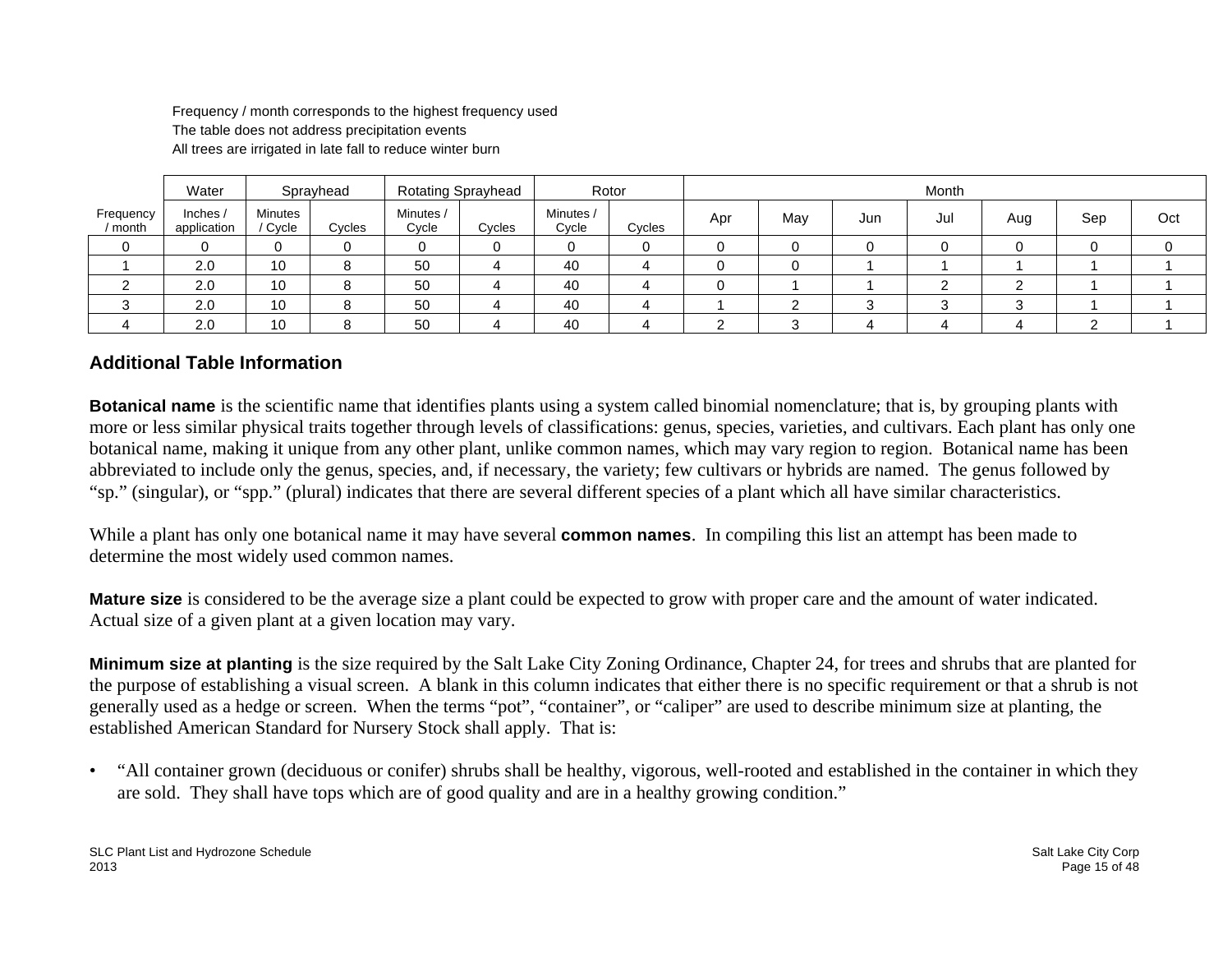Frequency / month corresponds to the highest frequency used The table does not address precipitation events All trees are irrigated in late fall to reduce winter burn

|                      | Water                   |                           | Sprayhead |                    | Rotating Sprayhead |                    | Rotor          | Month |     |     |     |     |     |     |
|----------------------|-------------------------|---------------------------|-----------|--------------------|--------------------|--------------------|----------------|-------|-----|-----|-----|-----|-----|-----|
| Frequency<br>/ month | Inches /<br>application | <b>Minutes</b><br>/ Cycle | Cycles    | Minutes /<br>Cycle | Cycles             | Minutes /<br>Cycle | Cycles         | Apr   | May | Jun | Jul | Aug | Sep | Oct |
|                      |                         |                           | 0         | 0                  |                    |                    |                |       |     |     |     |     |     |     |
|                      | 2.0                     | 10                        | 8         | 50                 | 4                  | 40                 | 4              |       |     |     |     |     |     |     |
|                      | 2.0                     | 10                        | 8         | 50                 |                    | 40                 | $\overline{a}$ |       |     |     |     |     |     |     |
|                      | 2.0                     | 10                        | $\Omega$  | 50                 |                    | 40                 |                |       |     | ⌒   |     |     |     |     |
|                      | 2.0                     | 10                        | ິດ        | 50                 |                    | 40                 |                | ⌒     |     | ↵   |     |     |     |     |

#### **Additional Table Information**

**Botanical name** is the scientific name that identifies plants using a system called binomial nomenclature; that is, by grouping plants with more or less similar physical traits together through levels of classifications: genus, species, varieties, and cultivars. Each plant has only one botanical name, making it unique from any other plant, unlike common names, which may vary region to region. Botanical name has been abbreviated to include only the genus, species, and, if necessary, the variety; few cultivars or hybrids are named. The genus followed by "sp." (singular), or "spp." (plural) indicates that there are several different species of a plant which all have similar characteristics.

While a plant has only one botanical name it may have several **common names**. In compiling this list an attempt has been made to determine the most widely used common names.

**Mature size** is considered to be the average size a plant could be expected to grow with proper care and the amount of water indicated. Actual size of a given plant at a given location may vary.

**Minimum size at planting** is the size required by the Salt Lake City Zoning Ordinance, Chapter 24, for trees and shrubs that are planted for the purpose of establishing a visual screen. A blank in this column indicates that either there is no specific requirement or that a shrub is not generally used as a hedge or screen. When the terms "pot", "container", or "caliper" are used to describe minimum size at planting, the established American Standard for Nursery Stock shall apply. That is:

• "All container grown (deciduous or conifer) shrubs shall be healthy, vigorous, well-rooted and established in the container in which they are sold. They shall have tops which are of good quality and are in a healthy growing condition."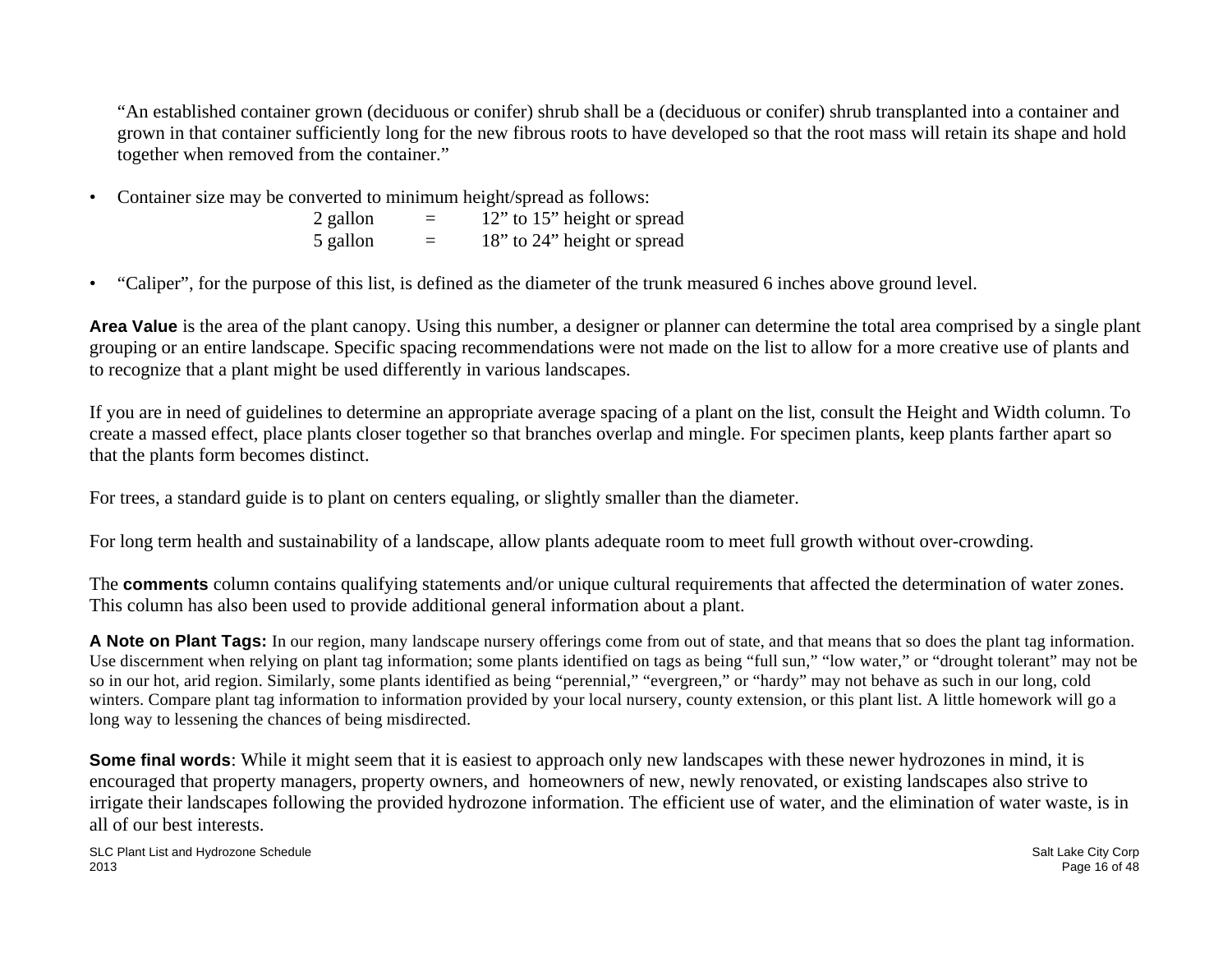"An established container grown (deciduous or conifer) shrub shall be a (deciduous or conifer) shrub transplanted into a container and grown in that container sufficiently long for the new fibrous roots to have developed so that the root mass will retain its shape and hold together when removed from the container."

• Container size may be converted to minimum height/spread as follows:

| 2 gallon | = | 12" to 15" height or spread |
|----------|---|-----------------------------|
| 5 gallon | = | 18" to 24" height or spread |

• "Caliper", for the purpose of this list, is defined as the diameter of the trunk measured 6 inches above ground level.

**Area Value** is the area of the plant canopy. Using this number, a designer or planner can determine the total area comprised by a single plant grouping or an entire landscape. Specific spacing recommendations were not made on the list to allow for a more creative use of plants and to recognize that a plant might be used differently in various landscapes.

If you are in need of guidelines to determine an appropriate average spacing of a plant on the list, consult the Height and Width column. To create a massed effect, place plants closer together so that branches overlap and mingle. For specimen plants, keep plants farther apart so that the plants form becomes distinct.

For trees, a standard guide is to plant on centers equaling, or slightly smaller than the diameter.

For long term health and sustainability of a landscape, allow plants adequate room to meet full growth without over-crowding.

The **comments** column contains qualifying statements and/or unique cultural requirements that affected the determination of water zones. This column has also been used to provide additional general information about a plant.

**A Note on Plant Tags:** In our region, many landscape nursery offerings come from out of state, and that means that so does the plant tag information. Use discernment when relying on plant tag information; some plants identified on tags as being "full sun," "low water," or "drought tolerant" may not be so in our hot, arid region. Similarly, some plants identified as being "perennial," "evergreen," or "hardy" may not behave as such in our long, cold winters. Compare plant tag information to information provided by your local nursery, county extension, or this plant list. A little homework will go a long way to lessening the chances of being misdirected.

**Some final words**: While it might seem that it is easiest to approach only new landscapes with these newer hydrozones in mind, it is encouraged that property managers, property owners, and homeowners of new, newly renovated, or existing landscapes also strive to irrigate their landscapes following the provided hydrozone information. The efficient use of water, and the elimination of water waste, is in all of our best interests.

SLC Plant List and Hydrozone Schedule Salt Lake City Corp. Salt Lake City Corp. Salt Lake City Corp. 2013 Page 16 of 48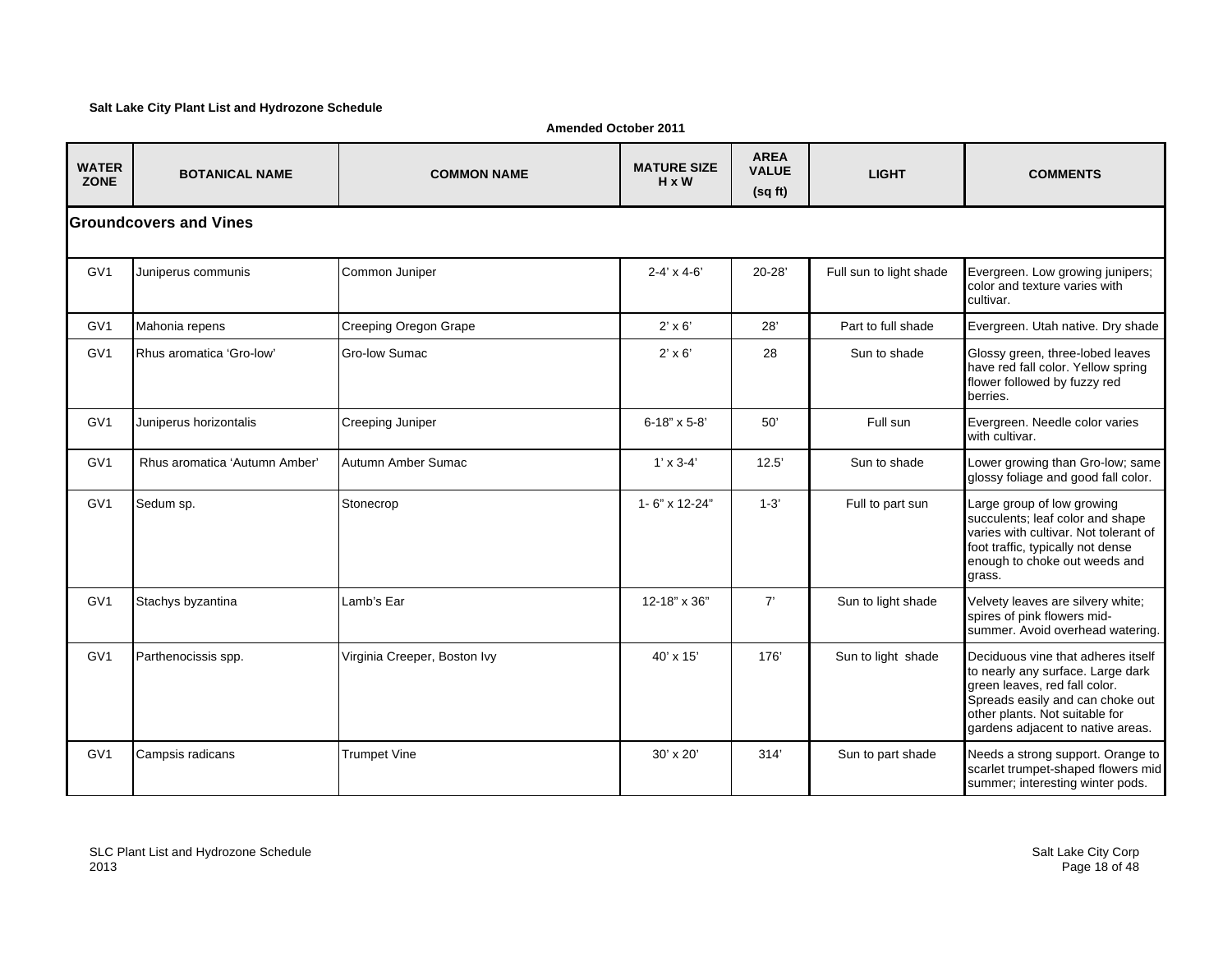#### **Salt Lake City Plant List and Hydrozone Schedule**

**Amended October 2011**

| <b>WATER</b><br><b>ZONE</b> | <b>BOTANICAL NAME</b>          | <b>COMMON NAME</b>           | <b>MATURE SIZE</b><br>$H \times W$ | <b>AREA</b><br><b>VALUE</b><br>(sq ft) | <b>LIGHT</b>            | <b>COMMENTS</b>                                                                                                                                                                                                     |
|-----------------------------|--------------------------------|------------------------------|------------------------------------|----------------------------------------|-------------------------|---------------------------------------------------------------------------------------------------------------------------------------------------------------------------------------------------------------------|
|                             | <b>IGroundcovers and Vines</b> |                              |                                    |                                        |                         |                                                                                                                                                                                                                     |
| GV <sub>1</sub>             | Juniperus communis             | Common Juniper               | $2 - 4' \times 4 - 6'$             | $20 - 28'$                             | Full sun to light shade | Evergreen. Low growing junipers;<br>color and texture varies with<br>cultivar.                                                                                                                                      |
| GV1                         | Mahonia repens                 | Creeping Oregon Grape        | $2' \times 6'$                     | 28'                                    | Part to full shade      | Evergreen. Utah native. Dry shade                                                                                                                                                                                   |
| GV <sub>1</sub>             | Rhus aromatica 'Gro-low'       | Gro-low Sumac                | $2' \times 6'$                     | 28                                     | Sun to shade            | Glossy green, three-lobed leaves<br>have red fall color. Yellow spring<br>flower followed by fuzzy red<br>berries.                                                                                                  |
| GV <sub>1</sub>             | Juniperus horizontalis         | Creeping Juniper             | $6 - 18" \times 5 - 8'$            | 50'                                    | Full sun                | Evergreen. Needle color varies<br>with cultivar.                                                                                                                                                                    |
| GV <sub>1</sub>             | Rhus aromatica 'Autumn Amber'  | Autumn Amber Sumac           | $1' \times 3 - 4'$                 | 12.5'                                  | Sun to shade            | Lower growing than Gro-low; same<br>glossy foliage and good fall color.                                                                                                                                             |
| GV <sub>1</sub>             | Sedum sp.                      | Stonecrop                    | 1-6" x 12-24"                      | $1 - 3'$                               | Full to part sun        | Large group of low growing<br>succulents; leaf color and shape<br>varies with cultivar. Not tolerant of<br>foot traffic, typically not dense<br>enough to choke out weeds and<br>grass.                             |
| GV <sub>1</sub>             | Stachys byzantina              | Lamb's Ear                   | 12-18" x 36"                       | 7'                                     | Sun to light shade      | Velvety leaves are silvery white;<br>spires of pink flowers mid-<br>summer. Avoid overhead watering.                                                                                                                |
| GV <sub>1</sub>             | Parthenocissis spp.            | Virginia Creeper, Boston Ivy | $40' \times 15'$                   | 176'                                   | Sun to light shade      | Deciduous vine that adheres itself<br>to nearly any surface. Large dark<br>green leaves, red fall color.<br>Spreads easily and can choke out<br>other plants. Not suitable for<br>gardens adjacent to native areas. |
| GV <sub>1</sub>             | Campsis radicans               | <b>Trumpet Vine</b>          | $30' \times 20'$                   | 314'                                   | Sun to part shade       | Needs a strong support. Orange to<br>scarlet trumpet-shaped flowers mid<br>summer; interesting winter pods.                                                                                                         |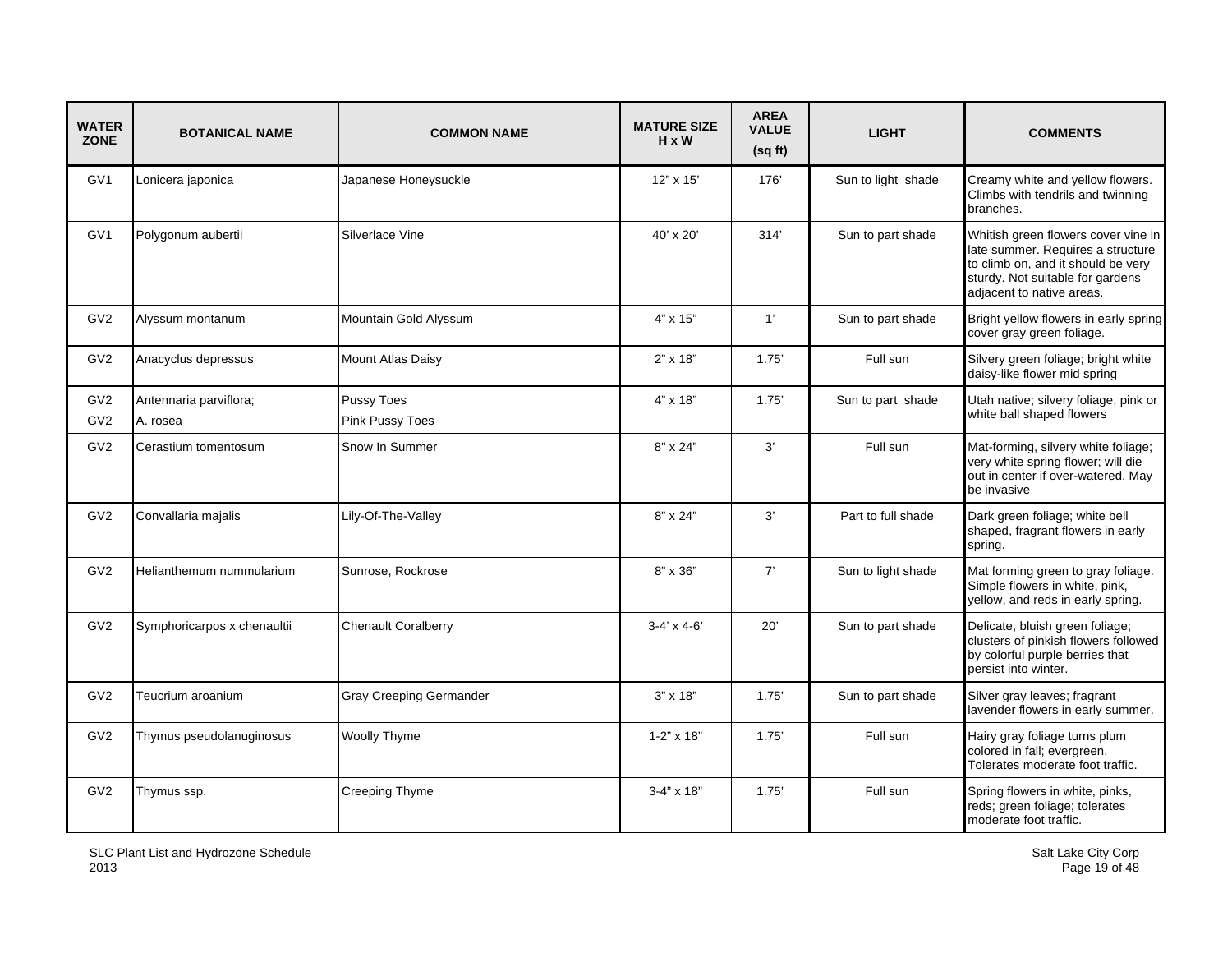| <b>WATER</b><br><b>ZONE</b>        | <b>BOTANICAL NAME</b>              | <b>COMMON NAME</b>             | <b>MATURE SIZE</b><br>$H \times W$ | <b>AREA</b><br><b>VALUE</b><br>(sqft) | <b>LIGHT</b>       | <b>COMMENTS</b>                                                                                                                                                                 |
|------------------------------------|------------------------------------|--------------------------------|------------------------------------|---------------------------------------|--------------------|---------------------------------------------------------------------------------------------------------------------------------------------------------------------------------|
| GV <sub>1</sub>                    | Lonicera japonica                  | Japanese Honeysuckle           | 12" x 15'                          | 176'                                  | Sun to light shade | Creamy white and yellow flowers.<br>Climbs with tendrils and twinning<br>branches.                                                                                              |
| GV <sub>1</sub>                    | Polygonum aubertii                 | Silverlace Vine                | 40' x 20'                          | 314'                                  | Sun to part shade  | Whitish green flowers cover vine in<br>late summer. Requires a structure<br>to climb on, and it should be very<br>sturdy. Not suitable for gardens<br>adjacent to native areas. |
| GV <sub>2</sub>                    | Alyssum montanum                   | Mountain Gold Alyssum          | 4" x 15"                           | 1'                                    | Sun to part shade  | Bright yellow flowers in early spring<br>cover gray green foliage.                                                                                                              |
| GV <sub>2</sub>                    | Anacyclus depressus                | Mount Atlas Daisy              | $2" \times 18"$                    | 1.75'                                 | Full sun           | Silvery green foliage; bright white<br>daisy-like flower mid spring                                                                                                             |
| GV <sub>2</sub><br>GV <sub>2</sub> | Antennaria parviflora;<br>A. rosea | Pussy Toes<br>Pink Pussy Toes  | 4" x 18"                           | 1.75'                                 | Sun to part shade  | Utah native; silvery foliage, pink or<br>white ball shaped flowers                                                                                                              |
| GV <sub>2</sub>                    | Cerastium tomentosum               | Snow In Summer                 | 8" x 24"                           | 3'                                    | Full sun           | Mat-forming, silvery white foliage;<br>very white spring flower; will die<br>out in center if over-watered. May<br>be invasive                                                  |
| GV <sub>2</sub>                    | Convallaria majalis                | Lily-Of-The-Valley             | $8" \times 24"$                    | 3'                                    | Part to full shade | Dark green foliage; white bell<br>shaped, fragrant flowers in early<br>spring.                                                                                                  |
| GV <sub>2</sub>                    | Helianthemum nummularium           | Sunrose, Rockrose              | 8" x 36"                           | 7'                                    | Sun to light shade | Mat forming green to gray foliage.<br>Simple flowers in white, pink,<br>yellow, and reds in early spring.                                                                       |
| GV <sub>2</sub>                    | Symphoricarpos x chenaultii        | <b>Chenault Coralberry</b>     | $3-4' \times 4-6'$                 | 20'                                   | Sun to part shade  | Delicate, bluish green foliage;<br>clusters of pinkish flowers followed<br>by colorful purple berries that<br>persist into winter.                                              |
| GV <sub>2</sub>                    | Teucrium aroanium                  | <b>Gray Creeping Germander</b> | $3" \times 18"$                    | 1.75'                                 | Sun to part shade  | Silver gray leaves; fragrant<br>lavender flowers in early summer.                                                                                                               |
| GV <sub>2</sub>                    | Thymus pseudolanuginosus           | Woolly Thyme                   | $1 - 2$ " x 18"                    | 1.75'                                 | Full sun           | Hairy gray foliage turns plum<br>colored in fall; evergreen.<br>Tolerates moderate foot traffic.                                                                                |
| GV <sub>2</sub>                    | Thymus ssp.                        | Creeping Thyme                 | $3 - 4" \times 18"$                | 1.75'                                 | Full sun           | Spring flowers in white, pinks,<br>reds; green foliage; tolerates<br>moderate foot traffic.                                                                                     |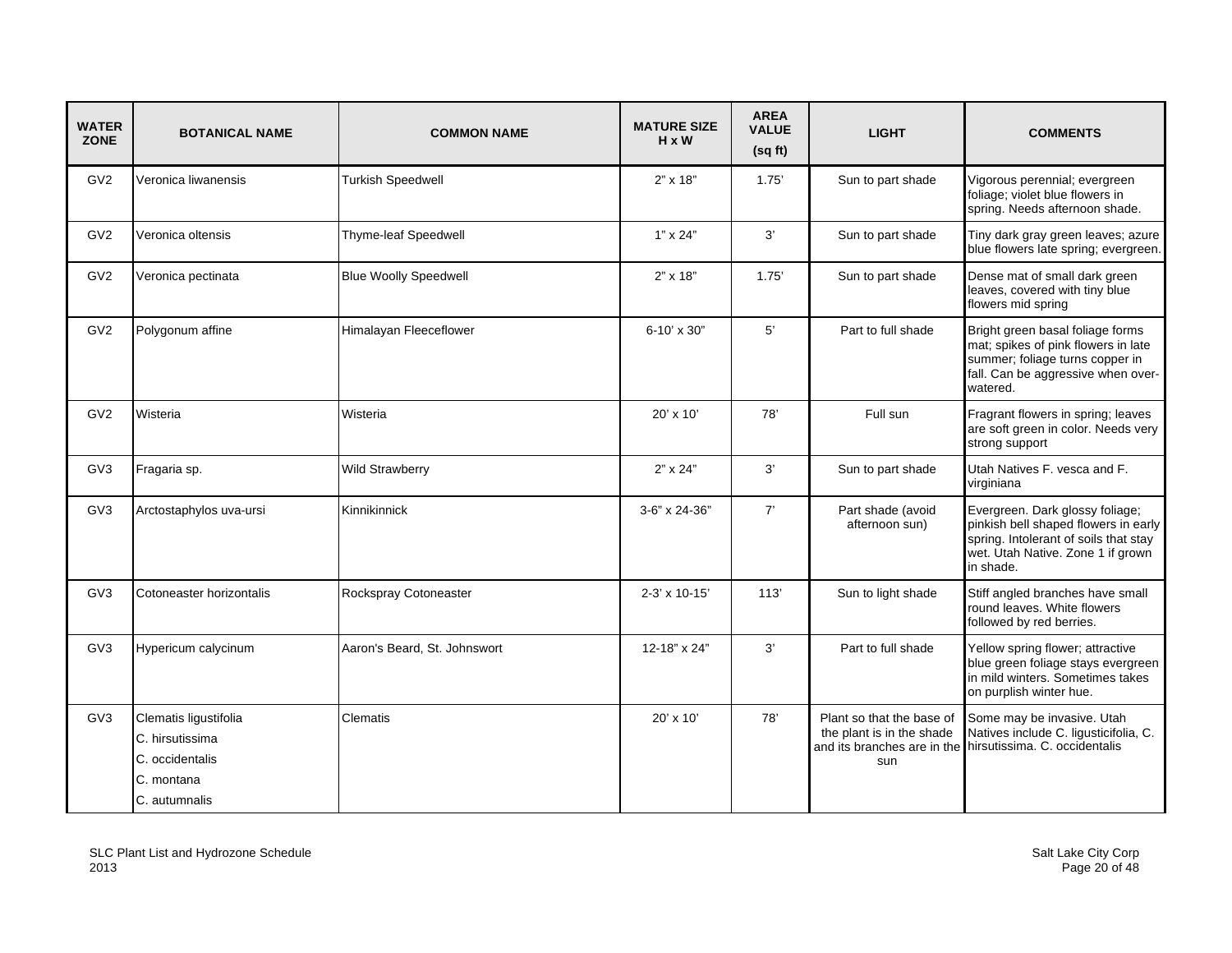| <b>WATER</b><br><b>ZONE</b> | <b>BOTANICAL NAME</b>                                                                      | <b>COMMON NAME</b>           | <b>MATURE SIZE</b><br>$H \times W$ | <b>AREA</b><br><b>VALUE</b><br>(sqft) | <b>LIGHT</b>                                                                                 | <b>COMMENTS</b>                                                                                                                                                    |
|-----------------------------|--------------------------------------------------------------------------------------------|------------------------------|------------------------------------|---------------------------------------|----------------------------------------------------------------------------------------------|--------------------------------------------------------------------------------------------------------------------------------------------------------------------|
| GV <sub>2</sub>             | Veronica liwanensis                                                                        | <b>Turkish Speedwell</b>     | 2" x 18"                           | 1.75'                                 | Sun to part shade                                                                            | Vigorous perennial; evergreen<br>foliage; violet blue flowers in<br>spring. Needs afternoon shade.                                                                 |
| GV <sub>2</sub>             | Veronica oltensis                                                                          | Thyme-leaf Speedwell         | $1" \times 24"$                    | 3'                                    | Sun to part shade                                                                            | Tiny dark gray green leaves; azure<br>blue flowers late spring; evergreen.                                                                                         |
| GV <sub>2</sub>             | Veronica pectinata                                                                         | <b>Blue Woolly Speedwell</b> | $2" \times 18"$                    | 1.75'                                 | Sun to part shade                                                                            | Dense mat of small dark green<br>leaves, covered with tiny blue<br>flowers mid spring                                                                              |
| GV <sub>2</sub>             | Polygonum affine                                                                           | Himalayan Fleeceflower       | 6-10' x 30"                        | 5'                                    | Part to full shade                                                                           | Bright green basal foliage forms<br>mat; spikes of pink flowers in late<br>summer; foliage turns copper in<br>fall. Can be aggressive when over-<br>watered.       |
| GV <sub>2</sub>             | Wisteria                                                                                   | Wisteria                     | $20' \times 10'$                   | 78'                                   | Full sun                                                                                     | Fragrant flowers in spring; leaves<br>are soft green in color. Needs very<br>strong support                                                                        |
| GV <sub>3</sub>             | Fragaria sp.                                                                               | Wild Strawberry              | $2" \times 24"$                    | 3'                                    | Sun to part shade                                                                            | Utah Natives F. vesca and F.<br>virginiana                                                                                                                         |
| GV <sub>3</sub>             | Arctostaphylos uva-ursi                                                                    | Kinnikinnick                 | 3-6" x 24-36"                      | 7'                                    | Part shade (avoid<br>afternoon sun)                                                          | Evergreen. Dark glossy foliage;<br>pinkish bell shaped flowers in early<br>spring. Intolerant of soils that stay<br>wet. Utah Native. Zone 1 if grown<br>in shade. |
| GV <sub>3</sub>             | Cotoneaster horizontalis                                                                   | Rockspray Cotoneaster        | 2-3' x 10-15'                      | 113'                                  | Sun to light shade                                                                           | Stiff angled branches have small<br>round leaves. White flowers<br>followed by red berries.                                                                        |
| GV3                         | Hypericum calycinum                                                                        | Aaron's Beard, St. Johnswort | 12-18" x 24"                       | 3'                                    | Part to full shade                                                                           | Yellow spring flower; attractive<br>blue green foliage stays evergreen<br>in mild winters. Sometimes takes<br>on purplish winter hue.                              |
| GV <sub>3</sub>             | Clematis ligustifolia<br>C. hirsutissima<br>C. occidentalis<br>C. montana<br>C. autumnalis | Clematis                     | $20' \times 10'$                   | 78'                                   | Plant so that the base of<br>the plant is in the shade<br>and its branches are in the<br>sun | Some may be invasive. Utah<br>Natives include C. ligusticifolia, C.<br>hirsutissima. C. occidentalis                                                               |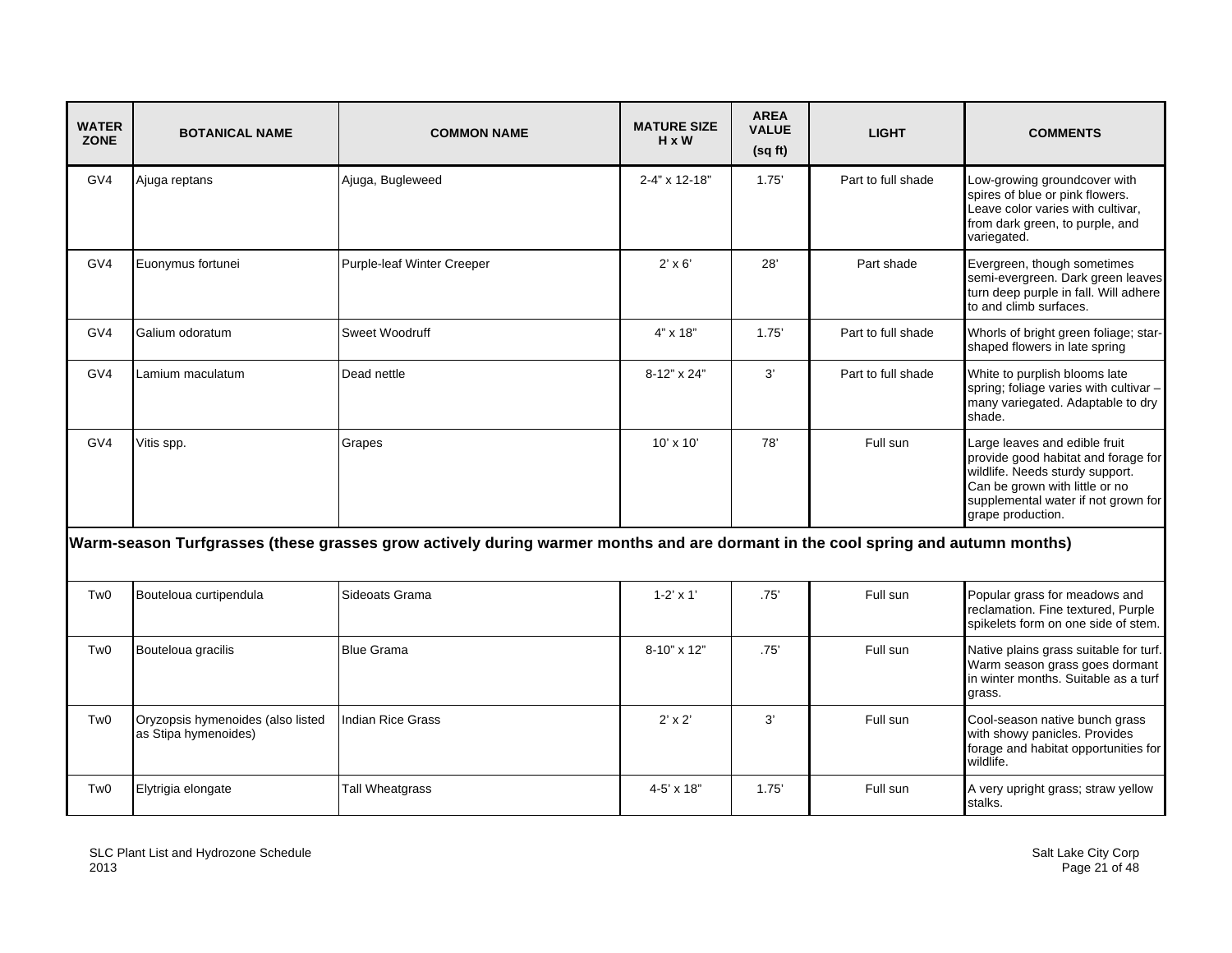| <b>WATER</b><br><b>ZONE</b> | <b>BOTANICAL NAME</b>                                     | <b>COMMON NAME</b>                                                                                                              | <b>MATURE SIZE</b><br>$H \times W$ | <b>AREA</b><br><b>VALUE</b><br>(sq ft) | <b>LIGHT</b>       | <b>COMMENTS</b>                                                                                                                                                                                       |
|-----------------------------|-----------------------------------------------------------|---------------------------------------------------------------------------------------------------------------------------------|------------------------------------|----------------------------------------|--------------------|-------------------------------------------------------------------------------------------------------------------------------------------------------------------------------------------------------|
| GV4                         | Ajuga reptans                                             | Ajuga, Bugleweed                                                                                                                | 2-4" x 12-18"                      | 1.75'                                  | Part to full shade | Low-growing groundcover with<br>spires of blue or pink flowers.<br>Leave color varies with cultivar,<br>from dark green, to purple, and<br>variegated.                                                |
| GV4                         | Euonymus fortunei                                         | <b>Purple-leaf Winter Creeper</b>                                                                                               | $2' \times 6'$                     | 28'                                    | Part shade         | Evergreen, though sometimes<br>semi-evergreen. Dark green leaves<br>turn deep purple in fall. Will adhere<br>to and climb surfaces.                                                                   |
| GV4                         | Galium odoratum                                           | Sweet Woodruff                                                                                                                  | 4" x 18"                           | 1.75'                                  | Part to full shade | Whorls of bright green foliage; star-<br>shaped flowers in late spring                                                                                                                                |
| GV4                         | Lamium maculatum                                          | Dead nettle                                                                                                                     | 8-12" x 24"                        | 3'                                     | Part to full shade | White to purplish blooms late<br>spring; foliage varies with cultivar -<br>many variegated. Adaptable to dry<br>shade.                                                                                |
| GV4                         | Vitis spp.                                                | Grapes                                                                                                                          | $10' \times 10'$                   | 78'                                    | Full sun           | Large leaves and edible fruit<br>provide good habitat and forage for<br>wildlife. Needs sturdy support.<br>Can be grown with little or no<br>supplemental water if not grown for<br>grape production. |
|                             |                                                           | Warm-season Turfgrasses (these grasses grow actively during warmer months and are dormant in the cool spring and autumn months) |                                    |                                        |                    |                                                                                                                                                                                                       |
| Tw <sub>0</sub>             | Bouteloua curtipendula                                    | Sideoats Grama                                                                                                                  | $1 - 2' \times 1'$                 | .75'                                   | Full sun           | Popular grass for meadows and<br>reclamation. Fine textured, Purple<br>spikelets form on one side of stem.                                                                                            |
| Tw <sub>0</sub>             | Bouteloua gracilis                                        | <b>Blue Grama</b>                                                                                                               | 8-10" x 12"                        | .75'                                   | Full sun           | Native plains grass suitable for turf.<br>Warm season grass goes dormant<br>in winter months. Suitable as a turf<br>grass.                                                                            |
| Tw0                         | Oryzopsis hymenoides (also listed<br>as Stipa hymenoides) | <b>Indian Rice Grass</b>                                                                                                        | $2' \times 2'$                     | 3'                                     | Full sun           | Cool-season native bunch grass<br>with showy panicles. Provides<br>forage and habitat opportunities for<br>wildlife.                                                                                  |
| Tw <sub>0</sub>             | Elytrigia elongate                                        | Tall Wheatgrass                                                                                                                 | 4-5' x 18"                         | 1.75'                                  | Full sun           | A very upright grass; straw yellow<br>stalks.                                                                                                                                                         |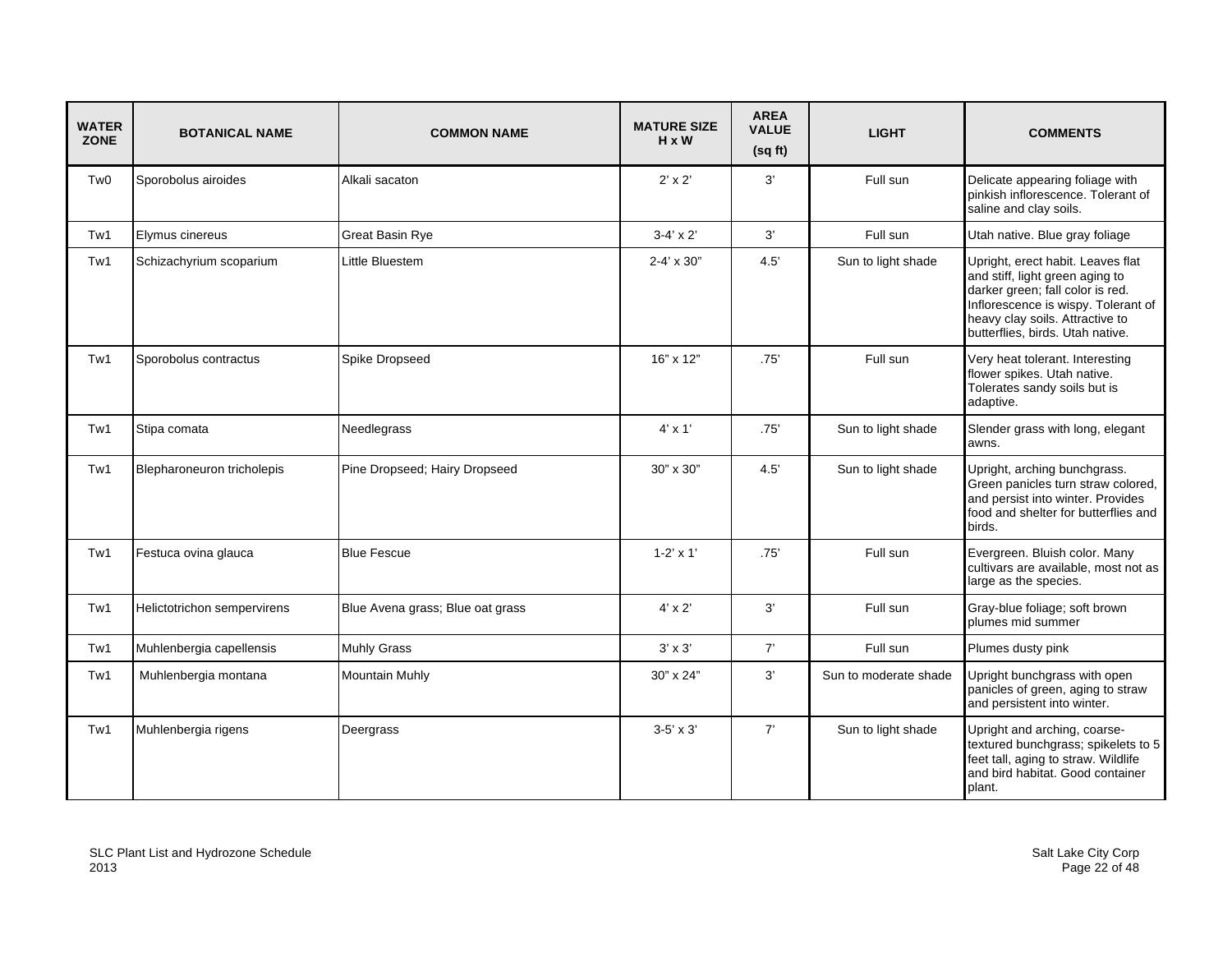| <b>WATER</b><br><b>ZONE</b> | <b>BOTANICAL NAME</b>       | <b>COMMON NAME</b>               | <b>MATURE SIZE</b><br>$H \times W$ | <b>AREA</b><br><b>VALUE</b><br>(sqft) | <b>LIGHT</b>          | <b>COMMENTS</b>                                                                                                                                                                                                        |
|-----------------------------|-----------------------------|----------------------------------|------------------------------------|---------------------------------------|-----------------------|------------------------------------------------------------------------------------------------------------------------------------------------------------------------------------------------------------------------|
| Tw <sub>0</sub>             | Sporobolus airoides         | Alkali sacaton                   | $2' \times 2'$                     | 3'                                    | Full sun              | Delicate appearing foliage with<br>pinkish inflorescence. Tolerant of<br>saline and clay soils.                                                                                                                        |
| Tw1                         | Elymus cinereus             | Great Basin Rye                  | $3-4' \times 2'$                   | 3'                                    | Full sun              | Utah native. Blue gray foliage                                                                                                                                                                                         |
| Tw1                         | Schizachyrium scoparium     | Little Bluestem                  | $2 - 4' \times 30''$               | 4.5                                   | Sun to light shade    | Upright, erect habit. Leaves flat<br>and stiff, light green aging to<br>darker green; fall color is red.<br>Inflorescence is wispy. Tolerant of<br>heavy clay soils. Attractive to<br>butterflies, birds. Utah native. |
| Tw1                         | Sporobolus contractus       | Spike Dropseed                   | 16" x 12"                          | .75'                                  | Full sun              | Very heat tolerant. Interesting<br>flower spikes. Utah native.<br>Tolerates sandy soils but is<br>adaptive.                                                                                                            |
| Tw1                         | Stipa comata                | Needlegrass                      | $4' \times 1'$                     | .75'                                  | Sun to light shade    | Slender grass with long, elegant<br>awns.                                                                                                                                                                              |
| Tw1                         | Blepharoneuron tricholepis  | Pine Dropseed; Hairy Dropseed    | 30" x 30"                          | 4.5                                   | Sun to light shade    | Upright, arching bunchgrass.<br>Green panicles turn straw colored,<br>and persist into winter. Provides<br>food and shelter for butterflies and<br>birds.                                                              |
| Tw1                         | Festuca ovina glauca        | <b>Blue Fescue</b>               | $1 - 2' \times 1'$                 | .75'                                  | Full sun              | Evergreen. Bluish color. Many<br>cultivars are available, most not as<br>large as the species.                                                                                                                         |
| Tw1                         | Helictotrichon sempervirens | Blue Avena grass; Blue oat grass | $4' \times 2'$                     | 3'                                    | Full sun              | Gray-blue foliage; soft brown<br>plumes mid summer                                                                                                                                                                     |
| Tw1                         | Muhlenbergia capellensis    | Muhly Grass                      | $3' \times 3'$                     | 7'                                    | Full sun              | Plumes dusty pink                                                                                                                                                                                                      |
| Tw1                         | Muhlenbergia montana        | <b>Mountain Muhly</b>            | 30" x 24"                          | 3'                                    | Sun to moderate shade | Upright bunchgrass with open<br>panicles of green, aging to straw<br>and persistent into winter.                                                                                                                       |
| Tw1                         | Muhlenbergia rigens         | Deergrass                        | $3-5' \times 3'$                   | 7'                                    | Sun to light shade    | Upright and arching, coarse-<br>textured bunchgrass; spikelets to 5<br>feet tall, aging to straw. Wildlife<br>and bird habitat. Good container<br>plant.                                                               |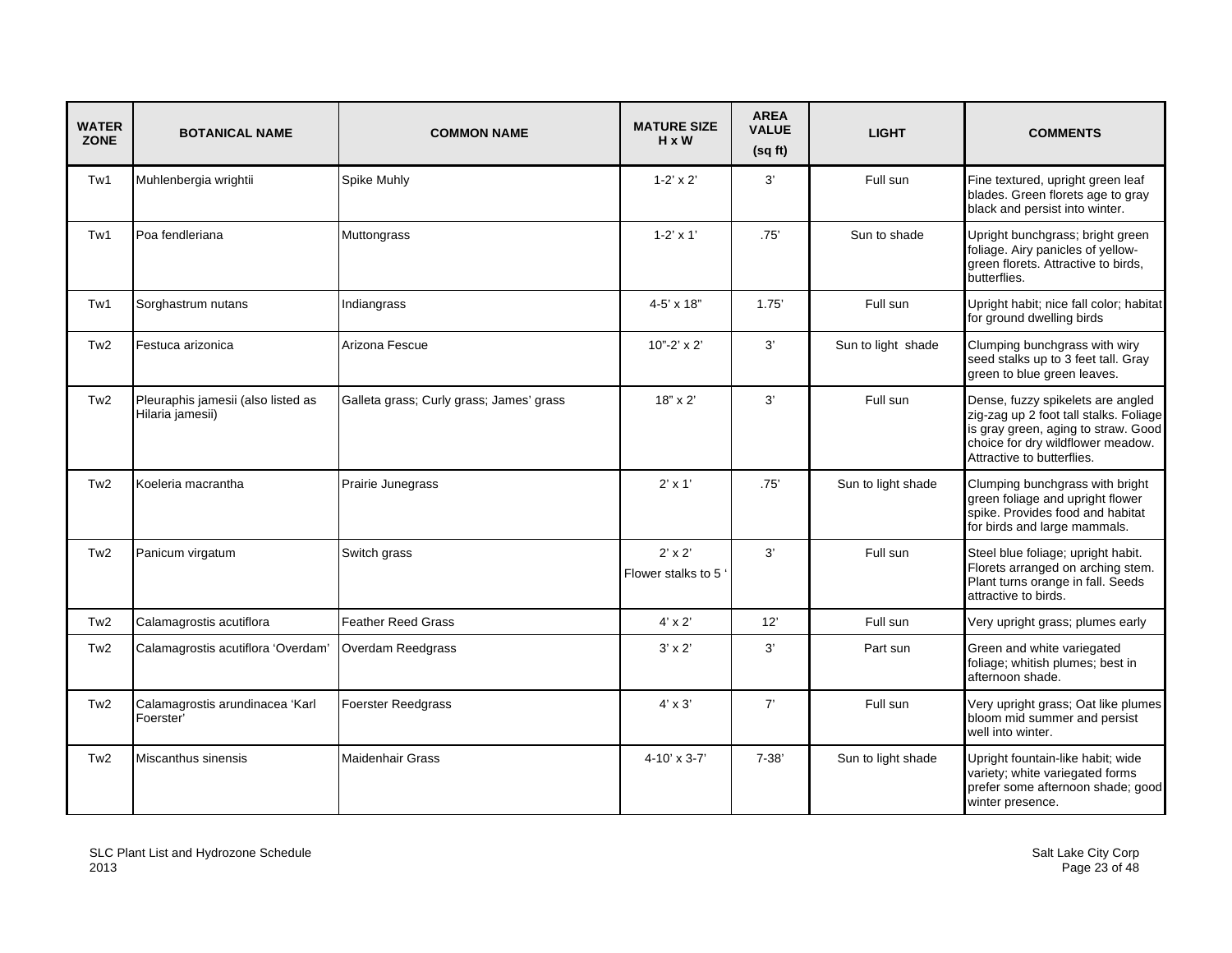| <b>WATER</b><br><b>ZONE</b> | <b>BOTANICAL NAME</b>                                  | <b>COMMON NAME</b>                       | <b>MATURE SIZE</b><br>$H \times W$   | <b>AREA</b><br><b>VALUE</b><br>(sqft) | <b>LIGHT</b>       | <b>COMMENTS</b>                                                                                                                                                                       |
|-----------------------------|--------------------------------------------------------|------------------------------------------|--------------------------------------|---------------------------------------|--------------------|---------------------------------------------------------------------------------------------------------------------------------------------------------------------------------------|
| Tw1                         | Muhlenbergia wrightii                                  | Spike Muhly                              | $1-2' \times 2'$                     | 3'                                    | Full sun           | Fine textured, upright green leaf<br>blades. Green florets age to gray<br>black and persist into winter.                                                                              |
| Tw1                         | Poa fendleriana                                        | Muttongrass                              | $1 - 2' \times 1'$                   | .75'                                  | Sun to shade       | Upright bunchgrass; bright green<br>foliage. Airy panicles of yellow-<br>green florets. Attractive to birds,<br>butterflies.                                                          |
| Tw1                         | Sorghastrum nutans                                     | Indiangrass                              | $4 - 5' \times 18"$                  | 1.75'                                 | Full sun           | Upright habit; nice fall color; habitat<br>for ground dwelling birds                                                                                                                  |
| Tw <sub>2</sub>             | Festuca arizonica                                      | Arizona Fescue                           | $10" - 2' \times 2'$                 | 3'                                    | Sun to light shade | Clumping bunchgrass with wiry<br>seed stalks up to 3 feet tall. Gray<br>green to blue green leaves.                                                                                   |
| Tw <sub>2</sub>             | Pleuraphis jamesii (also listed as<br>Hilaria jamesii) | Galleta grass; Curly grass; James' grass | 18" x 2'                             | 3'                                    | Full sun           | Dense, fuzzy spikelets are angled<br>zig-zag up 2 foot tall stalks. Foliage<br>is gray green, aging to straw. Good<br>choice for dry wildflower meadow.<br>Attractive to butterflies. |
| Tw <sub>2</sub>             | Koeleria macrantha                                     | Prairie Junegrass                        | $2' \times 1'$                       | .75'                                  | Sun to light shade | Clumping bunchgrass with bright<br>green foliage and upright flower<br>spike. Provides food and habitat<br>for birds and large mammals.                                               |
| Tw <sub>2</sub>             | Panicum virgatum                                       | Switch grass                             | $2' \times 2'$<br>Flower stalks to 5 | 3'                                    | Full sun           | Steel blue foliage; upright habit.<br>Florets arranged on arching stem.<br>Plant turns orange in fall. Seeds<br>attractive to birds.                                                  |
| Tw <sub>2</sub>             | Calamagrostis acutiflora                               | <b>Feather Reed Grass</b>                | $4' \times 2'$                       | 12'                                   | Full sun           | Very upright grass; plumes early                                                                                                                                                      |
| Tw <sub>2</sub>             | Calamagrostis acutiflora 'Overdam'                     | Overdam Reedgrass                        | $3' \times 2'$                       | 3'                                    | Part sun           | Green and white variegated<br>foliage; whitish plumes; best in<br>afternoon shade.                                                                                                    |
| Tw <sub>2</sub>             | Calamagrostis arundinacea 'Karl<br>Foerster'           | <b>Foerster Reedgrass</b>                | $4' \times 3'$                       | 7'                                    | Full sun           | Very upright grass; Oat like plumes<br>bloom mid summer and persist<br>well into winter.                                                                                              |
| Tw <sub>2</sub>             | Miscanthus sinensis                                    | <b>Maidenhair Grass</b>                  | $4 - 10' \times 3 - 7'$              | $7 - 38'$                             | Sun to light shade | Upright fountain-like habit; wide<br>variety; white variegated forms<br>prefer some afternoon shade; good<br>winter presence.                                                         |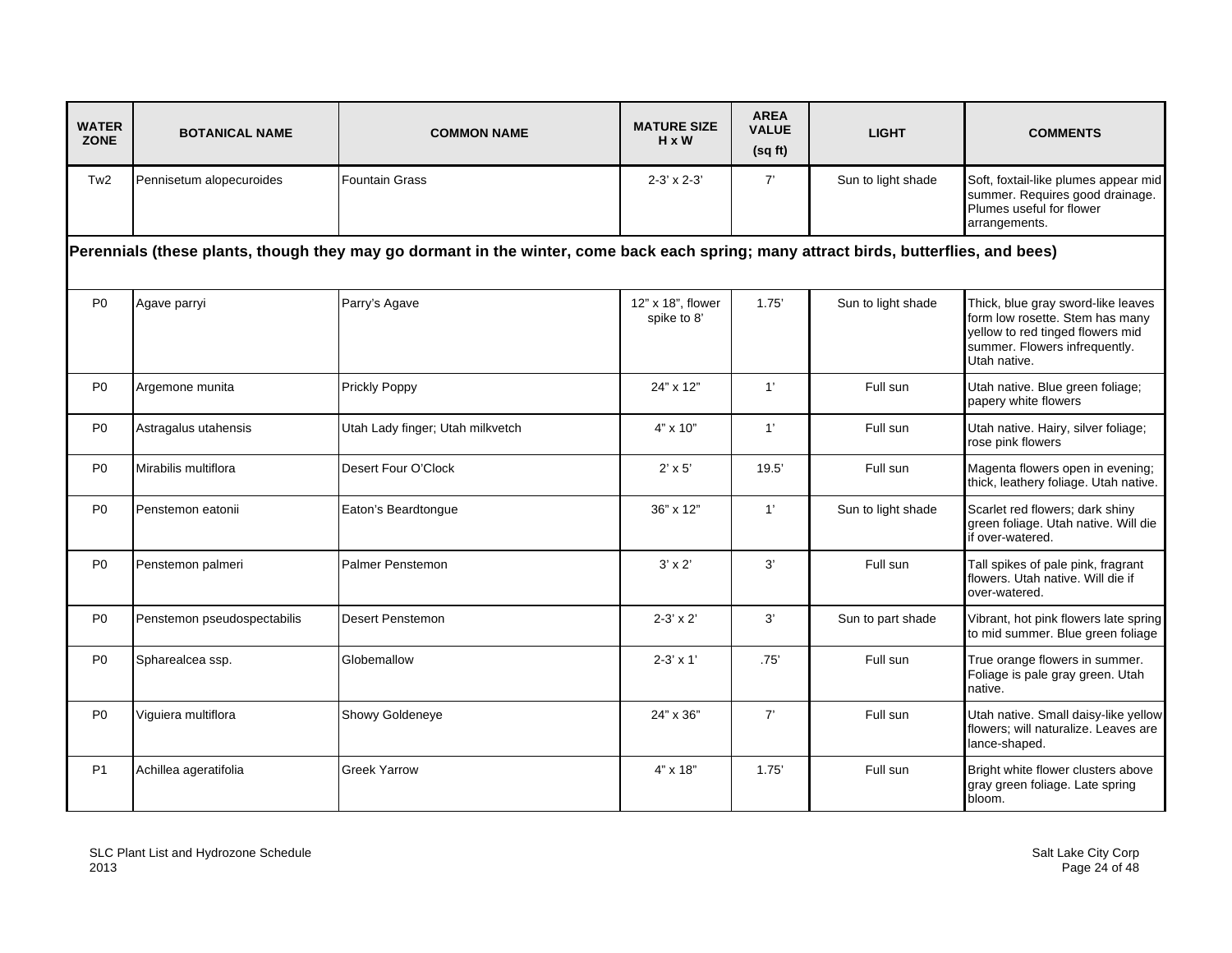| <b>WATER</b><br><b>ZONE</b> | <b>BOTANICAL NAME</b>                                                                                                                 | <b>COMMON NAME</b>               | <b>MATURE SIZE</b><br>$H \times W$ | <b>AREA</b><br><b>VALUE</b><br>(sq ft) | <b>LIGHT</b>       | <b>COMMENTS</b>                                                                                                                                            |  |  |  |
|-----------------------------|---------------------------------------------------------------------------------------------------------------------------------------|----------------------------------|------------------------------------|----------------------------------------|--------------------|------------------------------------------------------------------------------------------------------------------------------------------------------------|--|--|--|
| Tw <sub>2</sub>             | Pennisetum alopecuroides                                                                                                              | <b>Fountain Grass</b>            | $2-3' \times 2-3'$                 | 7'                                     | Sun to light shade | Soft, foxtail-like plumes appear mid<br>summer. Requires good drainage.<br>Plumes useful for flower<br>arrangements.                                       |  |  |  |
|                             | Perennials (these plants, though they may go dormant in the winter, come back each spring; many attract birds, butterflies, and bees) |                                  |                                    |                                        |                    |                                                                                                                                                            |  |  |  |
| P <sub>0</sub>              | Agave parryi                                                                                                                          | Parry's Agave                    | 12" x 18", flower<br>spike to 8'   | 1.75'                                  | Sun to light shade | Thick, blue gray sword-like leaves<br>form low rosette. Stem has many<br>yellow to red tinged flowers mid<br>summer. Flowers infrequently.<br>Utah native. |  |  |  |
| P <sub>0</sub>              | Argemone munita                                                                                                                       | <b>Prickly Poppy</b>             | 24" x 12"                          | 1'                                     | Full sun           | Utah native. Blue green foliage;<br>papery white flowers                                                                                                   |  |  |  |
| P <sub>0</sub>              | Astragalus utahensis                                                                                                                  | Utah Lady finger; Utah milkvetch | $4" \times 10"$                    | 1'                                     | Full sun           | Utah native. Hairy, silver foliage;<br>rose pink flowers                                                                                                   |  |  |  |
| P <sub>0</sub>              | Mirabilis multiflora                                                                                                                  | Desert Four O'Clock              | $2' \times 5'$                     | 19.5'                                  | Full sun           | Magenta flowers open in evening;<br>thick, leathery foliage. Utah native.                                                                                  |  |  |  |
| P <sub>0</sub>              | Penstemon eatonii                                                                                                                     | Eaton's Beardtongue              | 36" x 12"                          | 1'                                     | Sun to light shade | Scarlet red flowers; dark shiny<br>green foliage. Utah native. Will die<br>if over-watered.                                                                |  |  |  |
| P <sub>0</sub>              | Penstemon palmeri                                                                                                                     | Palmer Penstemon                 | $3' \times 2'$                     | 3'                                     | Full sun           | Tall spikes of pale pink, fragrant<br>flowers. Utah native. Will die if<br>over-watered.                                                                   |  |  |  |
| P <sub>0</sub>              | Penstemon pseudospectabilis                                                                                                           | <b>Desert Penstemon</b>          | $2 - 3' \times 2'$                 | 3'                                     | Sun to part shade  | Vibrant, hot pink flowers late spring<br>to mid summer. Blue green foliage                                                                                 |  |  |  |
| P <sub>0</sub>              | Spharealcea ssp.                                                                                                                      | Globemallow                      | $2-3' \times 1'$                   | .75'                                   | Full sun           | True orange flowers in summer.<br>Foliage is pale gray green. Utah<br>native.                                                                              |  |  |  |
| P <sub>0</sub>              | Viguiera multiflora                                                                                                                   | <b>Showy Goldeneye</b>           | 24" x 36"                          | 7'                                     | Full sun           | Utah native. Small daisy-like yellow<br>flowers; will naturalize. Leaves are<br>lance-shaped.                                                              |  |  |  |
| <b>P1</b>                   | Achillea ageratifolia                                                                                                                 | <b>Greek Yarrow</b>              | $4" \times 18"$                    | 1.75'                                  | Full sun           | Bright white flower clusters above<br>gray green foliage. Late spring<br>bloom.                                                                            |  |  |  |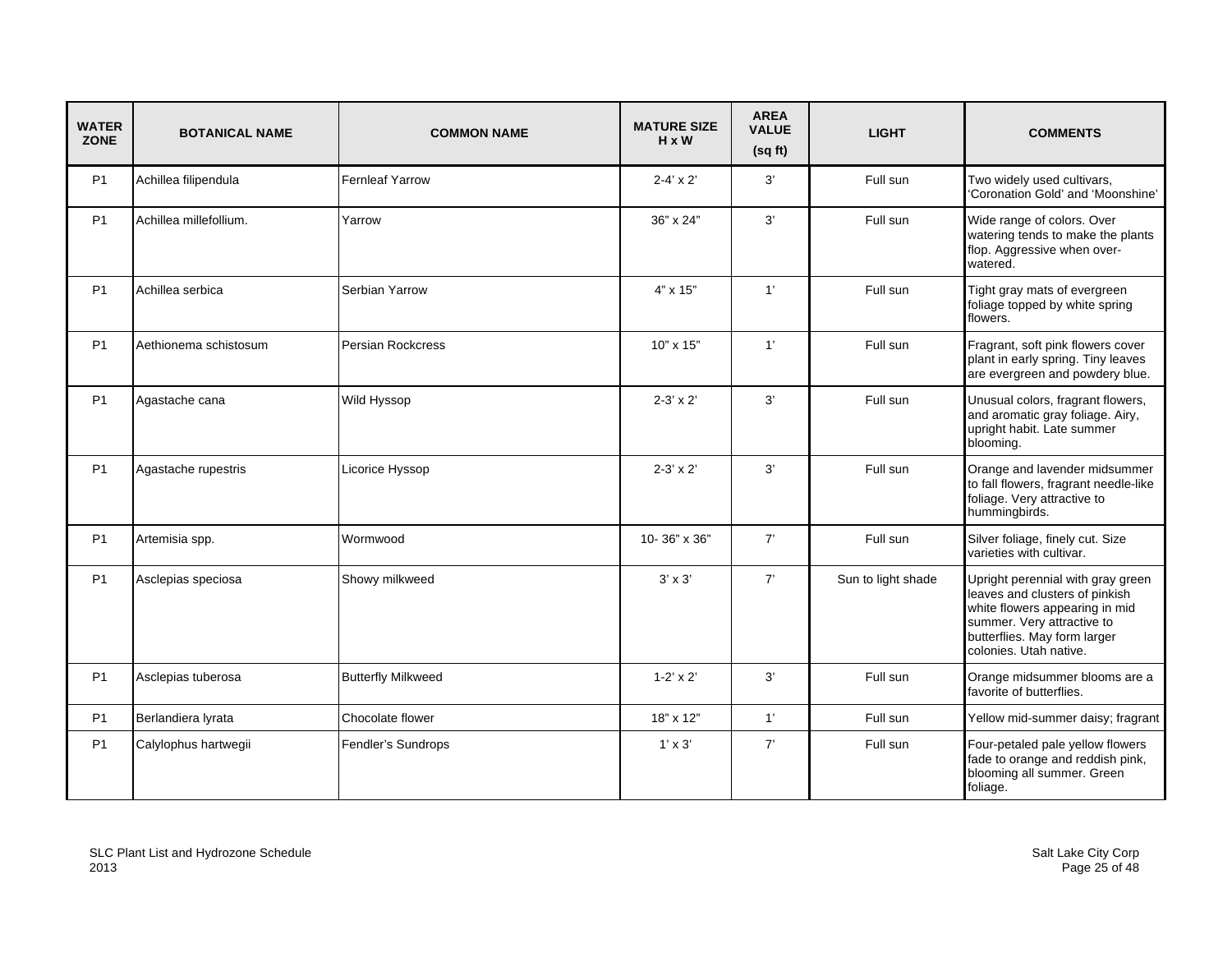| <b>WATER</b><br><b>ZONE</b> | <b>BOTANICAL NAME</b>  | <b>COMMON NAME</b>        | <b>MATURE SIZE</b><br>$H \times W$ | <b>AREA</b><br><b>VALUE</b><br>(sqft) | <b>LIGHT</b>       | <b>COMMENTS</b>                                                                                                                                                                               |
|-----------------------------|------------------------|---------------------------|------------------------------------|---------------------------------------|--------------------|-----------------------------------------------------------------------------------------------------------------------------------------------------------------------------------------------|
| P <sub>1</sub>              | Achillea filipendula   | <b>Fernleaf Yarrow</b>    | $2 - 4' \times 2'$                 | 3'                                    | Full sun           | Two widely used cultivars,<br>'Coronation Gold' and 'Moonshine'                                                                                                                               |
| P <sub>1</sub>              | Achillea millefollium. | Yarrow                    | 36" x 24"                          | 3'                                    | Full sun           | Wide range of colors. Over<br>watering tends to make the plants<br>flop. Aggressive when over-<br>watered.                                                                                    |
| <b>P1</b>                   | Achillea serbica       | Serbian Yarrow            | $4" \times 15"$                    | 1'                                    | Full sun           | Tight gray mats of evergreen<br>foliage topped by white spring<br>flowers.                                                                                                                    |
| <b>P1</b>                   | Aethionema schistosum  | Persian Rockcress         | $10" \times 15"$                   | 1'                                    | Full sun           | Fragrant, soft pink flowers cover<br>plant in early spring. Tiny leaves<br>are evergreen and powdery blue.                                                                                    |
| P <sub>1</sub>              | Agastache cana         | Wild Hyssop               | $2 - 3' \times 2'$                 | 3'                                    | Full sun           | Unusual colors, fragrant flowers,<br>and aromatic gray foliage. Airy,<br>upright habit. Late summer<br>blooming.                                                                              |
| <b>P1</b>                   | Agastache rupestris    | Licorice Hyssop           | $2-3' \times 2'$                   | 3'                                    | Full sun           | Orange and lavender midsummer<br>to fall flowers, fragrant needle-like<br>foliage. Very attractive to<br>hummingbirds.                                                                        |
| <b>P1</b>                   | Artemisia spp.         | Wormwood                  | 10-36" x 36"                       | 7'                                    | Full sun           | Silver foliage, finely cut. Size<br>varieties with cultivar.                                                                                                                                  |
| <b>P1</b>                   | Asclepias speciosa     | Showy milkweed            | $3' \times 3'$                     | 7'                                    | Sun to light shade | Upright perennial with gray green<br>leaves and clusters of pinkish<br>white flowers appearing in mid<br>summer. Very attractive to<br>butterflies. May form larger<br>colonies. Utah native. |
| <b>P1</b>                   | Asclepias tuberosa     | <b>Butterfly Milkweed</b> | $1 - 2' \times 2'$                 | 3'                                    | Full sun           | Orange midsummer blooms are a<br>favorite of butterflies.                                                                                                                                     |
| <b>P1</b>                   | Berlandiera lyrata     | Chocolate flower          | 18" x 12"                          | 1'                                    | Full sun           | Yellow mid-summer daisy; fragrant                                                                                                                                                             |
| <b>P1</b>                   | Calylophus hartwegii   | Fendler's Sundrops        | $1' \times 3'$                     | 7'                                    | Full sun           | Four-petaled pale yellow flowers<br>fade to orange and reddish pink,<br>blooming all summer. Green<br>foliage.                                                                                |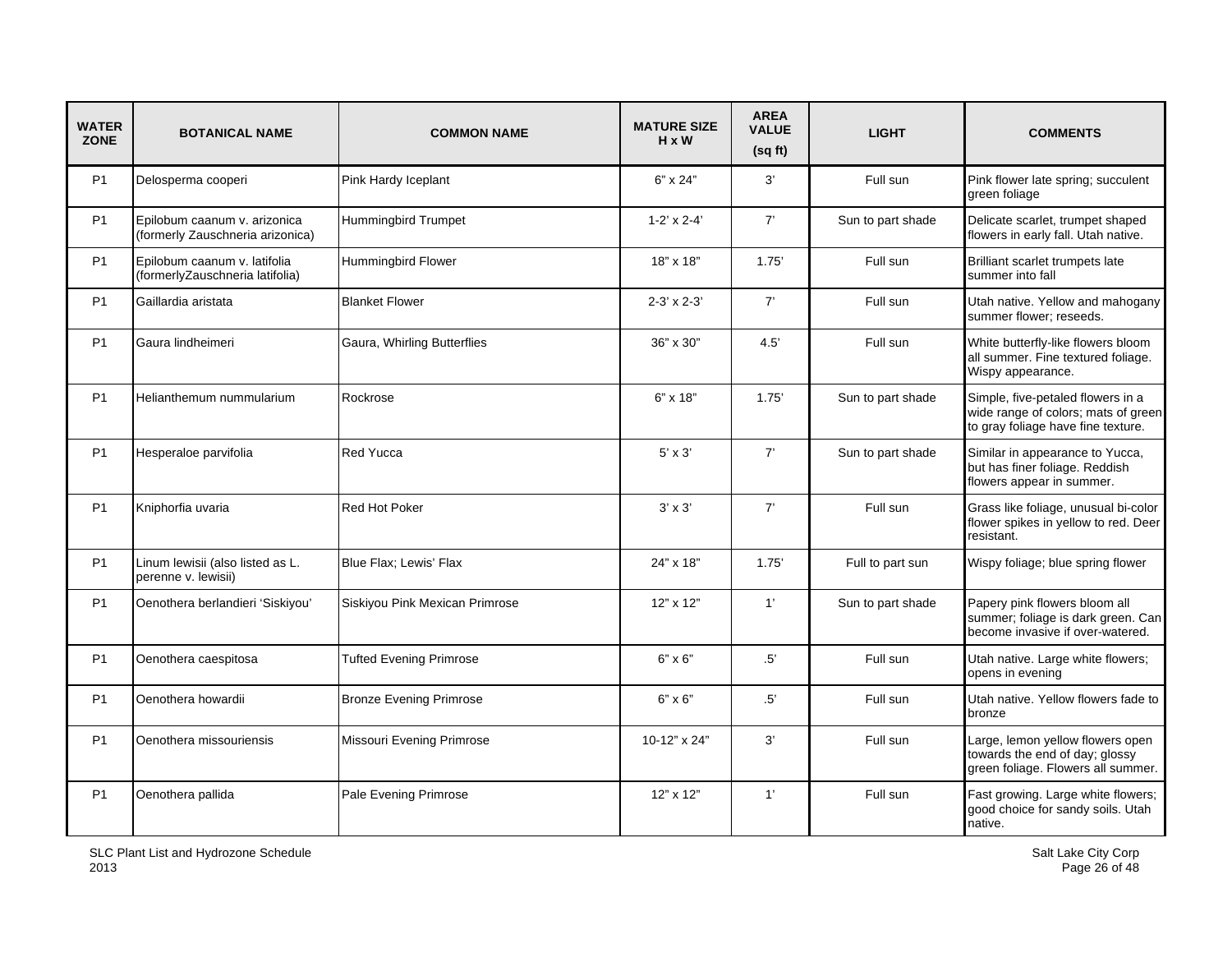| <b>WATER</b><br><b>ZONE</b> | <b>BOTANICAL NAME</b>                                            | <b>COMMON NAME</b>             | <b>MATURE SIZE</b><br>H x W | <b>AREA</b><br><b>VALUE</b><br>(sqft) | <b>LIGHT</b>      | <b>COMMENTS</b>                                                                                                |
|-----------------------------|------------------------------------------------------------------|--------------------------------|-----------------------------|---------------------------------------|-------------------|----------------------------------------------------------------------------------------------------------------|
| P <sub>1</sub>              | Delosperma cooperi                                               | Pink Hardy Iceplant            | $6" \times 24"$             | 3'                                    | Full sun          | Pink flower late spring; succulent<br>green foliage                                                            |
| P <sub>1</sub>              | Epilobum caanum v. arizonica<br>(formerly Zauschneria arizonica) | <b>Hummingbird Trumpet</b>     | $1-2' \times 2-4'$          | 7'                                    | Sun to part shade | Delicate scarlet, trumpet shaped<br>flowers in early fall. Utah native.                                        |
| P <sub>1</sub>              | Epilobum caanum v. latifolia<br>(formerlyZauschneria latifolia)  | Hummingbird Flower             | 18" x 18"                   | 1.75'                                 | Full sun          | Brilliant scarlet trumpets late<br>summer into fall                                                            |
| <b>P1</b>                   | Gaillardia aristata                                              | <b>Blanket Flower</b>          | $2-3' \times 2-3'$          | 7'                                    | Full sun          | Utah native. Yellow and mahogany<br>summer flower; reseeds.                                                    |
| P <sub>1</sub>              | Gaura lindheimeri                                                | Gaura, Whirling Butterflies    | 36" x 30"                   | 4.5                                   | Full sun          | White butterfly-like flowers bloom<br>all summer. Fine textured foliage.<br>Wispy appearance.                  |
| <b>P1</b>                   | Helianthemum nummularium                                         | Rockrose                       | $6" \times 18"$             | 1.75'                                 | Sun to part shade | Simple, five-petaled flowers in a<br>wide range of colors; mats of green<br>to gray foliage have fine texture. |
| P <sub>1</sub>              | Hesperaloe parvifolia                                            | Red Yucca                      | $5' \times 3'$              | 7'                                    | Sun to part shade | Similar in appearance to Yucca,<br>but has finer foliage. Reddish<br>flowers appear in summer.                 |
| P <sub>1</sub>              | Kniphorfia uvaria                                                | Red Hot Poker                  | $3' \times 3'$              | 7'                                    | Full sun          | Grass like foliage, unusual bi-color<br>flower spikes in yellow to red. Deer<br>resistant.                     |
| P <sub>1</sub>              | Linum lewisii (also listed as L.<br>perenne v. lewisii)          | Blue Flax; Lewis' Flax         | 24" x 18"                   | 1.75'                                 | Full to part sun  | Wispy foliage; blue spring flower                                                                              |
| P <sub>1</sub>              | Oenothera berlandieri 'Siskiyou'                                 | Siskiyou Pink Mexican Primrose | 12" x 12"                   | 1'                                    | Sun to part shade | Papery pink flowers bloom all<br>summer; foliage is dark green. Can<br>become invasive if over-watered.        |
| P <sub>1</sub>              | Oenothera caespitosa                                             | <b>Tufted Evening Primrose</b> | $6" \times 6"$              | .5'                                   | Full sun          | Utah native. Large white flowers;<br>opens in evening                                                          |
| P <sub>1</sub>              | Oenothera howardii                                               | <b>Bronze Evening Primrose</b> | $6" \times 6"$              | .5'                                   | Full sun          | Utah native. Yellow flowers fade to<br>bronze                                                                  |
| P <sub>1</sub>              | Oenothera missouriensis                                          | Missouri Evening Primrose      | 10-12" x 24"                | 3'                                    | Full sun          | Large, lemon yellow flowers open<br>towards the end of day; glossy<br>green foliage. Flowers all summer.       |
| P <sub>1</sub>              | Oenothera pallida                                                | Pale Evening Primrose          | 12" x 12"                   | 1'                                    | Full sun          | Fast growing. Large white flowers;<br>good choice for sandy soils. Utah<br>native.                             |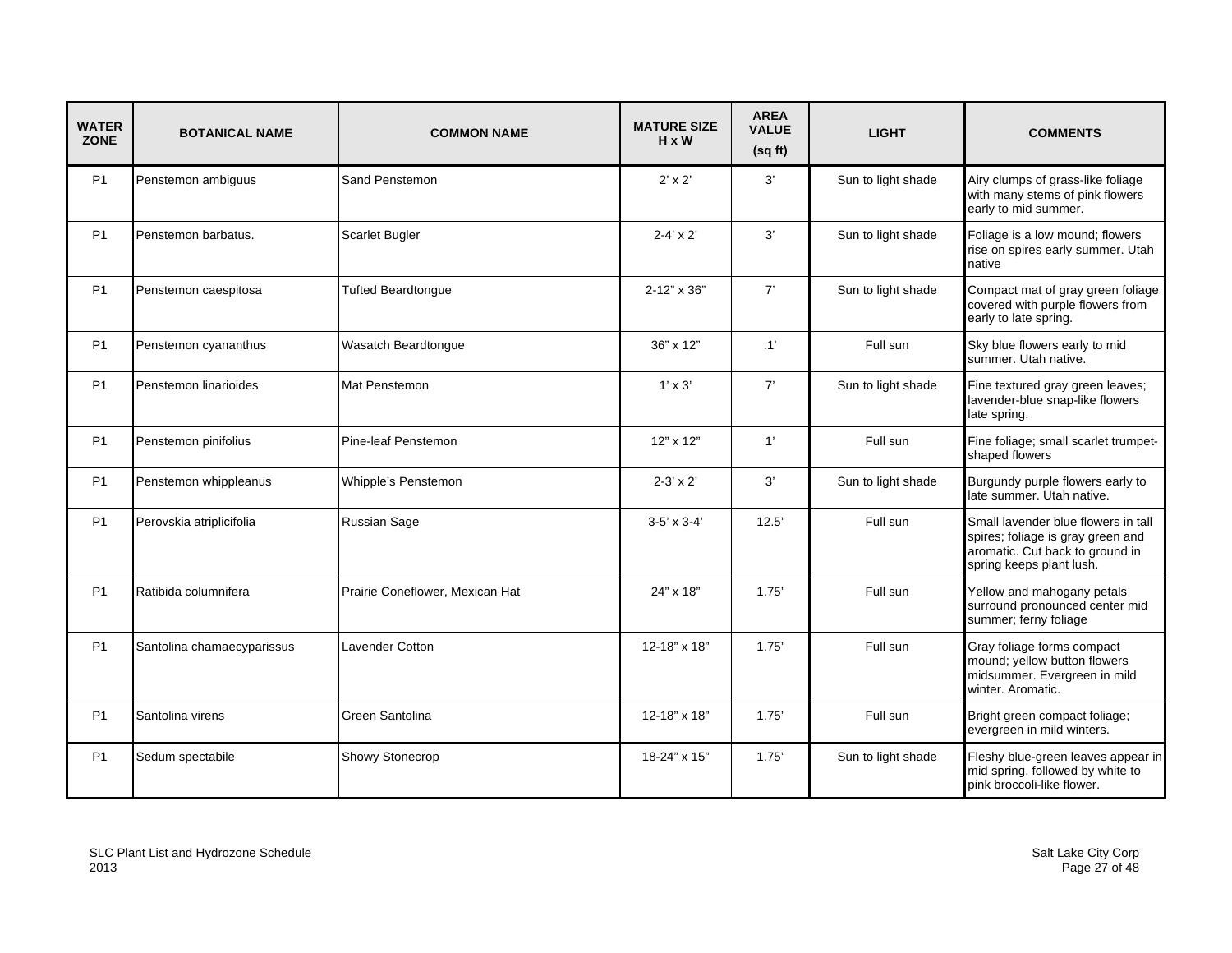| <b>WATER</b><br><b>ZONE</b> | <b>BOTANICAL NAME</b>      | <b>COMMON NAME</b>              | <b>MATURE SIZE</b><br>$H \times W$ | <b>AREA</b><br><b>VALUE</b><br>(sq ft) | <b>LIGHT</b>       | <b>COMMENTS</b>                                                                                                                         |
|-----------------------------|----------------------------|---------------------------------|------------------------------------|----------------------------------------|--------------------|-----------------------------------------------------------------------------------------------------------------------------------------|
| P <sub>1</sub>              | Penstemon ambiguus         | Sand Penstemon                  | $2' \times 2'$                     | 3'                                     | Sun to light shade | Airy clumps of grass-like foliage<br>with many stems of pink flowers<br>early to mid summer.                                            |
| P1                          | Penstemon barbatus.        | Scarlet Bugler                  | $2 - 4' \times 2'$                 | 3'                                     | Sun to light shade | Foliage is a low mound; flowers<br>rise on spires early summer. Utah<br>native                                                          |
| P1                          | Penstemon caespitosa       | <b>Tufted Beardtongue</b>       | 2-12" x 36"                        | 7'                                     | Sun to light shade | Compact mat of gray green foliage<br>covered with purple flowers from<br>early to late spring.                                          |
| P <sub>1</sub>              | Penstemon cyananthus       | Wasatch Beardtonque             | 36" x 12"                          | $\cdot$ 1'                             | Full sun           | Sky blue flowers early to mid<br>summer. Utah native.                                                                                   |
| P <sub>1</sub>              | Penstemon linarioides      | Mat Penstemon                   | $1' \times 3'$                     | 7'                                     | Sun to light shade | Fine textured gray green leaves;<br>lavender-blue snap-like flowers<br>late spring.                                                     |
| <b>P1</b>                   | Penstemon pinifolius       | Pine-leaf Penstemon             | $12" \times 12"$                   | 1'                                     | Full sun           | Fine foliage; small scarlet trumpet-<br>shaped flowers                                                                                  |
| P <sub>1</sub>              | Penstemon whippleanus      | Whipple's Penstemon             | $2-3' \times 2'$                   | 3'                                     | Sun to light shade | Burgundy purple flowers early to<br>late summer. Utah native.                                                                           |
| P1                          | Perovskia atriplicifolia   | Russian Sage                    | $3-5' \times 3-4'$                 | 12.5'                                  | Full sun           | Small lavender blue flowers in tall<br>spires; foliage is gray green and<br>aromatic. Cut back to ground in<br>spring keeps plant lush. |
| P <sub>1</sub>              | Ratibida columnifera       | Prairie Coneflower, Mexican Hat | 24" x 18"                          | 1.75'                                  | Full sun           | Yellow and mahogany petals<br>surround pronounced center mid<br>summer; ferny foliage                                                   |
| P1                          | Santolina chamaecyparissus | Lavender Cotton                 | 12-18" x 18"                       | 1.75'                                  | Full sun           | Gray foliage forms compact<br>mound; yellow button flowers<br>midsummer. Evergreen in mild<br>winter. Aromatic.                         |
| P1                          | Santolina virens           | Green Santolina                 | 12-18" x 18"                       | 1.75'                                  | Full sun           | Bright green compact foliage;<br>evergreen in mild winters.                                                                             |
| P1                          | Sedum spectabile           | Showy Stonecrop                 | 18-24" x 15"                       | 1.75'                                  | Sun to light shade | Fleshy blue-green leaves appear in<br>mid spring, followed by white to<br>pink broccoli-like flower.                                    |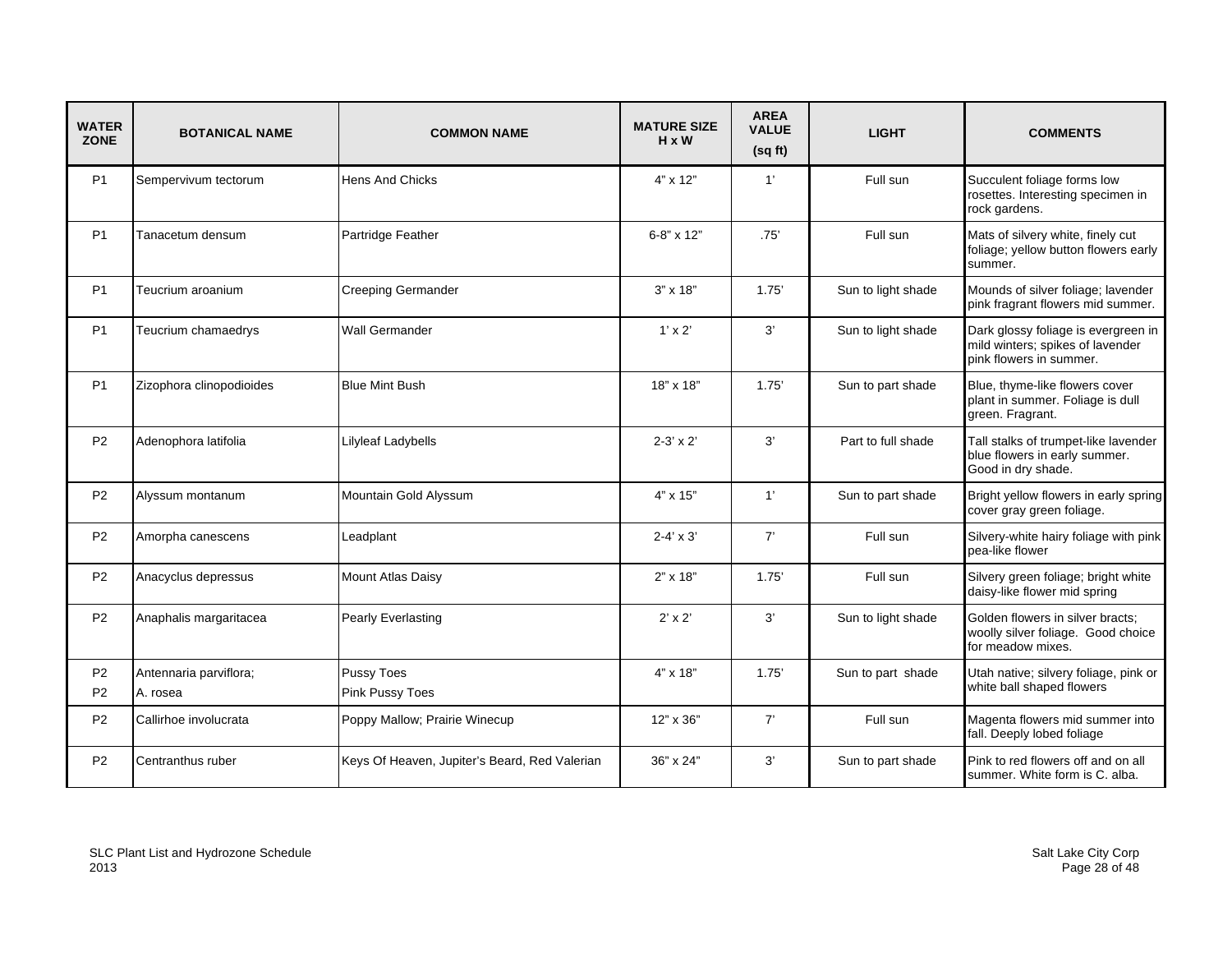| <b>WATER</b><br><b>ZONE</b> | <b>BOTANICAL NAME</b>    | <b>COMMON NAME</b>                            | <b>MATURE SIZE</b><br>$H \times W$ | <b>AREA</b><br><b>VALUE</b><br>(sqft) | <b>LIGHT</b>       | <b>COMMENTS</b>                                                                                    |
|-----------------------------|--------------------------|-----------------------------------------------|------------------------------------|---------------------------------------|--------------------|----------------------------------------------------------------------------------------------------|
| P <sub>1</sub>              | Sempervivum tectorum     | <b>Hens And Chicks</b>                        | $4" \times 12"$                    | 1'                                    | Full sun           | Succulent foliage forms low<br>rosettes. Interesting specimen in<br>rock gardens.                  |
| P1                          | Tanacetum densum         | Partridge Feather                             | 6-8" x 12"                         | .75'                                  | Full sun           | Mats of silvery white, finely cut<br>foliage; yellow button flowers early<br>summer.               |
| <b>P1</b>                   | Teucrium aroanium        | <b>Creeping Germander</b>                     | $3" \times 18"$                    | 1.75'                                 | Sun to light shade | Mounds of silver foliage; lavender<br>pink fragrant flowers mid summer.                            |
| P <sub>1</sub>              | Teucrium chamaedrys      | <b>Wall Germander</b>                         | $1' \times 2'$                     | 3'                                    | Sun to light shade | Dark glossy foliage is evergreen in<br>mild winters; spikes of lavender<br>pink flowers in summer. |
| <b>P1</b>                   | Zizophora clinopodioides | <b>Blue Mint Bush</b>                         | 18" x 18"                          | 1.75'                                 | Sun to part shade  | Blue, thyme-like flowers cover<br>plant in summer. Foliage is dull<br>green. Fragrant.             |
| <b>P2</b>                   | Adenophora latifolia     | Lilyleaf Ladybells                            | $2-3' \times 2'$                   | 3'                                    | Part to full shade | Tall stalks of trumpet-like lavender<br>blue flowers in early summer.<br>Good in dry shade.        |
| P <sub>2</sub>              | Alyssum montanum         | Mountain Gold Alyssum                         | 4" x 15"                           | 1'                                    | Sun to part shade  | Bright yellow flowers in early spring<br>cover gray green foliage.                                 |
| <b>P2</b>                   | Amorpha canescens        | Leadplant                                     | $2 - 4' \times 3'$                 | 7'                                    | Full sun           | Silvery-white hairy foliage with pink<br>pea-like flower                                           |
| P <sub>2</sub>              | Anacyclus depressus      | Mount Atlas Daisy                             | $2" \times 18"$                    | 1.75'                                 | Full sun           | Silvery green foliage; bright white<br>daisy-like flower mid spring                                |
| P <sub>2</sub>              | Anaphalis margaritacea   | Pearly Everlasting                            | $2' \times 2'$                     | 3'                                    | Sun to light shade | Golden flowers in silver bracts;<br>woolly silver foliage. Good choice<br>for meadow mixes.        |
| P <sub>2</sub>              | Antennaria parviflora;   | Pussy Toes                                    | $4" \times 18"$                    | 1.75'                                 | Sun to part shade  | Utah native; silvery foliage, pink or<br>white ball shaped flowers                                 |
| <b>P2</b>                   | A. rosea                 | Pink Pussy Toes                               |                                    |                                       |                    |                                                                                                    |
| P <sub>2</sub>              | Callirhoe involucrata    | Poppy Mallow; Prairie Winecup                 | $12" \times 36"$                   | 7'                                    | Full sun           | Magenta flowers mid summer into<br>fall. Deeply lobed foliage                                      |
| P <sub>2</sub>              | Centranthus ruber        | Keys Of Heaven, Jupiter's Beard, Red Valerian | 36" x 24"                          | 3'                                    | Sun to part shade  | Pink to red flowers off and on all<br>summer. White form is C. alba.                               |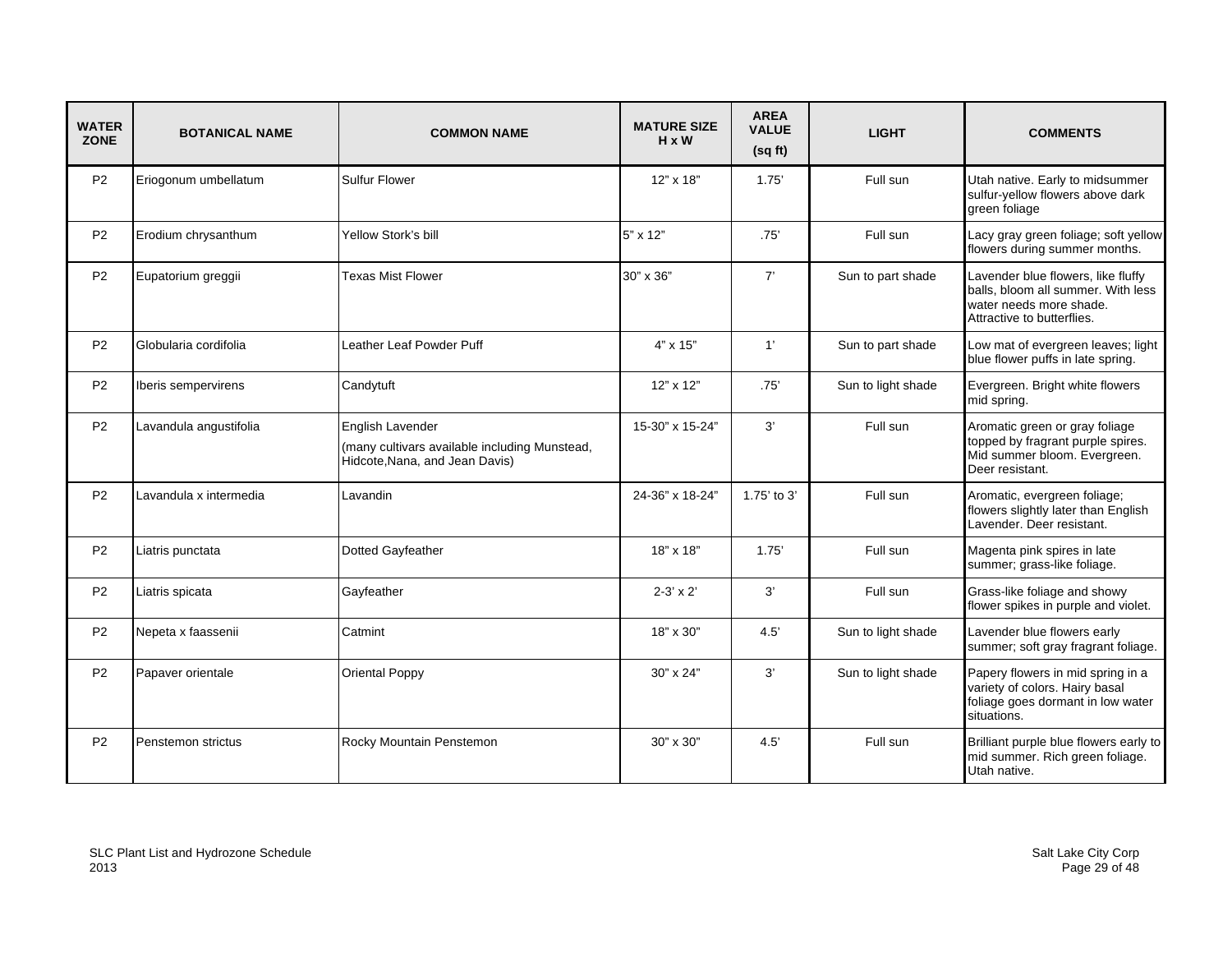| <b>WATER</b><br><b>ZONE</b> | <b>BOTANICAL NAME</b>  | <b>COMMON NAME</b>                                                                                  | <b>MATURE SIZE</b><br>$H \times W$ | <b>AREA</b><br><b>VALUE</b><br>(sqft) | <b>LIGHT</b>       | <b>COMMENTS</b>                                                                                                                   |
|-----------------------------|------------------------|-----------------------------------------------------------------------------------------------------|------------------------------------|---------------------------------------|--------------------|-----------------------------------------------------------------------------------------------------------------------------------|
| P <sub>2</sub>              | Eriogonum umbellatum   | <b>Sulfur Flower</b>                                                                                | 12" x 18"                          | 1.75'                                 | Full sun           | Utah native. Early to midsummer<br>sulfur-yellow flowers above dark<br>green foliage                                              |
| <b>P2</b>                   | Erodium chrysanthum    | Yellow Stork's bill                                                                                 | 5" x 12"                           | .75'                                  | Full sun           | Lacy gray green foliage; soft yellow<br>flowers during summer months.                                                             |
| <b>P2</b>                   | Eupatorium greggii     | Texas Mist Flower                                                                                   | 30" x 36"                          | 7'                                    | Sun to part shade  | Lavender blue flowers, like fluffy<br>balls, bloom all summer. With less<br>water needs more shade.<br>Attractive to butterflies. |
| <b>P2</b>                   | Globularia cordifolia  | Leather Leaf Powder Puff                                                                            | $4" \times 15"$                    | 1'                                    | Sun to part shade  | Low mat of evergreen leaves; light<br>blue flower puffs in late spring.                                                           |
| P <sub>2</sub>              | Iberis sempervirens    | Candytuft                                                                                           | $12" \times 12"$                   | .75'                                  | Sun to light shade | Evergreen. Bright white flowers<br>mid spring.                                                                                    |
| <b>P2</b>                   | Lavandula angustifolia | English Lavender<br>(many cultivars available including Munstead,<br>Hidcote, Nana, and Jean Davis) | 15-30" x 15-24"                    | 3'                                    | Full sun           | Aromatic green or gray foliage<br>topped by fragrant purple spires.<br>Mid summer bloom. Evergreen.<br>Deer resistant.            |
| <b>P2</b>                   | Lavandula x intermedia | Lavandin                                                                                            | 24-36" x 18-24"                    | 1.75' to 3'                           | Full sun           | Aromatic, evergreen foliage;<br>flowers slightly later than English<br>Lavender. Deer resistant.                                  |
| <b>P2</b>                   | Liatris punctata       | Dotted Gayfeather                                                                                   | 18" x 18"                          | 1.75'                                 | Full sun           | Magenta pink spires in late<br>summer; grass-like foliage.                                                                        |
| P <sub>2</sub>              | Liatris spicata        | Gayfeather                                                                                          | $2 - 3' \times 2'$                 | 3'                                    | Full sun           | Grass-like foliage and showy<br>flower spikes in purple and violet.                                                               |
| <b>P2</b>                   | Nepeta x faassenii     | Catmint                                                                                             | 18" x 30"                          | 4.5'                                  | Sun to light shade | Lavender blue flowers early<br>summer; soft gray fragrant foliage.                                                                |
| P <sub>2</sub>              | Papaver orientale      | <b>Oriental Poppy</b>                                                                               | 30" x 24"                          | 3'                                    | Sun to light shade | Papery flowers in mid spring in a<br>variety of colors. Hairy basal<br>foliage goes dormant in low water<br>situations.           |
| <b>P2</b>                   | Penstemon strictus     | Rocky Mountain Penstemon                                                                            | 30" x 30"                          | 4.5                                   | Full sun           | Brilliant purple blue flowers early to<br>mid summer. Rich green foliage.<br>Utah native.                                         |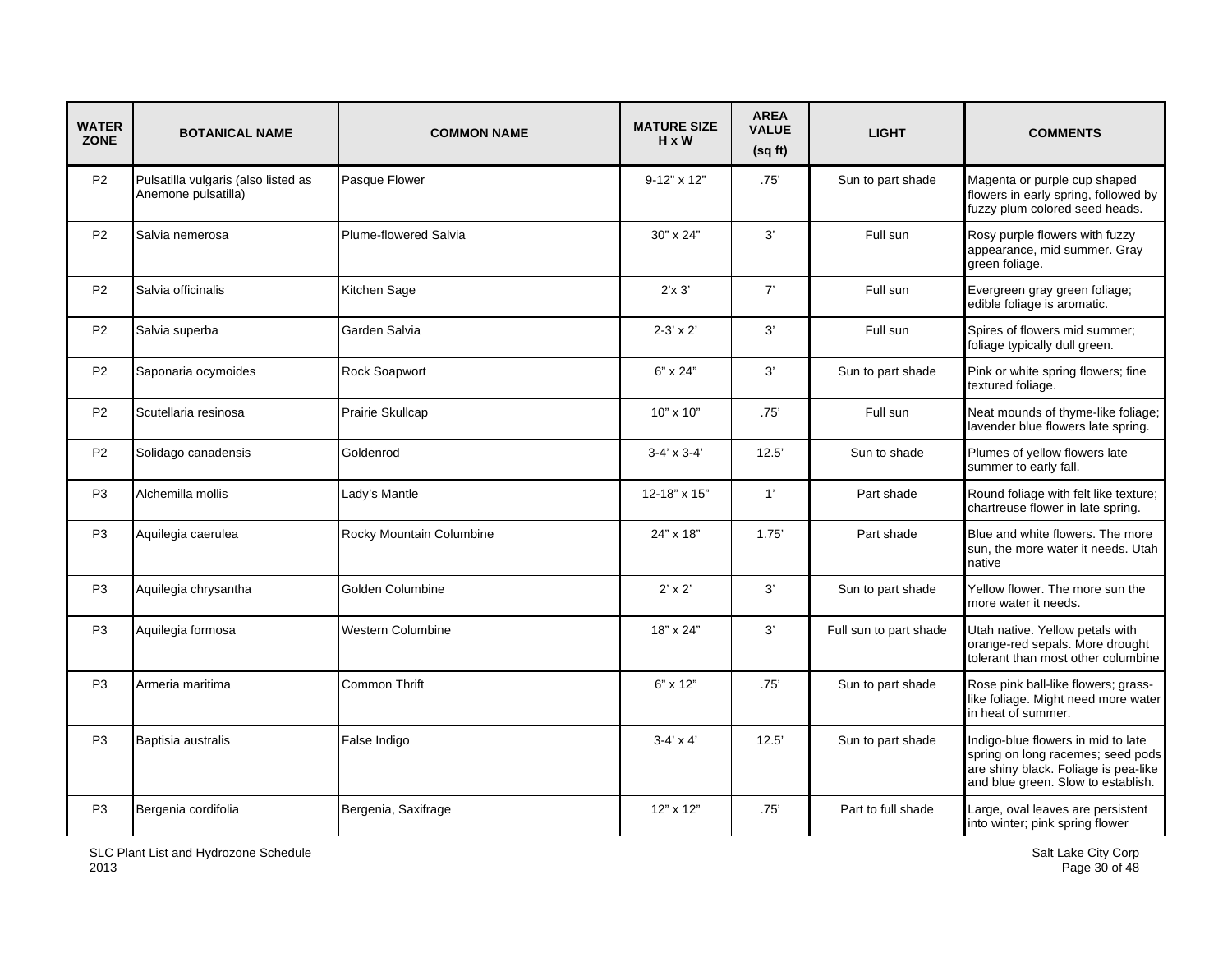| <b>WATER</b><br><b>ZONE</b> | <b>BOTANICAL NAME</b>                                      | <b>COMMON NAME</b>       | <b>MATURE SIZE</b><br>$H \times W$ | <b>AREA</b><br><b>VALUE</b><br>(sqft) | <b>LIGHT</b>           | <b>COMMENTS</b>                                                                                                                                       |
|-----------------------------|------------------------------------------------------------|--------------------------|------------------------------------|---------------------------------------|------------------------|-------------------------------------------------------------------------------------------------------------------------------------------------------|
| P <sub>2</sub>              | Pulsatilla vulgaris (also listed as<br>Anemone pulsatilla) | Pasque Flower            | $9-12" \times 12"$                 | .75'                                  | Sun to part shade      | Magenta or purple cup shaped<br>flowers in early spring, followed by<br>fuzzy plum colored seed heads.                                                |
| P <sub>2</sub>              | Salvia nemerosa                                            | Plume-flowered Salvia    | 30" x 24"                          | 3'                                    | Full sun               | Rosy purple flowers with fuzzy<br>appearance, mid summer. Gray<br>green foliage.                                                                      |
| P <sub>2</sub>              | Salvia officinalis                                         | Kitchen Sage             | $2'$ x $3'$                        | 7'                                    | Full sun               | Evergreen gray green foliage;<br>edible foliage is aromatic.                                                                                          |
| P <sub>2</sub>              | Salvia superba                                             | Garden Salvia            | $2 - 3' \times 2'$                 | 3'                                    | Full sun               | Spires of flowers mid summer;<br>foliage typically dull green.                                                                                        |
| P2                          | Saponaria ocymoides                                        | Rock Soapwort            | 6" x 24"                           | 3'                                    | Sun to part shade      | Pink or white spring flowers; fine<br>textured foliage.                                                                                               |
| P <sub>2</sub>              | Scutellaria resinosa                                       | Prairie Skullcap         | 10" x 10"                          | .75'                                  | Full sun               | Neat mounds of thyme-like foliage;<br>lavender blue flowers late spring.                                                                              |
| P <sub>2</sub>              | Solidago canadensis                                        | Goldenrod                | $3-4' \times 3-4'$                 | 12.5'                                 | Sun to shade           | Plumes of yellow flowers late<br>summer to early fall.                                                                                                |
| P <sub>3</sub>              | Alchemilla mollis                                          | Lady's Mantle            | 12-18" x 15"                       | 1'                                    | Part shade             | Round foliage with felt like texture;<br>chartreuse flower in late spring.                                                                            |
| P <sub>3</sub>              | Aquilegia caerulea                                         | Rocky Mountain Columbine | 24" x 18"                          | 1.75'                                 | Part shade             | Blue and white flowers. The more<br>sun, the more water it needs. Utah<br>native                                                                      |
| P <sub>3</sub>              | Aquilegia chrysantha                                       | Golden Columbine         | $2' \times 2'$                     | 3'                                    | Sun to part shade      | Yellow flower. The more sun the<br>more water it needs.                                                                                               |
| P <sub>3</sub>              | Aquilegia formosa                                          | Western Columbine        | 18" x 24"                          | 3'                                    | Full sun to part shade | Utah native. Yellow petals with<br>orange-red sepals. More drought<br>tolerant than most other columbine                                              |
| P <sub>3</sub>              | Armeria maritima                                           | <b>Common Thrift</b>     | 6" x 12"                           | .75'                                  | Sun to part shade      | Rose pink ball-like flowers; grass-<br>like foliage. Might need more water<br>in heat of summer.                                                      |
| P <sub>3</sub>              | Baptisia australis                                         | False Indigo             | $3-4' \times 4'$                   | 12.5'                                 | Sun to part shade      | Indigo-blue flowers in mid to late<br>spring on long racemes; seed pods<br>are shiny black. Foliage is pea-like<br>and blue green. Slow to establish. |
| P <sub>3</sub>              | Bergenia cordifolia                                        | Bergenia, Saxifrage      | 12" x 12"                          | .75'                                  | Part to full shade     | Large, oval leaves are persistent<br>into winter; pink spring flower                                                                                  |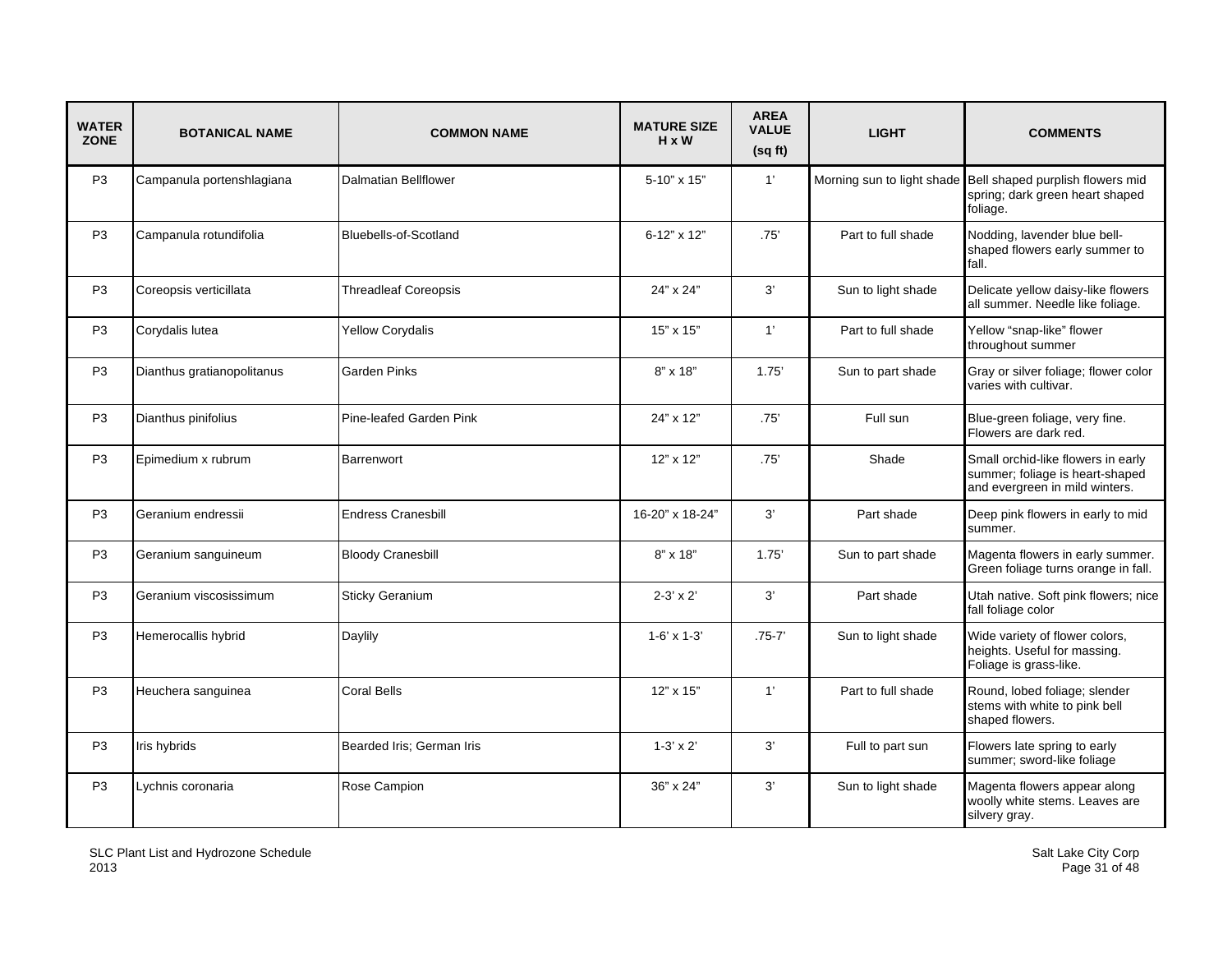| <b>WATER</b><br><b>ZONE</b> | <b>BOTANICAL NAME</b>      | <b>COMMON NAME</b>          | <b>MATURE SIZE</b><br>$H \times W$ | <b>AREA</b><br><b>VALUE</b><br>(sqft) | <b>LIGHT</b>       | <b>COMMENTS</b>                                                                                            |
|-----------------------------|----------------------------|-----------------------------|------------------------------------|---------------------------------------|--------------------|------------------------------------------------------------------------------------------------------------|
| P <sub>3</sub>              | Campanula portenshlagiana  | <b>Dalmatian Bellflower</b> | 5-10" x 15"                        | 1'                                    |                    | Morning sun to light shade Bell shaped purplish flowers mid<br>spring; dark green heart shaped<br>foliage. |
| P <sub>3</sub>              | Campanula rotundifolia     | Bluebells-of-Scotland       | 6-12" x 12"                        | .75'                                  | Part to full shade | Nodding, lavender blue bell-<br>shaped flowers early summer to<br>fall.                                    |
| P <sub>3</sub>              | Coreopsis verticillata     | <b>Threadleaf Coreopsis</b> | 24" x 24"                          | 3'                                    | Sun to light shade | Delicate yellow daisy-like flowers<br>all summer. Needle like foliage.                                     |
| P <sub>3</sub>              | Corydalis lutea            | <b>Yellow Corydalis</b>     | 15" x 15"                          | 1'                                    | Part to full shade | Yellow "snap-like" flower<br>throughout summer                                                             |
| P <sub>3</sub>              | Dianthus gratianopolitanus | Garden Pinks                | 8" x 18"                           | 1.75'                                 | Sun to part shade  | Gray or silver foliage; flower color<br>varies with cultivar.                                              |
| P <sub>3</sub>              | Dianthus pinifolius        | Pine-leafed Garden Pink     | 24" x 12"                          | .75'                                  | Full sun           | Blue-green foliage, very fine.<br>Flowers are dark red.                                                    |
| P <sub>3</sub>              | Epimedium x rubrum         | Barrenwort                  | 12" x 12"                          | .75'                                  | Shade              | Small orchid-like flowers in early<br>summer; foliage is heart-shaped<br>and evergreen in mild winters.    |
| P <sub>3</sub>              | Geranium endressii         | <b>Endress Cranesbill</b>   | 16-20" x 18-24"                    | 3'                                    | Part shade         | Deep pink flowers in early to mid<br>summer.                                                               |
| P <sub>3</sub>              | Geranium sanguineum        | <b>Bloody Cranesbill</b>    | $8" \times 18"$                    | 1.75'                                 | Sun to part shade  | Magenta flowers in early summer.<br>Green foliage turns orange in fall.                                    |
| P <sub>3</sub>              | Geranium viscosissimum     | <b>Sticky Geranium</b>      | $2 - 3' \times 2'$                 | 3'                                    | Part shade         | Utah native. Soft pink flowers; nice<br>fall foliage color                                                 |
| P <sub>3</sub>              | Hemerocallis hybrid        | Daylily                     | $1-6' \times 1-3'$                 | $.75 - 7'$                            | Sun to light shade | Wide variety of flower colors,<br>heights. Useful for massing.<br>Foliage is grass-like.                   |
| P <sub>3</sub>              | Heuchera sanguinea         | <b>Coral Bells</b>          | $12"$ x $15"$                      | 1'                                    | Part to full shade | Round, lobed foliage; slender<br>stems with white to pink bell<br>shaped flowers.                          |
| P <sub>3</sub>              | Iris hybrids               | Bearded Iris; German Iris   | $1-3' \times 2'$                   | 3'                                    | Full to part sun   | Flowers late spring to early<br>summer; sword-like foliage                                                 |
| P <sub>3</sub>              | Lychnis coronaria          | Rose Campion                | 36" x 24"                          | 3'                                    | Sun to light shade | Magenta flowers appear along<br>woolly white stems. Leaves are<br>silvery gray.                            |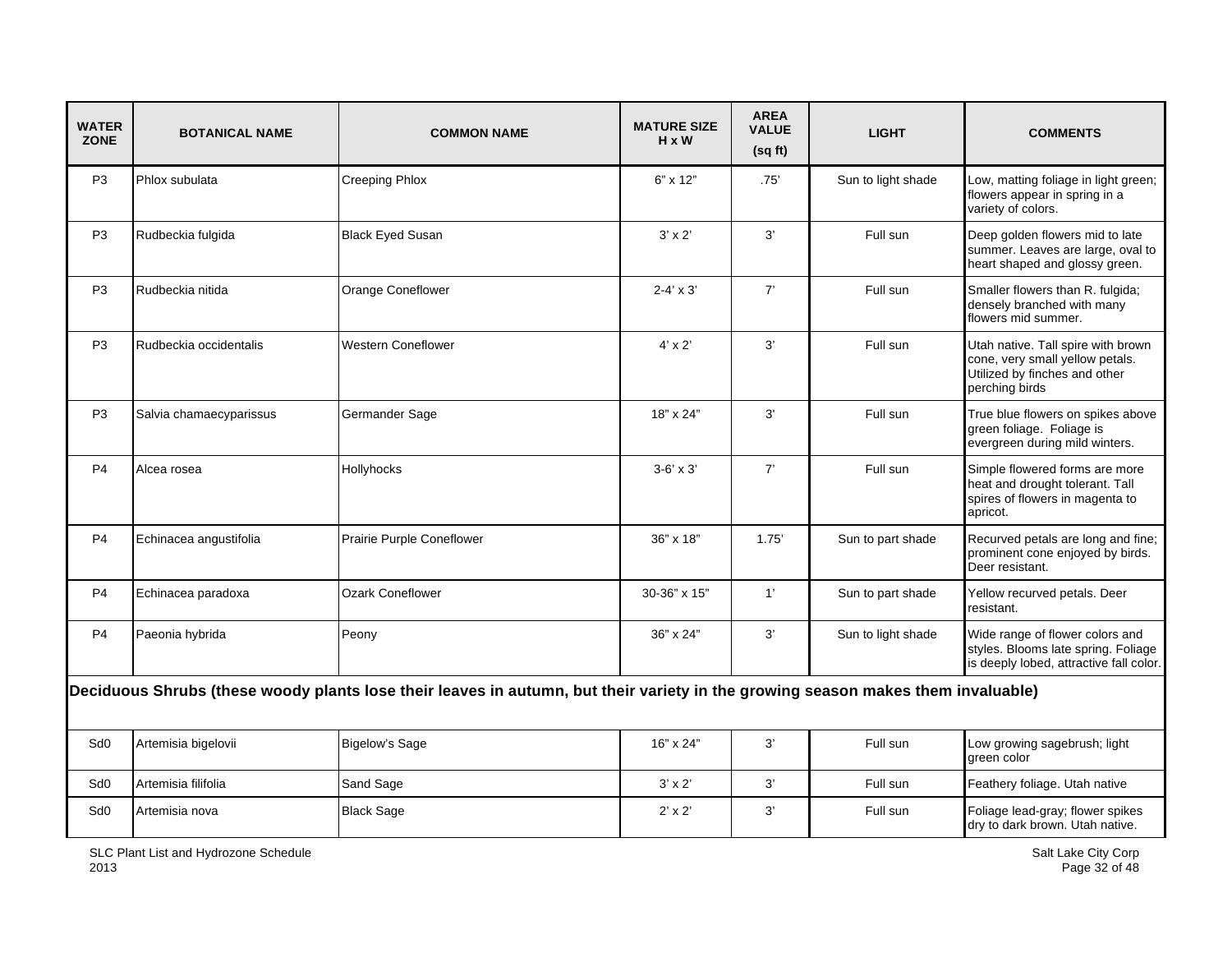| <b>WATER</b><br><b>ZONE</b> | <b>BOTANICAL NAME</b>                                                                                                            | <b>COMMON NAME</b>        | <b>MATURE SIZE</b><br>$H \times W$ | <b>AREA</b><br><b>VALUE</b><br>(sqft) | <b>LIGHT</b>       | <b>COMMENTS</b>                                                                                                          |  |  |
|-----------------------------|----------------------------------------------------------------------------------------------------------------------------------|---------------------------|------------------------------------|---------------------------------------|--------------------|--------------------------------------------------------------------------------------------------------------------------|--|--|
| P <sub>3</sub>              | Phlox subulata                                                                                                                   | <b>Creeping Phlox</b>     | $6" \times 12"$                    | .75'                                  | Sun to light shade | Low, matting foliage in light green;<br>flowers appear in spring in a<br>variety of colors.                              |  |  |
| P <sub>3</sub>              | Rudbeckia fulgida                                                                                                                | <b>Black Eyed Susan</b>   | $3' \times 2'$                     | 3'                                    | Full sun           | Deep golden flowers mid to late<br>summer. Leaves are large, oval to<br>heart shaped and glossy green.                   |  |  |
| P <sub>3</sub>              | Rudbeckia nitida                                                                                                                 | Orange Coneflower         | $2 - 4' \times 3'$                 | 7'                                    | Full sun           | Smaller flowers than R. fulgida;<br>densely branched with many<br>flowers mid summer.                                    |  |  |
| P <sub>3</sub>              | Rudbeckia occidentalis                                                                                                           | <b>Western Coneflower</b> | $4' \times 2'$                     | 3'                                    | Full sun           | Utah native. Tall spire with brown<br>cone, very small yellow petals.<br>Utilized by finches and other<br>perching birds |  |  |
| P <sub>3</sub>              | Salvia chamaecyparissus                                                                                                          | Germander Sage            | 18" x 24"                          | 3'                                    | Full sun           | True blue flowers on spikes above<br>green foliage. Foliage is<br>evergreen during mild winters.                         |  |  |
| P <sub>4</sub>              | Alcea rosea                                                                                                                      | Hollyhocks                | $3-6' \times 3'$                   | 7'                                    | Full sun           | Simple flowered forms are more<br>heat and drought tolerant. Tall<br>spires of flowers in magenta to<br>apricot.         |  |  |
| P <sub>4</sub>              | Echinacea angustifolia                                                                                                           | Prairie Purple Coneflower | 36" x 18"                          | 1.75'                                 | Sun to part shade  | Recurved petals are long and fine;<br>prominent cone enjoyed by birds.<br>Deer resistant.                                |  |  |
| P <sub>4</sub>              | Echinacea paradoxa                                                                                                               | <b>Ozark Coneflower</b>   | 30-36" x 15"                       | 1'                                    | Sun to part shade  | Yellow recurved petals. Deer<br>resistant.                                                                               |  |  |
| P <sub>4</sub>              | Paeonia hybrida                                                                                                                  | Peony                     | 36" x 24"                          | 3'                                    | Sun to light shade | Wide range of flower colors and<br>styles. Blooms late spring. Foliage<br>is deeply lobed, attractive fall color.        |  |  |
|                             | Deciduous Shrubs (these woody plants lose their leaves in autumn, but their variety in the growing season makes them invaluable) |                           |                                    |                                       |                    |                                                                                                                          |  |  |
| Sd <sub>0</sub>             | Artemisia bigelovii                                                                                                              | <b>Bigelow's Sage</b>     | 16" x 24"                          | 3'                                    | Full sun           | Low growing sagebrush; light<br>green color                                                                              |  |  |
| Sd <sub>0</sub>             | Artemisia filifolia                                                                                                              | Sand Sage                 | $3' \times 2'$                     | 3'                                    | Full sun           | Feathery foliage. Utah native                                                                                            |  |  |
| Sd <sub>0</sub>             | Artemisia nova                                                                                                                   | <b>Black Sage</b>         | $2' \times 2'$                     | 3'                                    | Full sun           | Foliage lead-gray; flower spikes<br>dry to dark brown. Utah native.                                                      |  |  |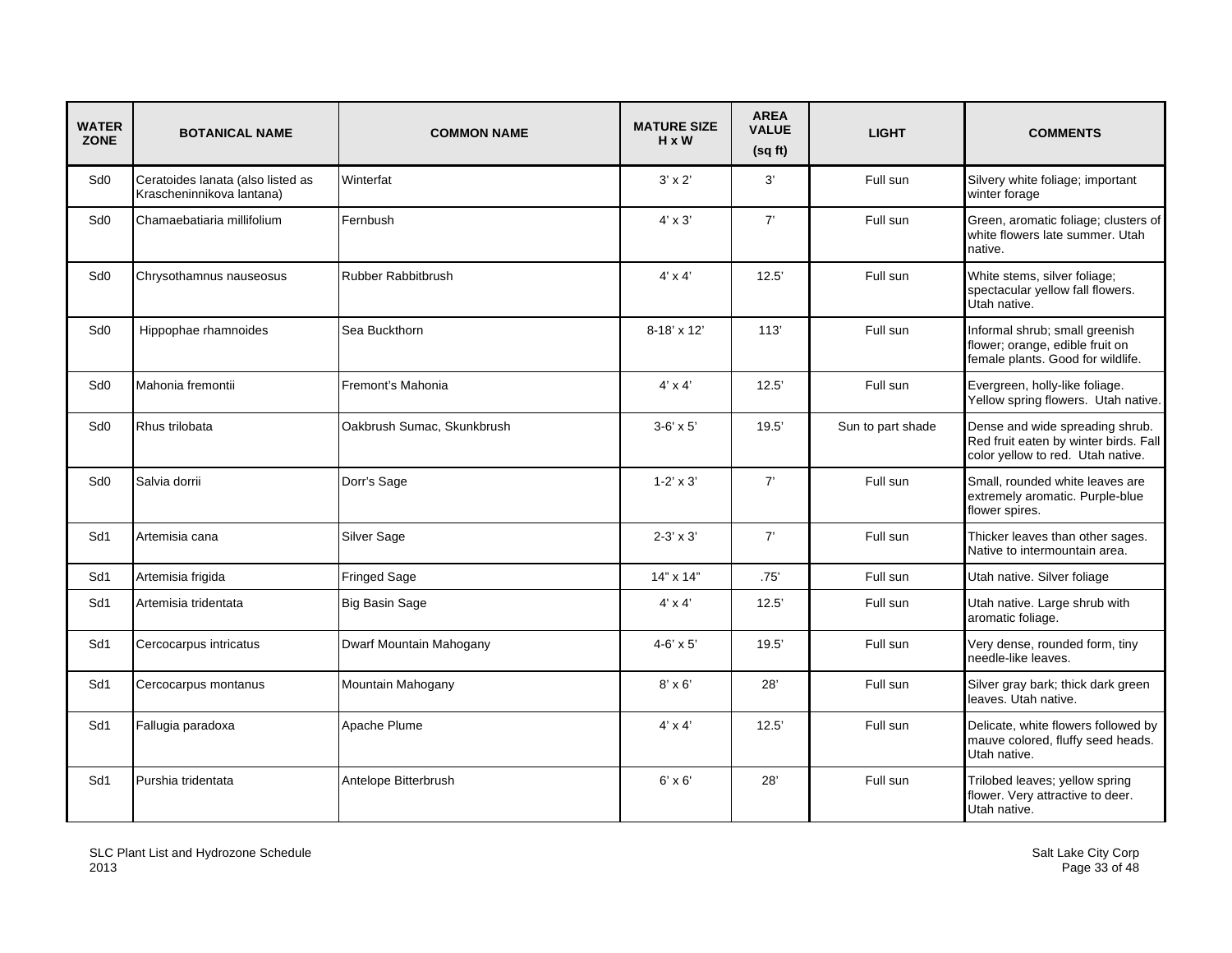| <b>WATER</b><br><b>ZONE</b> | <b>BOTANICAL NAME</b>                                          | <b>COMMON NAME</b>         | <b>MATURE SIZE</b><br>H x W | <b>AREA</b><br><b>VALUE</b><br>(sqft) | <b>LIGHT</b>      | <b>COMMENTS</b>                                                                                               |
|-----------------------------|----------------------------------------------------------------|----------------------------|-----------------------------|---------------------------------------|-------------------|---------------------------------------------------------------------------------------------------------------|
| Sd <sub>0</sub>             | Ceratoides lanata (also listed as<br>Krascheninnikova lantana) | Winterfat                  | $3' \times 2'$              | 3'                                    | Full sun          | Silvery white foliage; important<br>winter forage                                                             |
| Sd <sub>0</sub>             | Chamaebatiaria millifolium                                     | Fernbush                   | $4' \times 3'$              | 7'                                    | Full sun          | Green, aromatic foliage; clusters of<br>white flowers late summer. Utah<br>native.                            |
| Sd <sub>0</sub>             | Chrysothamnus nauseosus                                        | <b>Rubber Rabbitbrush</b>  | $4' \times 4'$              | 12.5'                                 | Full sun          | White stems, silver foliage;<br>spectacular yellow fall flowers.<br>Utah native.                              |
| Sd <sub>0</sub>             | Hippophae rhamnoides                                           | Sea Buckthorn              | $8-18' \times 12'$          | 113'                                  | Full sun          | Informal shrub; small greenish<br>flower; orange, edible fruit on<br>female plants. Good for wildlife.        |
| Sd <sub>0</sub>             | Mahonia fremontii                                              | Fremont's Mahonia          | $4' \times 4'$              | 12.5'                                 | Full sun          | Evergreen, holly-like foliage.<br>Yellow spring flowers. Utah native.                                         |
| Sd <sub>0</sub>             | Rhus trilobata                                                 | Oakbrush Sumac, Skunkbrush | $3-6' \times 5'$            | 19.5'                                 | Sun to part shade | Dense and wide spreading shrub.<br>Red fruit eaten by winter birds. Fall<br>color yellow to red. Utah native. |
| Sd <sub>0</sub>             | Salvia dorrii                                                  | Dorr's Sage                | $1 - 2' \times 3'$          | 7'                                    | Full sun          | Small, rounded white leaves are<br>extremely aromatic. Purple-blue<br>flower spires.                          |
| Sd1                         | Artemisia cana                                                 | Silver Sage                | $2-3' \times 3'$            | 7'                                    | Full sun          | Thicker leaves than other sages.<br>Native to intermountain area.                                             |
| Sd1                         | Artemisia frigida                                              | <b>Fringed Sage</b>        | 14" x 14"                   | .75'                                  | Full sun          | Utah native. Silver foliage                                                                                   |
| Sd1                         | Artemisia tridentata                                           | <b>Big Basin Sage</b>      | $4' \times 4'$              | 12.5'                                 | Full sun          | Utah native. Large shrub with<br>aromatic foliage.                                                            |
| Sd1                         | Cercocarpus intricatus                                         | Dwarf Mountain Mahogany    | $4 - 6' \times 5'$          | 19.5'                                 | Full sun          | Very dense, rounded form, tiny<br>needle-like leaves.                                                         |
| Sd1                         | Cercocarpus montanus                                           | Mountain Mahogany          | $8' \times 6'$              | 28'                                   | Full sun          | Silver gray bark; thick dark green<br>leaves. Utah native.                                                    |
| Sd1                         | Fallugia paradoxa                                              | Apache Plume               | $4' \times 4'$              | 12.5'                                 | Full sun          | Delicate, white flowers followed by<br>mauve colored, fluffy seed heads.<br>Utah native.                      |
| Sd1                         | Purshia tridentata                                             | Antelope Bitterbrush       | $6' \times 6'$              | 28'                                   | Full sun          | Trilobed leaves; yellow spring<br>flower. Very attractive to deer.<br>Utah native.                            |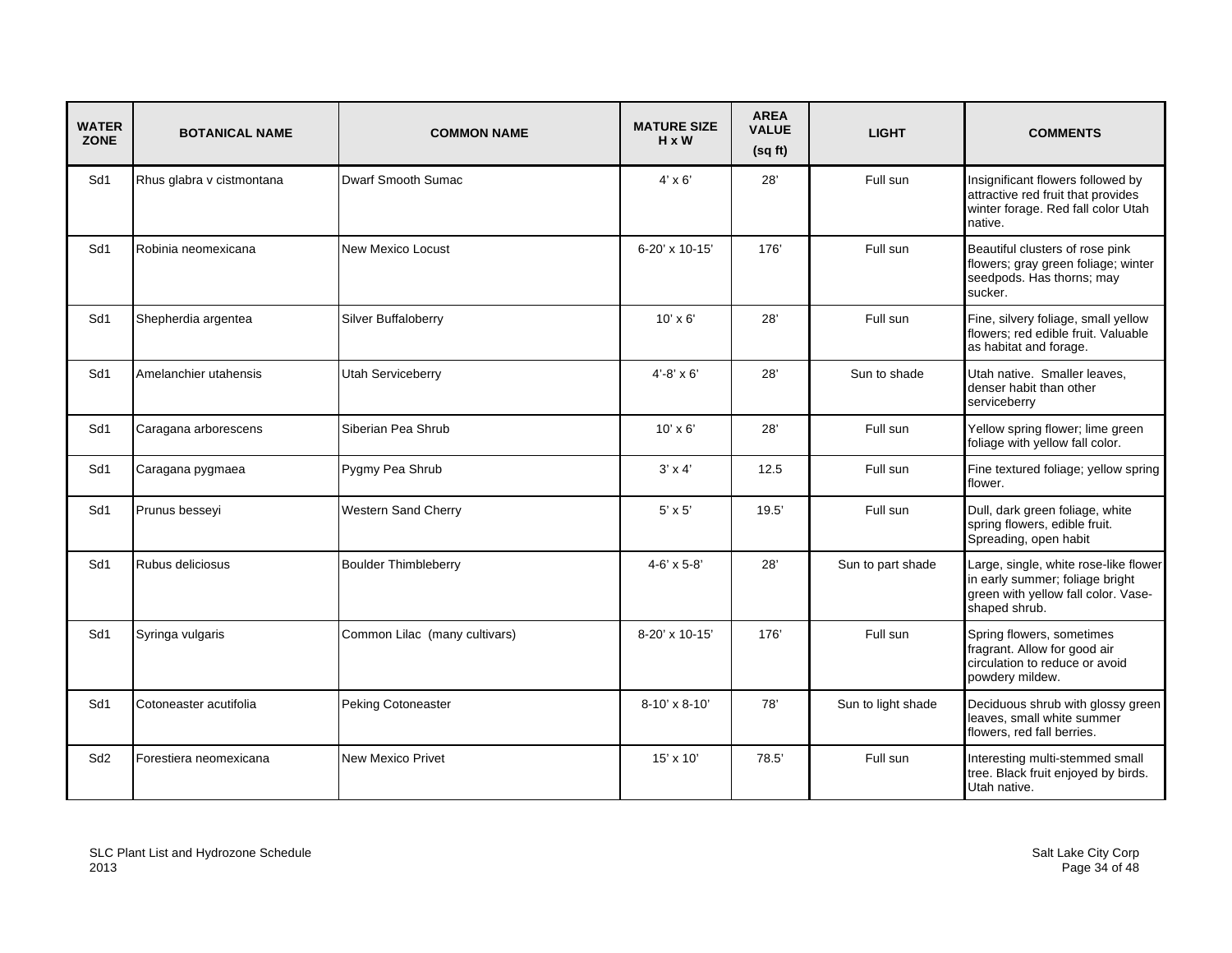| <b>WATER</b><br><b>ZONE</b> | <b>BOTANICAL NAME</b>     | <b>COMMON NAME</b>            | <b>MATURE SIZE</b><br>$H \times W$ | <b>AREA</b><br><b>VALUE</b><br>(sqft) | <b>LIGHT</b>       | <b>COMMENTS</b>                                                                                                                  |
|-----------------------------|---------------------------|-------------------------------|------------------------------------|---------------------------------------|--------------------|----------------------------------------------------------------------------------------------------------------------------------|
| Sd1                         | Rhus glabra v cistmontana | Dwarf Smooth Sumac            | $4' \times 6'$                     | 28'                                   | Full sun           | Insignificant flowers followed by<br>attractive red fruit that provides<br>winter forage. Red fall color Utah<br>native.         |
| Sd1                         | Robinia neomexicana       | New Mexico Locust             | 6-20' x 10-15'                     | 176'                                  | Full sun           | Beautiful clusters of rose pink<br>flowers; gray green foliage; winter<br>seedpods. Has thorns; may<br>sucker.                   |
| Sd1                         | Shepherdia argentea       | Silver Buffaloberry           | $10' \times 6'$                    | 28'                                   | Full sun           | Fine, silvery foliage, small yellow<br>flowers; red edible fruit. Valuable<br>as habitat and forage.                             |
| Sd1                         | Amelanchier utahensis     | <b>Utah Serviceberry</b>      | $4' - 8' \times 6'$                | 28'                                   | Sun to shade       | Utah native. Smaller leaves,<br>denser habit than other<br>serviceberry                                                          |
| Sd1                         | Caragana arborescens      | Siberian Pea Shrub            | $10' \times 6'$                    | 28'                                   | Full sun           | Yellow spring flower; lime green<br>foliage with yellow fall color.                                                              |
| Sd1                         | Caragana pygmaea          | Pygmy Pea Shrub               | $3' \times 4'$                     | 12.5                                  | Full sun           | Fine textured foliage; yellow spring<br>flower.                                                                                  |
| Sd1                         | Prunus besseyi            | Western Sand Cherry           | $5' \times 5'$                     | 19.5'                                 | Full sun           | Dull, dark green foliage, white<br>spring flowers, edible fruit.<br>Spreading, open habit                                        |
| Sd1                         | Rubus deliciosus          | <b>Boulder Thimbleberry</b>   | $4 - 6' \times 5 - 8'$             | 28'                                   | Sun to part shade  | Large, single, white rose-like flower<br>in early summer; foliage bright<br>green with yellow fall color. Vase-<br>shaped shrub. |
| Sd1                         | Syringa vulgaris          | Common Lilac (many cultivars) | 8-20' x 10-15'                     | 176                                   | Full sun           | Spring flowers, sometimes<br>fragrant. Allow for good air<br>circulation to reduce or avoid<br>powdery mildew.                   |
| Sd1                         | Cotoneaster acutifolia    | <b>Peking Cotoneaster</b>     | $8-10' \times 8-10'$               | 78'                                   | Sun to light shade | Deciduous shrub with glossy green<br>leaves, small white summer<br>flowers, red fall berries.                                    |
| Sd <sub>2</sub>             | Forestiera neomexicana    | <b>New Mexico Privet</b>      | $15' \times 10'$                   | 78.5                                  | Full sun           | Interesting multi-stemmed small<br>tree. Black fruit enjoyed by birds.<br>Utah native.                                           |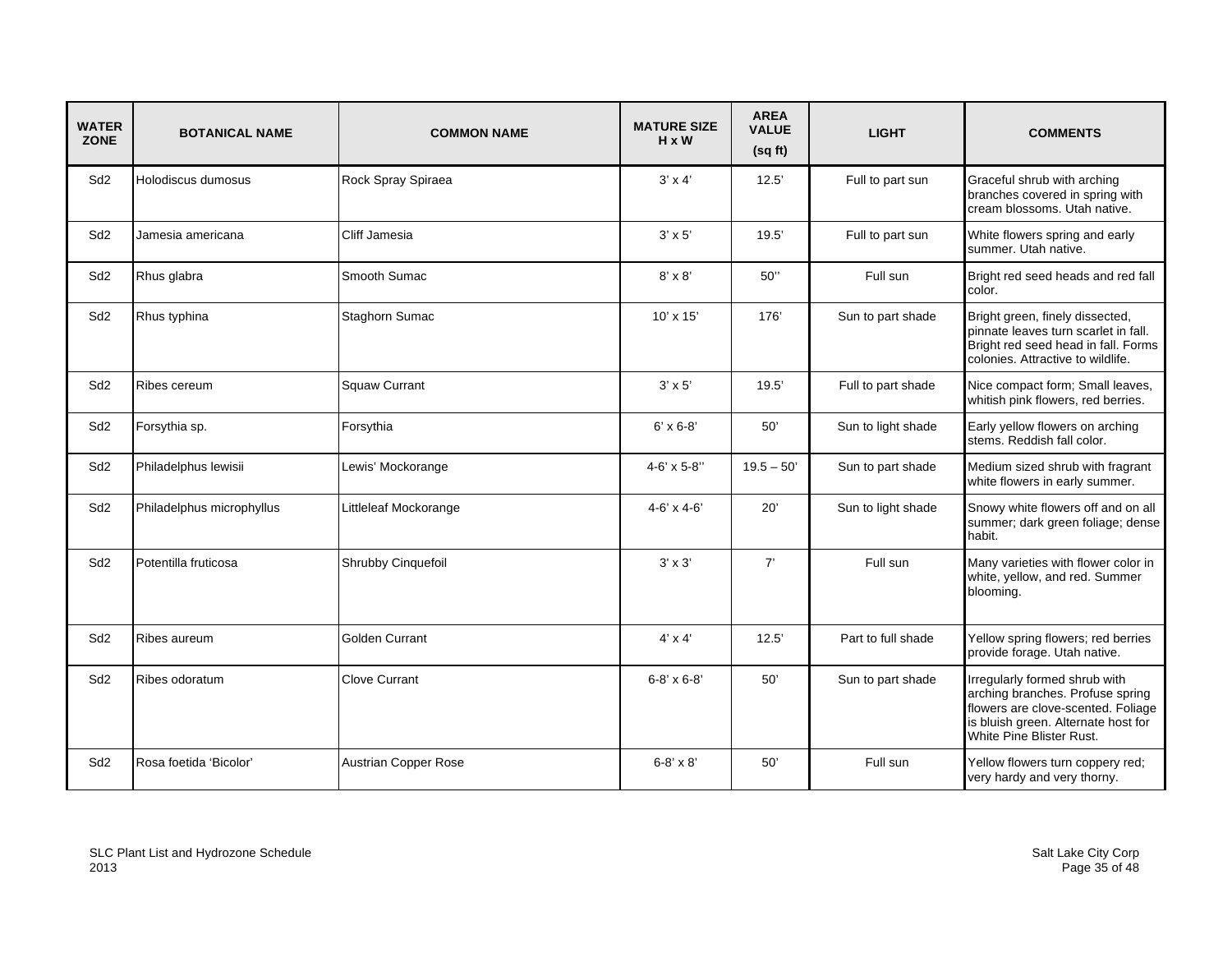| <b>WATER</b><br><b>ZONE</b> | <b>BOTANICAL NAME</b>     | <b>COMMON NAME</b>          | <b>MATURE SIZE</b><br>$H \times W$ | <b>AREA</b><br><b>VALUE</b><br>(sq ft) | <b>LIGHT</b>       | <b>COMMENTS</b>                                                                                                                                                            |
|-----------------------------|---------------------------|-----------------------------|------------------------------------|----------------------------------------|--------------------|----------------------------------------------------------------------------------------------------------------------------------------------------------------------------|
| Sd <sub>2</sub>             | Holodiscus dumosus        | Rock Spray Spiraea          | $3' \times 4'$                     | 12.5'                                  | Full to part sun   | Graceful shrub with arching<br>branches covered in spring with<br>cream blossoms. Utah native.                                                                             |
| Sd <sub>2</sub>             | Jamesia americana         | Cliff Jamesia               | $3' \times 5'$                     | 19.5'                                  | Full to part sun   | White flowers spring and early<br>summer. Utah native.                                                                                                                     |
| Sd <sub>2</sub>             | Rhus glabra               | Smooth Sumac                | $8' \times 8'$                     | 50"                                    | Full sun           | Bright red seed heads and red fall<br>color.                                                                                                                               |
| Sd <sub>2</sub>             | Rhus typhina              | Staghorn Sumac              | $10' \times 15'$                   | 176'                                   | Sun to part shade  | Bright green, finely dissected,<br>pinnate leaves turn scarlet in fall.<br>Bright red seed head in fall. Forms<br>colonies. Attractive to wildlife.                        |
| Sd <sub>2</sub>             | Ribes cereum              | <b>Squaw Currant</b>        | $3' \times 5'$                     | 19.5'                                  | Full to part shade | Nice compact form; Small leaves,<br>whitish pink flowers, red berries.                                                                                                     |
| Sd <sub>2</sub>             | Forsythia sp.             | Forsythia                   | $6' \times 6 - 8'$                 | 50'                                    | Sun to light shade | Early yellow flowers on arching<br>stems. Reddish fall color.                                                                                                              |
| Sd <sub>2</sub>             | Philadelphus lewisii      | Lewis' Mockorange           | $4 - 6' \times 5 - 8"$             | $19.5 - 50'$                           | Sun to part shade  | Medium sized shrub with fragrant<br>white flowers in early summer.                                                                                                         |
| Sd <sub>2</sub>             | Philadelphus microphyllus | Littleleaf Mockorange       | $4 - 6' \times 4 - 6'$             | 20'                                    | Sun to light shade | Snowy white flowers off and on all<br>summer; dark green foliage; dense<br>habit.                                                                                          |
| Sd <sub>2</sub>             | Potentilla fruticosa      | Shrubby Cinquefoil          | $3' \times 3'$                     | 7'                                     | Full sun           | Many varieties with flower color in<br>white, yellow, and red. Summer<br>blooming.                                                                                         |
| Sd <sub>2</sub>             | Ribes aureum              | <b>Golden Currant</b>       | $4' \times 4'$                     | 12.5'                                  | Part to full shade | Yellow spring flowers; red berries<br>provide forage. Utah native.                                                                                                         |
| Sd <sub>2</sub>             | Ribes odoratum            | <b>Clove Currant</b>        | $6 - 8' \times 6 - 8'$             | 50'                                    | Sun to part shade  | Irregularly formed shrub with<br>arching branches. Profuse spring<br>flowers are clove-scented. Foliage<br>is bluish green. Alternate host for<br>White Pine Blister Rust. |
| Sd <sub>2</sub>             | Rosa foetida 'Bicolor'    | <b>Austrian Copper Rose</b> | $6 - 8' \times 8'$                 | 50'                                    | Full sun           | Yellow flowers turn coppery red;<br>very hardy and very thorny.                                                                                                            |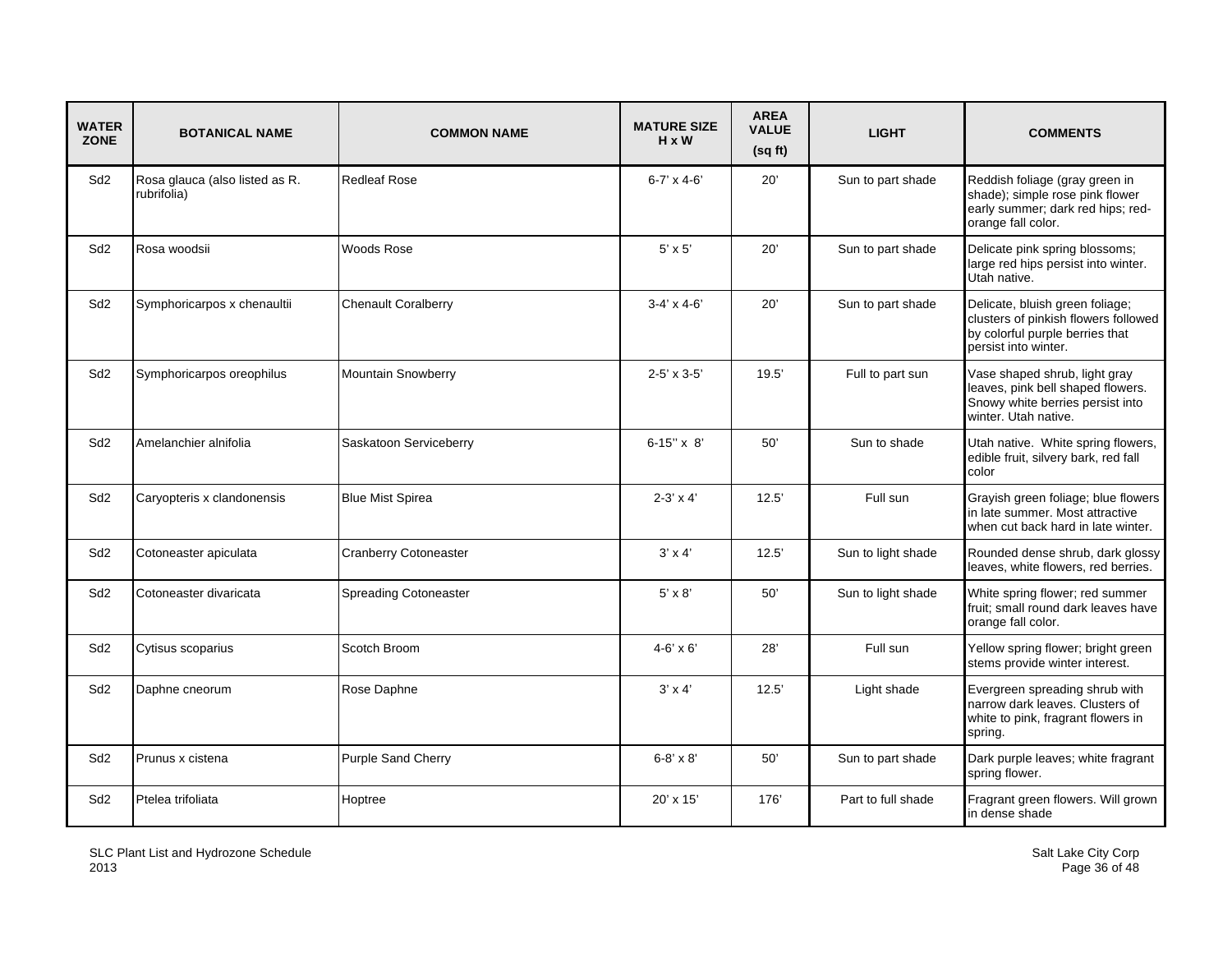| <b>WATER</b><br><b>ZONE</b> | <b>BOTANICAL NAME</b>                         | <b>COMMON NAME</b>           | <b>MATURE SIZE</b><br>$H \times W$ | <b>AREA</b><br><b>VALUE</b><br>(sq ft) | <b>LIGHT</b>       | <b>COMMENTS</b>                                                                                                                    |
|-----------------------------|-----------------------------------------------|------------------------------|------------------------------------|----------------------------------------|--------------------|------------------------------------------------------------------------------------------------------------------------------------|
| Sd <sub>2</sub>             | Rosa glauca (also listed as R.<br>rubrifolia) | <b>Redleaf Rose</b>          | $6 - 7' \times 4 - 6'$             | 20'                                    | Sun to part shade  | Reddish foliage (gray green in<br>shade); simple rose pink flower<br>early summer; dark red hips; red-<br>orange fall color.       |
| Sd <sub>2</sub>             | Rosa woodsii                                  | Woods Rose                   | $5' \times 5'$                     | 20'                                    | Sun to part shade  | Delicate pink spring blossoms;<br>large red hips persist into winter.<br>Utah native.                                              |
| Sd <sub>2</sub>             | Symphoricarpos x chenaultii                   | <b>Chenault Coralberry</b>   | $3-4' \times 4-6'$                 | 20'                                    | Sun to part shade  | Delicate, bluish green foliage;<br>clusters of pinkish flowers followed<br>by colorful purple berries that<br>persist into winter. |
| Sd <sub>2</sub>             | Symphoricarpos oreophilus                     | <b>Mountain Snowberry</b>    | $2 - 5' \times 3 - 5'$             | 19.5'                                  | Full to part sun   | Vase shaped shrub, light gray<br>leaves, pink bell shaped flowers.<br>Snowy white berries persist into<br>winter. Utah native.     |
| Sd <sub>2</sub>             | Amelanchier alnifolia                         | Saskatoon Serviceberry       | $6 - 15" \times 8'$                | 50'                                    | Sun to shade       | Utah native. White spring flowers,<br>edible fruit, silvery bark, red fall<br>color                                                |
| Sd <sub>2</sub>             | Caryopteris x clandonensis                    | <b>Blue Mist Spirea</b>      | $2-3' \times 4'$                   | 12.5'                                  | Full sun           | Grayish green foliage; blue flowers<br>in late summer. Most attractive<br>when cut back hard in late winter.                       |
| Sd <sub>2</sub>             | Cotoneaster apiculata                         | <b>Cranberry Cotoneaster</b> | $3' \times 4'$                     | 12.5'                                  | Sun to light shade | Rounded dense shrub, dark glossy<br>leaves, white flowers, red berries.                                                            |
| Sd <sub>2</sub>             | Cotoneaster divaricata                        | <b>Spreading Cotoneaster</b> | $5' \times 8'$                     | 50'                                    | Sun to light shade | White spring flower; red summer<br>fruit; small round dark leaves have<br>orange fall color.                                       |
| Sd2                         | Cytisus scoparius                             | Scotch Broom                 | $4 - 6' \times 6'$                 | 28'                                    | Full sun           | Yellow spring flower; bright green<br>stems provide winter interest.                                                               |
| Sd <sub>2</sub>             | Daphne cneorum                                | Rose Daphne                  | $3' \times 4'$                     | 12.5'                                  | Light shade        | Evergreen spreading shrub with<br>narrow dark leaves. Clusters of<br>white to pink, fragrant flowers in<br>spring.                 |
| Sd <sub>2</sub>             | Prunus x cistena                              | <b>Purple Sand Cherry</b>    | $6 - 8' \times 8'$                 | 50'                                    | Sun to part shade  | Dark purple leaves; white fragrant<br>spring flower.                                                                               |
| Sd <sub>2</sub>             | Ptelea trifoliata                             | Hoptree                      | $20' \times 15'$                   | 176                                    | Part to full shade | Fragrant green flowers. Will grown<br>in dense shade                                                                               |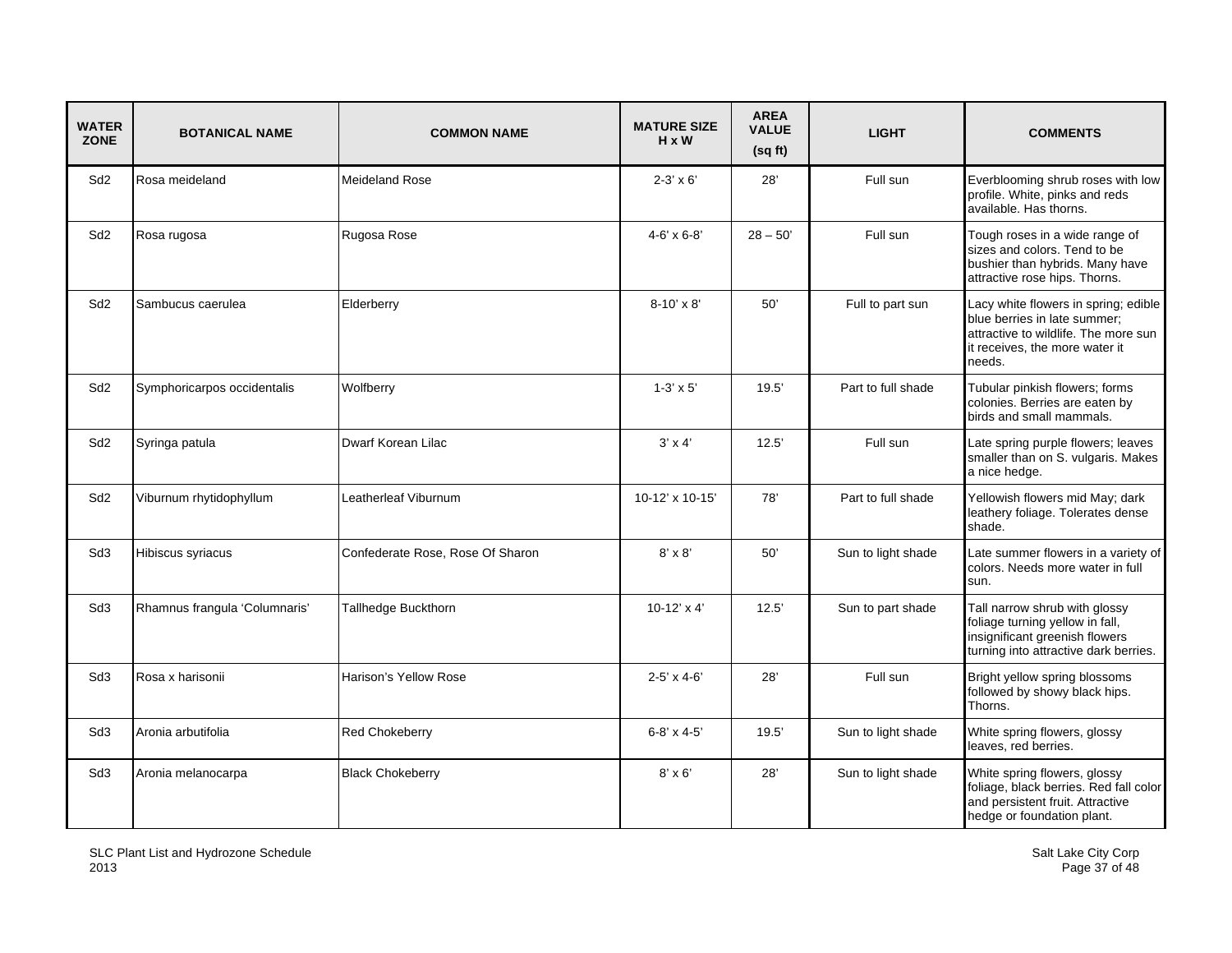| <b>WATER</b><br><b>ZONE</b> | <b>BOTANICAL NAME</b>         | <b>COMMON NAME</b>               | <b>MATURE SIZE</b><br>$H \times W$ | <b>AREA</b><br><b>VALUE</b><br>(sqft) | <b>LIGHT</b>       | <b>COMMENTS</b>                                                                                                                                          |
|-----------------------------|-------------------------------|----------------------------------|------------------------------------|---------------------------------------|--------------------|----------------------------------------------------------------------------------------------------------------------------------------------------------|
| Sd <sub>2</sub>             | Rosa meideland                | <b>Meideland Rose</b>            | $2 - 3' \times 6'$                 | 28'                                   | Full sun           | Everblooming shrub roses with low<br>profile. White, pinks and reds<br>available. Has thorns.                                                            |
| Sd <sub>2</sub>             | Rosa rugosa                   | Rugosa Rose                      | $4 - 6' \times 6 - 8'$             | $28 - 50'$                            | Full sun           | Tough roses in a wide range of<br>sizes and colors. Tend to be<br>bushier than hybrids. Many have<br>attractive rose hips. Thorns.                       |
| Sd <sub>2</sub>             | Sambucus caerulea             | Elderberry                       | 8-10' x 8'                         | 50'                                   | Full to part sun   | Lacy white flowers in spring; edible<br>blue berries in late summer;<br>attractive to wildlife. The more sun<br>it receives, the more water it<br>needs. |
| Sd <sub>2</sub>             | Symphoricarpos occidentalis   | Wolfberry                        | $1-3' \times 5'$                   | 19.5'                                 | Part to full shade | Tubular pinkish flowers; forms<br>colonies. Berries are eaten by<br>birds and small mammals.                                                             |
| Sd <sub>2</sub>             | Syringa patula                | Dwarf Korean Lilac               | $3' \times 4'$                     | 12.5'                                 | Full sun           | Late spring purple flowers; leaves<br>smaller than on S. vulgaris. Makes<br>a nice hedge.                                                                |
| Sd <sub>2</sub>             | Viburnum rhytidophyllum       | Leatherleaf Viburnum             | 10-12' x 10-15'                    | 78'                                   | Part to full shade | Yellowish flowers mid May; dark<br>leathery foliage. Tolerates dense<br>shade.                                                                           |
| Sd <sub>3</sub>             | Hibiscus syriacus             | Confederate Rose, Rose Of Sharon | $8' \times 8'$                     | 50'                                   | Sun to light shade | Late summer flowers in a variety of<br>colors. Needs more water in full<br>sun.                                                                          |
| Sd <sub>3</sub>             | Rhamnus frangula 'Columnaris' | Tallhedge Buckthorn              | $10-12' \times 4'$                 | 12.5'                                 | Sun to part shade  | Tall narrow shrub with glossy<br>foliage turning yellow in fall,<br>insignificant greenish flowers<br>turning into attractive dark berries.              |
| Sd <sub>3</sub>             | Rosa x harisonii              | Harison's Yellow Rose            | $2 - 5' \times 4 - 6'$             | 28'                                   | Full sun           | Bright yellow spring blossoms<br>followed by showy black hips.<br>Thorns.                                                                                |
| Sd3                         | Aronia arbutifolia            | Red Chokeberry                   | $6 - 8' \times 4 - 5'$             | 19.5'                                 | Sun to light shade | White spring flowers, glossy<br>leaves, red berries.                                                                                                     |
| Sd3                         | Aronia melanocarpa            | <b>Black Chokeberry</b>          | $8' \times 6'$                     | 28'                                   | Sun to light shade | White spring flowers, glossy<br>foliage, black berries. Red fall color<br>and persistent fruit. Attractive<br>hedge or foundation plant.                 |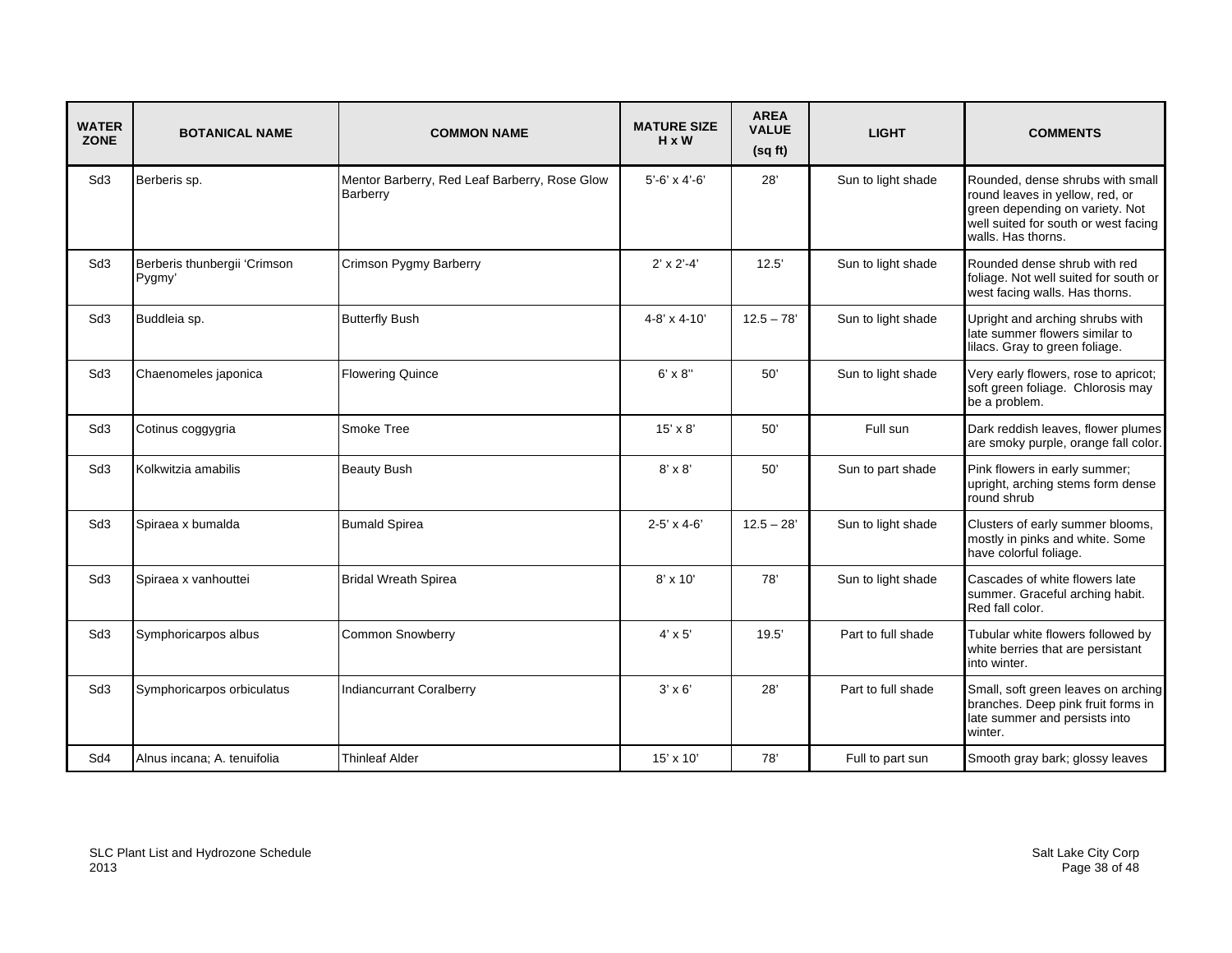| <b>WATER</b><br><b>ZONE</b> | <b>BOTANICAL NAME</b>                  | <b>COMMON NAME</b>                                        | <b>MATURE SIZE</b><br>$H \times W$ | <b>AREA</b><br><b>VALUE</b><br>(sqft) | <b>LIGHT</b>       | <b>COMMENTS</b>                                                                                                                                                      |
|-----------------------------|----------------------------------------|-----------------------------------------------------------|------------------------------------|---------------------------------------|--------------------|----------------------------------------------------------------------------------------------------------------------------------------------------------------------|
| Sd <sub>3</sub>             | Berberis sp.                           | Mentor Barberry, Red Leaf Barberry, Rose Glow<br>Barberry | $5'-6' \times 4'-6'$               | 28'                                   | Sun to light shade | Rounded, dense shrubs with small<br>round leaves in yellow, red, or<br>green depending on variety. Not<br>well suited for south or west facing<br>walls. Has thorns. |
| Sd <sub>3</sub>             | Berberis thunbergii 'Crimson<br>Pygmy' | Crimson Pygmy Barberry                                    | $2' \times 2' - 4'$                | 12.5'                                 | Sun to light shade | Rounded dense shrub with red<br>foliage. Not well suited for south or<br>west facing walls. Has thorns.                                                              |
| Sd <sub>3</sub>             | Buddleia sp.                           | <b>Butterfly Bush</b>                                     | $4 - 8' \times 4 - 10'$            | $12.5 - 78'$                          | Sun to light shade | Upright and arching shrubs with<br>late summer flowers similar to<br>lilacs. Gray to green foliage.                                                                  |
| Sd3                         | Chaenomeles japonica                   | <b>Flowering Quince</b>                                   | $6' \times 8"$                     | 50'                                   | Sun to light shade | Very early flowers, rose to apricot;<br>soft green foliage. Chlorosis may<br>be a problem.                                                                           |
| Sd <sub>3</sub>             | Cotinus coggygria                      | Smoke Tree                                                | $15' \times 8'$                    | 50'                                   | Full sun           | Dark reddish leaves, flower plumes<br>are smoky purple, orange fall color.                                                                                           |
| Sd <sub>3</sub>             | Kolkwitzia amabilis                    | <b>Beauty Bush</b>                                        | $8' \times 8'$                     | 50'                                   | Sun to part shade  | Pink flowers in early summer;<br>upright, arching stems form dense<br>round shrub                                                                                    |
| Sd <sub>3</sub>             | Spiraea x bumalda                      | <b>Bumald Spirea</b>                                      | $2 - 5' \times 4 - 6'$             | $12.5 - 28'$                          | Sun to light shade | Clusters of early summer blooms,<br>mostly in pinks and white. Some<br>have colorful foliage.                                                                        |
| Sd3                         | Spiraea x vanhouttei                   | <b>Bridal Wreath Spirea</b>                               | $8' \times 10'$                    | 78'                                   | Sun to light shade | Cascades of white flowers late<br>summer. Graceful arching habit.<br>Red fall color.                                                                                 |
| Sd <sub>3</sub>             | Symphoricarpos albus                   | <b>Common Snowberry</b>                                   | $4' \times 5'$                     | 19.5'                                 | Part to full shade | Tubular white flowers followed by<br>white berries that are persistant<br>into winter.                                                                               |
| Sd <sub>3</sub>             | Symphoricarpos orbiculatus             | <b>Indiancurrant Coralberry</b>                           | $3' \times 6'$                     | 28'                                   | Part to full shade | Small, soft green leaves on arching<br>branches. Deep pink fruit forms in<br>late summer and persists into<br>winter.                                                |
| Sd4                         | Alnus incana; A. tenuifolia            | <b>Thinleaf Alder</b>                                     | $15' \times 10'$                   | 78'                                   | Full to part sun   | Smooth gray bark; glossy leaves                                                                                                                                      |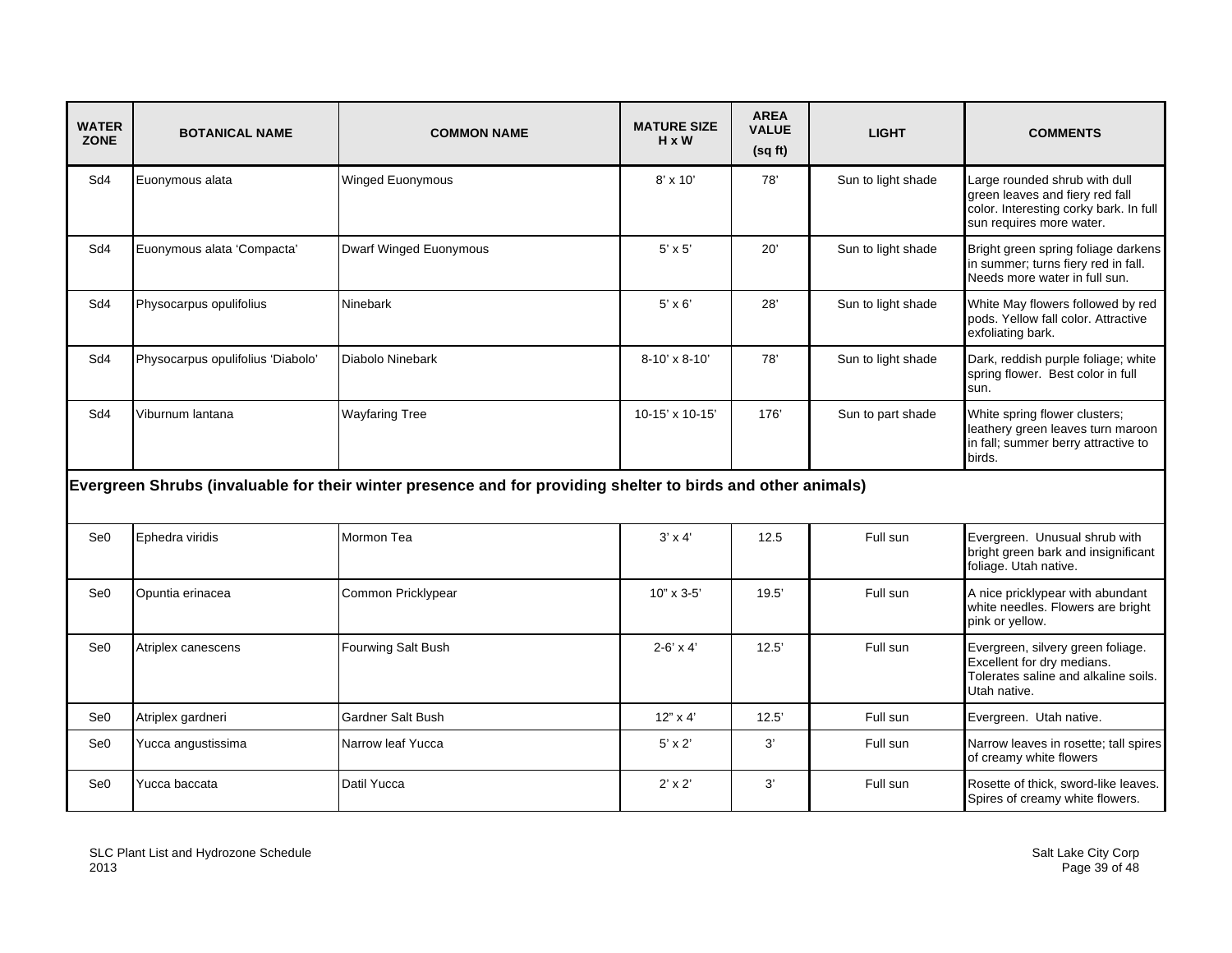| <b>WATER</b><br><b>ZONE</b> | <b>BOTANICAL NAME</b>             | <b>COMMON NAME</b>                                                                                           | <b>MATURE SIZE</b><br>H x W | <b>AREA</b><br><b>VALUE</b><br>(sqft) | <b>LIGHT</b>       | <b>COMMENTS</b>                                                                                                                        |
|-----------------------------|-----------------------------------|--------------------------------------------------------------------------------------------------------------|-----------------------------|---------------------------------------|--------------------|----------------------------------------------------------------------------------------------------------------------------------------|
| Sd4                         | Euonymous alata                   | Winged Euonymous                                                                                             | 8' x 10'                    | 78'                                   | Sun to light shade | Large rounded shrub with dull<br>green leaves and fiery red fall<br>color. Interesting corky bark. In full<br>sun requires more water. |
| Sd4                         | Euonymous alata 'Compacta'        | <b>Dwarf Winged Euonymous</b>                                                                                | $5' \times 5'$              | 20'                                   | Sun to light shade | Bright green spring foliage darkens<br>in summer; turns fiery red in fall.<br>Needs more water in full sun.                            |
| Sd4                         | Physocarpus opulifolius           | Ninebark                                                                                                     | $5' \times 6'$              | 28'                                   | Sun to light shade | White May flowers followed by red<br>pods. Yellow fall color. Attractive<br>exfoliating bark.                                          |
| Sd4                         | Physocarpus opulifolius 'Diabolo' | Diabolo Ninebark                                                                                             | 8-10' x 8-10'               | 78'                                   | Sun to light shade | Dark, reddish purple foliage; white<br>spring flower. Best color in full<br>sun.                                                       |
| Sd4                         | Viburnum lantana                  | <b>Wayfaring Tree</b>                                                                                        | 10-15' x 10-15'             | 176'                                  | Sun to part shade  | White spring flower clusters;<br>leathery green leaves turn maroon<br>in fall; summer berry attractive to<br>birds.                    |
|                             |                                   | Evergreen Shrubs (invaluable for their winter presence and for providing shelter to birds and other animals) |                             |                                       |                    |                                                                                                                                        |
| Se <sub>0</sub>             | Ephedra viridis                   | Mormon Tea                                                                                                   | $3' \times 4'$              | 12.5                                  | Full sun           | Evergreen. Unusual shrub with<br>bright green bark and insignificant<br>foliage. Utah native.                                          |
| Se <sub>0</sub>             | Opuntia erinacea                  | Common Pricklypear                                                                                           | $10" \times 3 - 5'$         | 19.5'                                 | Full sun           | A nice pricklypear with abundant<br>white needles. Flowers are bright<br>pink or yellow.                                               |
| Se <sub>0</sub>             | Atriplex canescens                | Fourwing Salt Bush                                                                                           | $2-6' \times 4'$            | 12.5'                                 | Full sun           | Evergreen, silvery green foliage.<br>Excellent for dry medians.<br>Tolerates saline and alkaline soils.<br>Utah native.                |
| Se <sub>0</sub>             | Atriplex gardneri                 | <b>Gardner Salt Bush</b>                                                                                     | $12" \times 4'$             | 12.5'                                 | Full sun           | Evergreen. Utah native.                                                                                                                |
| Se <sub>0</sub>             | Yucca angustissima                | Narrow leaf Yucca                                                                                            | $5' \times 2'$              | 3'                                    | Full sun           | Narrow leaves in rosette; tall spires<br>of creamy white flowers                                                                       |
| Se <sub>0</sub>             | Yucca baccata                     | Datil Yucca                                                                                                  | $2' \times 2'$              | 3'                                    | Full sun           | Rosette of thick, sword-like leaves.<br>Spires of creamy white flowers.                                                                |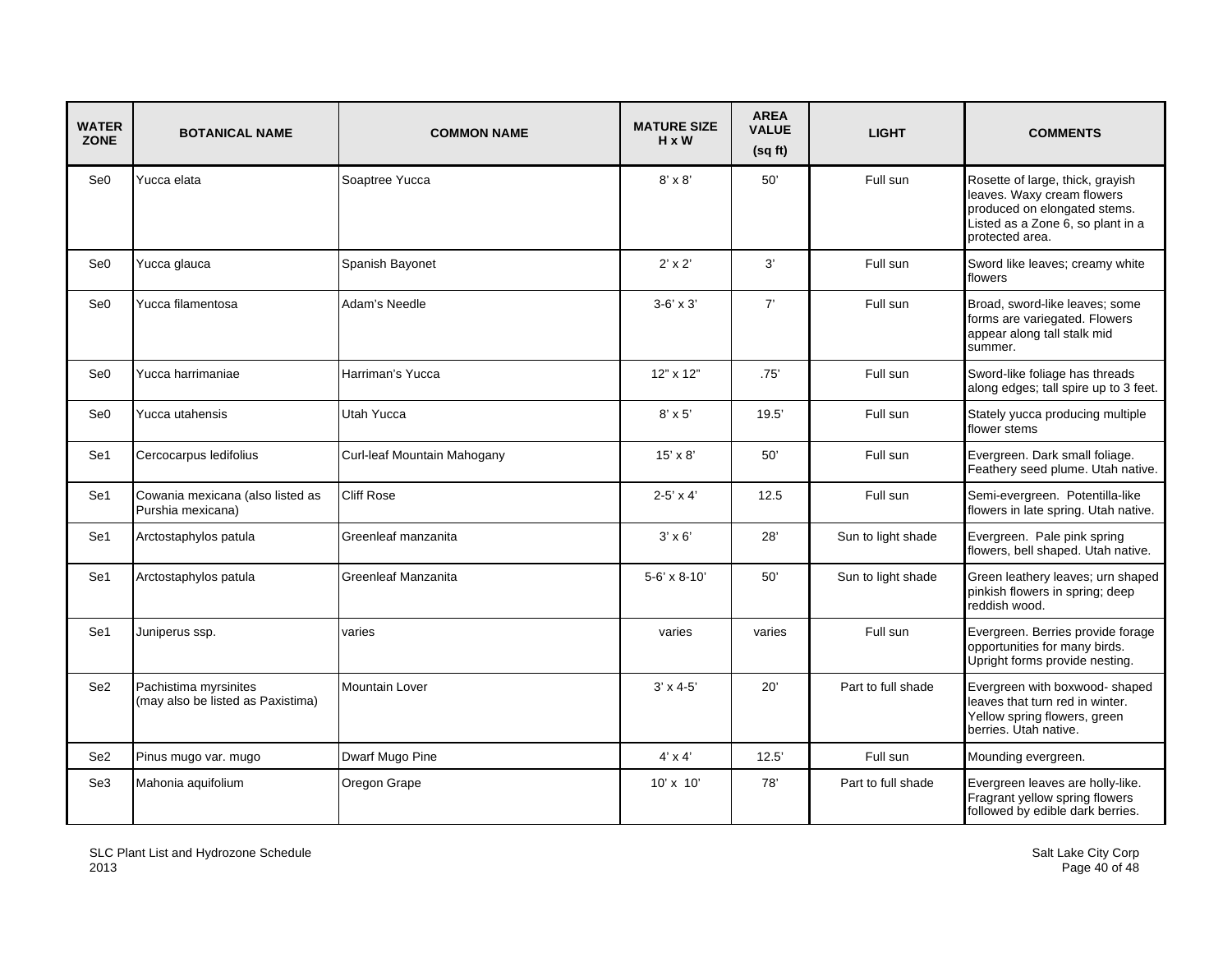| <b>WATER</b><br><b>ZONE</b> | <b>BOTANICAL NAME</b>                                      | <b>COMMON NAME</b>          | <b>MATURE SIZE</b><br>$H \times W$ | <b>AREA</b><br><b>VALUE</b><br>(sq ft) | <b>LIGHT</b>       | <b>COMMENTS</b>                                                                                                                                        |
|-----------------------------|------------------------------------------------------------|-----------------------------|------------------------------------|----------------------------------------|--------------------|--------------------------------------------------------------------------------------------------------------------------------------------------------|
| Se <sub>0</sub>             | Yucca elata                                                | Soaptree Yucca              | $8' \times 8'$                     | 50'                                    | Full sun           | Rosette of large, thick, grayish<br>leaves. Waxy cream flowers<br>produced on elongated stems.<br>Listed as a Zone 6, so plant in a<br>protected area. |
| Se <sub>0</sub>             | Yucca glauca                                               | Spanish Bayonet             | $2' \times 2'$                     | 3'                                     | Full sun           | Sword like leaves; creamy white<br>flowers                                                                                                             |
| Se <sub>0</sub>             | Yucca filamentosa                                          | Adam's Needle               | $3-6' \times 3'$                   | 7'                                     | Full sun           | Broad, sword-like leaves; some<br>forms are variegated. Flowers<br>appear along tall stalk mid<br>summer.                                              |
| Se <sub>0</sub>             | Yucca harrimaniae                                          | Harriman's Yucca            | 12" x 12"                          | .75'                                   | Full sun           | Sword-like foliage has threads<br>along edges; tall spire up to 3 feet.                                                                                |
| Se <sub>0</sub>             | Yucca utahensis                                            | Utah Yucca                  | $8' \times 5'$                     | 19.5'                                  | Full sun           | Stately yucca producing multiple<br>flower stems                                                                                                       |
| Se1                         | Cercocarpus ledifolius                                     | Curl-leaf Mountain Mahogany | $15' \times 8'$                    | 50'                                    | Full sun           | Evergreen. Dark small foliage.<br>Feathery seed plume. Utah native.                                                                                    |
| Se1                         | Cowania mexicana (also listed as<br>Purshia mexicana)      | <b>Cliff Rose</b>           | $2-5' \times 4'$                   | 12.5                                   | Full sun           | Semi-evergreen. Potentilla-like<br>flowers in late spring. Utah native.                                                                                |
| Se1                         | Arctostaphylos patula                                      | Greenleaf manzanita         | $3' \times 6'$                     | 28'                                    | Sun to light shade | Evergreen. Pale pink spring<br>flowers, bell shaped. Utah native.                                                                                      |
| Se1                         | Arctostaphylos patula                                      | Greenleaf Manzanita         | 5-6' x 8-10'                       | 50'                                    | Sun to light shade | Green leathery leaves; urn shaped<br>pinkish flowers in spring; deep<br>reddish wood.                                                                  |
| Se1                         | Juniperus ssp.                                             | varies                      | varies                             | varies                                 | Full sun           | Evergreen. Berries provide forage<br>opportunities for many birds.<br>Upright forms provide nesting.                                                   |
| Se <sub>2</sub>             | Pachistima myrsinites<br>(may also be listed as Paxistima) | <b>Mountain Lover</b>       | $3' \times 4 - 5'$                 | 20'                                    | Part to full shade | Evergreen with boxwood- shaped<br>leaves that turn red in winter.<br>Yellow spring flowers, green<br>berries. Utah native.                             |
| Se <sub>2</sub>             | Pinus mugo var. mugo                                       | Dwarf Mugo Pine             | $4' \times 4'$                     | 12.5'                                  | Full sun           | Mounding evergreen.                                                                                                                                    |
| Se3                         | Mahonia aquifolium                                         | Oregon Grape                | $10' \times 10'$                   | 78'                                    | Part to full shade | Evergreen leaves are holly-like.<br>Fragrant yellow spring flowers<br>followed by edible dark berries.                                                 |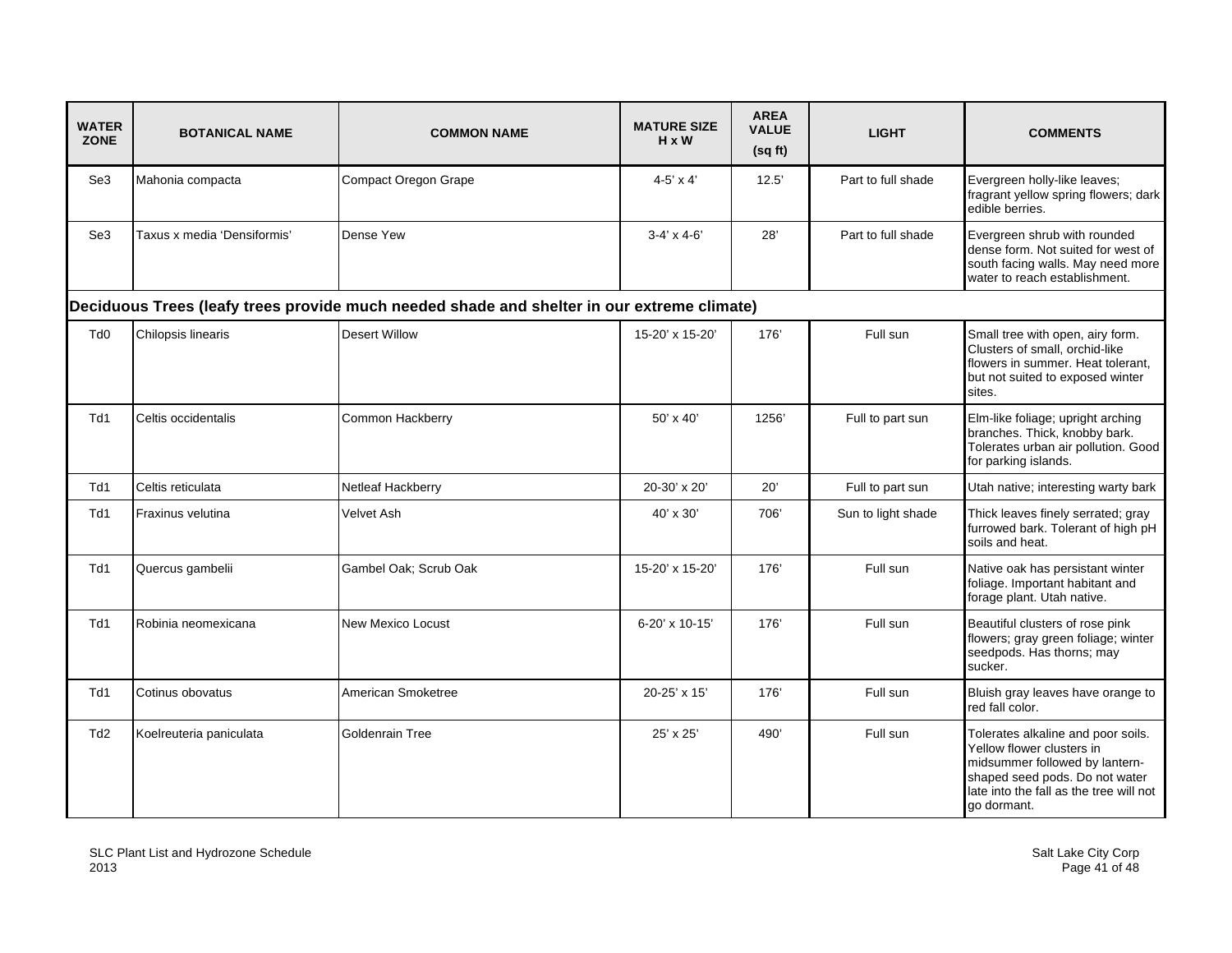| <b>WATER</b><br><b>ZONE</b> | <b>BOTANICAL NAME</b>       | <b>COMMON NAME</b>                                                                         | <b>MATURE SIZE</b><br>$H \times W$ | <b>AREA</b><br><b>VALUE</b><br>(sqft) | <b>LIGHT</b>       | <b>COMMENTS</b>                                                                                                                                                                               |
|-----------------------------|-----------------------------|--------------------------------------------------------------------------------------------|------------------------------------|---------------------------------------|--------------------|-----------------------------------------------------------------------------------------------------------------------------------------------------------------------------------------------|
| Se3                         | Mahonia compacta            | <b>Compact Oregon Grape</b>                                                                | $4-5' \times 4'$                   | 12.5'                                 | Part to full shade | Evergreen holly-like leaves;<br>fragrant yellow spring flowers; dark<br>edible berries.                                                                                                       |
| Se3                         | Taxus x media 'Densiformis' | Dense Yew                                                                                  | $3-4' \times 4-6'$                 | 28'                                   | Part to full shade | Evergreen shrub with rounded<br>dense form. Not suited for west of<br>south facing walls. May need more<br>water to reach establishment.                                                      |
|                             |                             | Deciduous Trees (leafy trees provide much needed shade and shelter in our extreme climate) |                                    |                                       |                    |                                                                                                                                                                                               |
| Td <sub>0</sub>             | Chilopsis linearis          | <b>Desert Willow</b>                                                                       | 15-20' x 15-20'                    | 176'                                  | Full sun           | Small tree with open, airy form.<br>Clusters of small, orchid-like<br>flowers in summer. Heat tolerant,<br>but not suited to exposed winter<br>sites.                                         |
| Td1                         | Celtis occidentalis         | Common Hackberry                                                                           | $50' \times 40'$                   | 1256'                                 | Full to part sun   | Elm-like foliage; upright arching<br>branches. Thick, knobby bark.<br>Tolerates urban air pollution. Good<br>for parking islands.                                                             |
| Td1                         | Celtis reticulata           | Netleaf Hackberry                                                                          | 20-30' x 20'                       | $20^{\circ}$                          | Full to part sun   | Utah native; interesting warty bark                                                                                                                                                           |
| Td1                         | Fraxinus velutina           | Velvet Ash                                                                                 | $40' \times 30'$                   | 706'                                  | Sun to light shade | Thick leaves finely serrated; gray<br>furrowed bark. Tolerant of high pH<br>soils and heat.                                                                                                   |
| Td1                         | Quercus gambelii            | Gambel Oak; Scrub Oak                                                                      | 15-20' x 15-20'                    | 176'                                  | Full sun           | Native oak has persistant winter<br>foliage. Important habitant and<br>forage plant. Utah native.                                                                                             |
| Td1                         | Robinia neomexicana         | <b>New Mexico Locust</b>                                                                   | 6-20' x 10-15'                     | 176'                                  | Full sun           | Beautiful clusters of rose pink<br>flowers; gray green foliage; winter<br>seedpods. Has thorns; may<br>sucker.                                                                                |
| Td1                         | Cotinus obovatus            | American Smoketree                                                                         | 20-25' x 15'                       | 176'                                  | Full sun           | Bluish gray leaves have orange to<br>red fall color.                                                                                                                                          |
| Td <sub>2</sub>             | Koelreuteria paniculata     | Goldenrain Tree                                                                            | 25' x 25'                          | 490'                                  | Full sun           | Tolerates alkaline and poor soils.<br>Yellow flower clusters in<br>midsummer followed by lantern-<br>shaped seed pods. Do not water<br>late into the fall as the tree will not<br>go dormant. |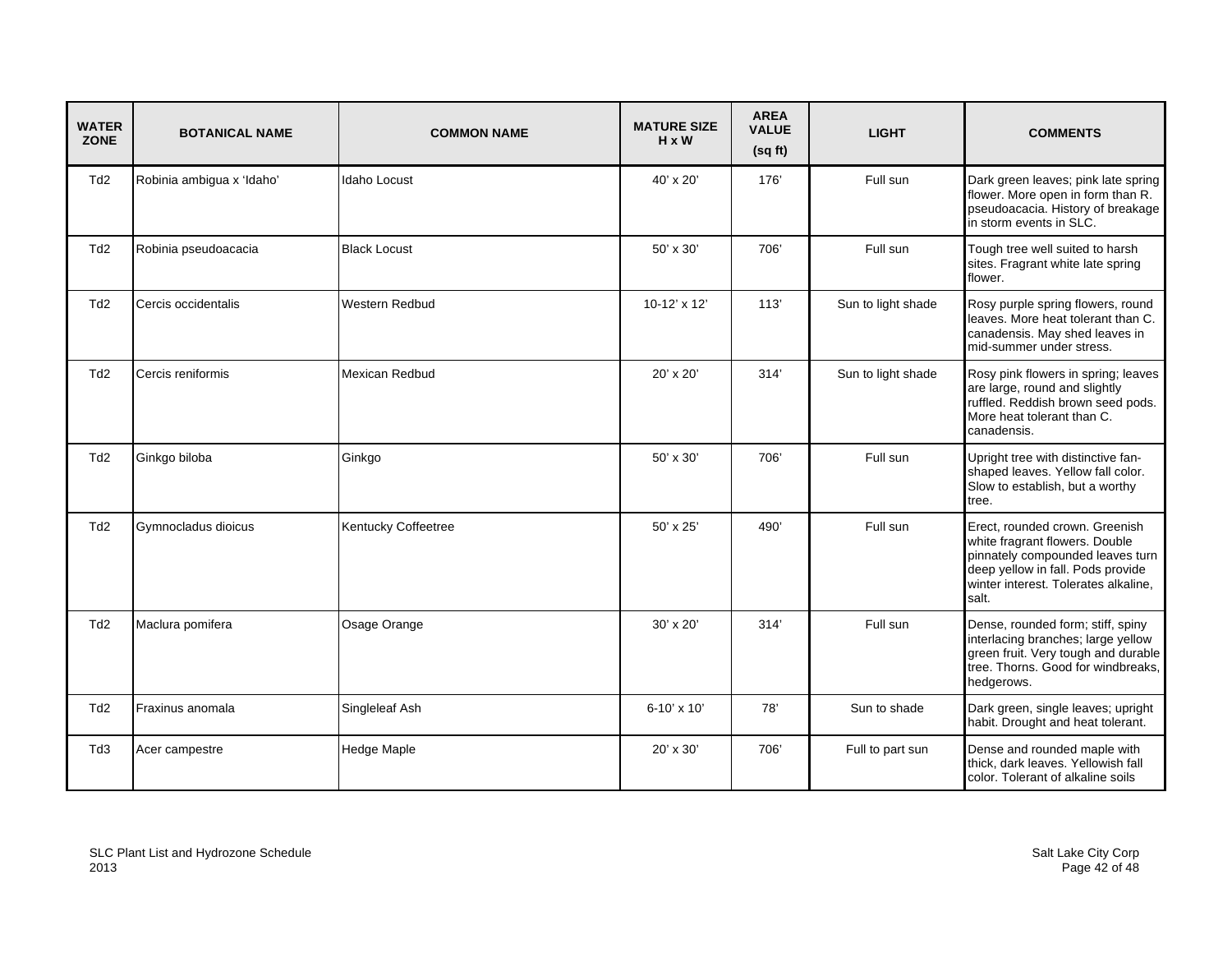| <b>WATER</b><br><b>ZONE</b> | <b>BOTANICAL NAME</b>     | <b>COMMON NAME</b>    | <b>MATURE SIZE</b><br>$H \times W$ | <b>AREA</b><br><b>VALUE</b><br>(sqft) | <b>LIGHT</b>       | <b>COMMENTS</b>                                                                                                                                                                            |
|-----------------------------|---------------------------|-----------------------|------------------------------------|---------------------------------------|--------------------|--------------------------------------------------------------------------------------------------------------------------------------------------------------------------------------------|
| Td <sub>2</sub>             | Robinia ambigua x 'Idaho' | <b>Idaho Locust</b>   | 40' x 20'                          | 176'                                  | Full sun           | Dark green leaves; pink late spring<br>flower. More open in form than R.<br>pseudoacacia. History of breakage<br>in storm events in SLC.                                                   |
| Td <sub>2</sub>             | Robinia pseudoacacia      | <b>Black Locust</b>   | 50' x 30'                          | 706'                                  | Full sun           | Tough tree well suited to harsh<br>sites. Fragrant white late spring<br>flower.                                                                                                            |
| Td2                         | Cercis occidentalis       | <b>Western Redbud</b> | 10-12' x 12'                       | 113'                                  | Sun to light shade | Rosy purple spring flowers, round<br>leaves. More heat tolerant than C.<br>canadensis. May shed leaves in<br>mid-summer under stress.                                                      |
| Td <sub>2</sub>             | Cercis reniformis         | Mexican Redbud        | 20' x 20'                          | 314'                                  | Sun to light shade | Rosy pink flowers in spring; leaves<br>are large, round and slightly<br>ruffled. Reddish brown seed pods.<br>More heat tolerant than C.<br>canadensis.                                     |
| Td <sub>2</sub>             | Ginkgo biloba             | Ginkgo                | 50' x 30'                          | 706'                                  | Full sun           | Upright tree with distinctive fan-<br>shaped leaves. Yellow fall color.<br>Slow to establish, but a worthy<br>tree.                                                                        |
| Td <sub>2</sub>             | Gymnocladus dioicus       | Kentucky Coffeetree   | 50' x 25'                          | 490'                                  | Full sun           | Erect, rounded crown. Greenish<br>white fragrant flowers. Double<br>pinnately compounded leaves turn<br>deep yellow in fall. Pods provide<br>winter interest. Tolerates alkaline,<br>salt. |
| Td <sub>2</sub>             | Maclura pomifera          | Osage Orange          | $30' \times 20'$                   | 314'                                  | Full sun           | Dense, rounded form; stiff, spiny<br>interlacing branches; large yellow<br>green fruit. Very tough and durable<br>tree. Thorns. Good for windbreaks,<br>hedgerows.                         |
| Td <sub>2</sub>             | Fraxinus anomala          | Singleleaf Ash        | $6 - 10' \times 10'$               | 78'                                   | Sun to shade       | Dark green, single leaves; upright<br>habit. Drought and heat tolerant.                                                                                                                    |
| Td3                         | Acer campestre            | Hedge Maple           | 20' x 30'                          | 706'                                  | Full to part sun   | Dense and rounded maple with<br>thick, dark leaves. Yellowish fall<br>color. Tolerant of alkaline soils                                                                                    |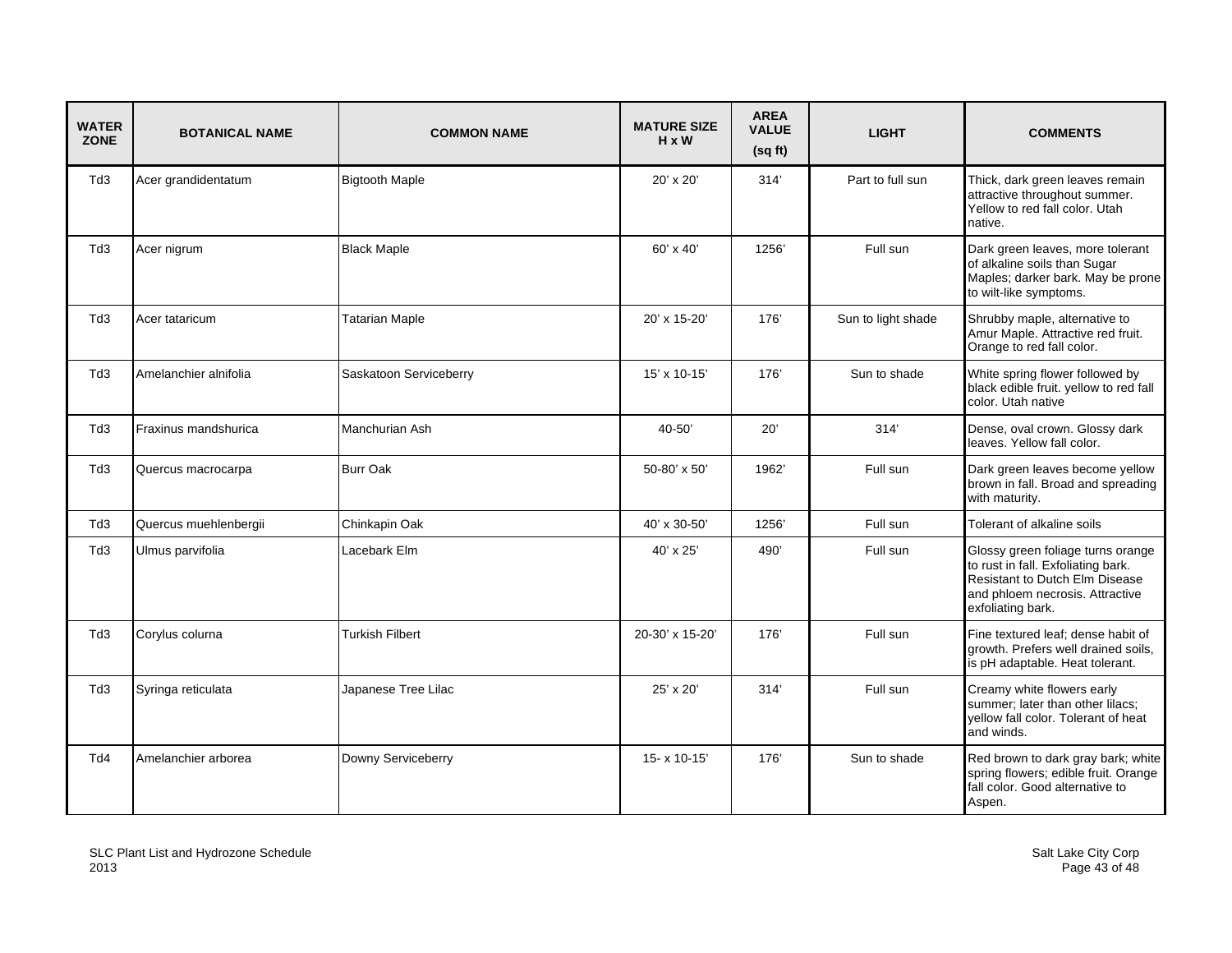| <b>WATER</b><br><b>ZONE</b> | <b>BOTANICAL NAME</b> | <b>COMMON NAME</b>     | <b>MATURE SIZE</b><br>$H \times W$ | <b>AREA</b><br><b>VALUE</b><br>(sqft) | <b>LIGHT</b>       | <b>COMMENTS</b>                                                                                                                                                   |
|-----------------------------|-----------------------|------------------------|------------------------------------|---------------------------------------|--------------------|-------------------------------------------------------------------------------------------------------------------------------------------------------------------|
| Td3                         | Acer grandidentatum   | <b>Bigtooth Maple</b>  | 20' x 20'                          | 314'                                  | Part to full sun   | Thick, dark green leaves remain<br>attractive throughout summer.<br>Yellow to red fall color. Utah<br>native.                                                     |
| Td3                         | Acer nigrum           | <b>Black Maple</b>     | $60' \times 40'$                   | 1256'                                 | Full sun           | Dark green leaves, more tolerant<br>of alkaline soils than Sugar<br>Maples; darker bark. May be prone<br>to wilt-like symptoms.                                   |
| Td3                         | Acer tataricum        | <b>Tatarian Maple</b>  | 20' x 15-20'                       | 176'                                  | Sun to light shade | Shrubby maple, alternative to<br>Amur Maple. Attractive red fruit.<br>Orange to red fall color.                                                                   |
| Td3                         | Amelanchier alnifolia | Saskatoon Serviceberry | 15' x 10-15'                       | 176'                                  | Sun to shade       | White spring flower followed by<br>black edible fruit. yellow to red fall<br>color. Utah native                                                                   |
| Td3                         | Fraxinus mandshurica  | Manchurian Ash         | 40-50'                             | 20'                                   | 314'               | Dense, oval crown. Glossy dark<br>leaves. Yellow fall color.                                                                                                      |
| Td3                         | Quercus macrocarpa    | <b>Burr Oak</b>        | 50-80' x 50'                       | 1962'                                 | Full sun           | Dark green leaves become yellow<br>brown in fall. Broad and spreading<br>with maturity.                                                                           |
| Td <sub>3</sub>             | Quercus muehlenbergii | Chinkapin Oak          | 40' x 30-50'                       | 1256                                  | Full sun           | Tolerant of alkaline soils                                                                                                                                        |
| Td3                         | Ulmus parvifolia      | Lacebark Elm           | 40' x 25'                          | 490'                                  | Full sun           | Glossy green foliage turns orange<br>to rust in fall. Exfoliating bark.<br>Resistant to Dutch Elm Disease<br>and phloem necrosis. Attractive<br>exfoliating bark. |
| Td3                         | Corylus colurna       | <b>Turkish Filbert</b> | 20-30' x 15-20'                    | 176'                                  | Full sun           | Fine textured leaf; dense habit of<br>growth. Prefers well drained soils,<br>is pH adaptable. Heat tolerant.                                                      |
| Td <sub>3</sub>             | Syringa reticulata    | Japanese Tree Lilac    | $25' \times 20'$                   | 314'                                  | Full sun           | Creamy white flowers early<br>summer; later than other lilacs;<br>yellow fall color. Tolerant of heat<br>and winds.                                               |
| Td4                         | Amelanchier arborea   | Downy Serviceberry     | 15-x 10-15'                        | 176'                                  | Sun to shade       | Red brown to dark gray bark; white<br>spring flowers; edible fruit. Orange<br>fall color. Good alternative to<br>Aspen.                                           |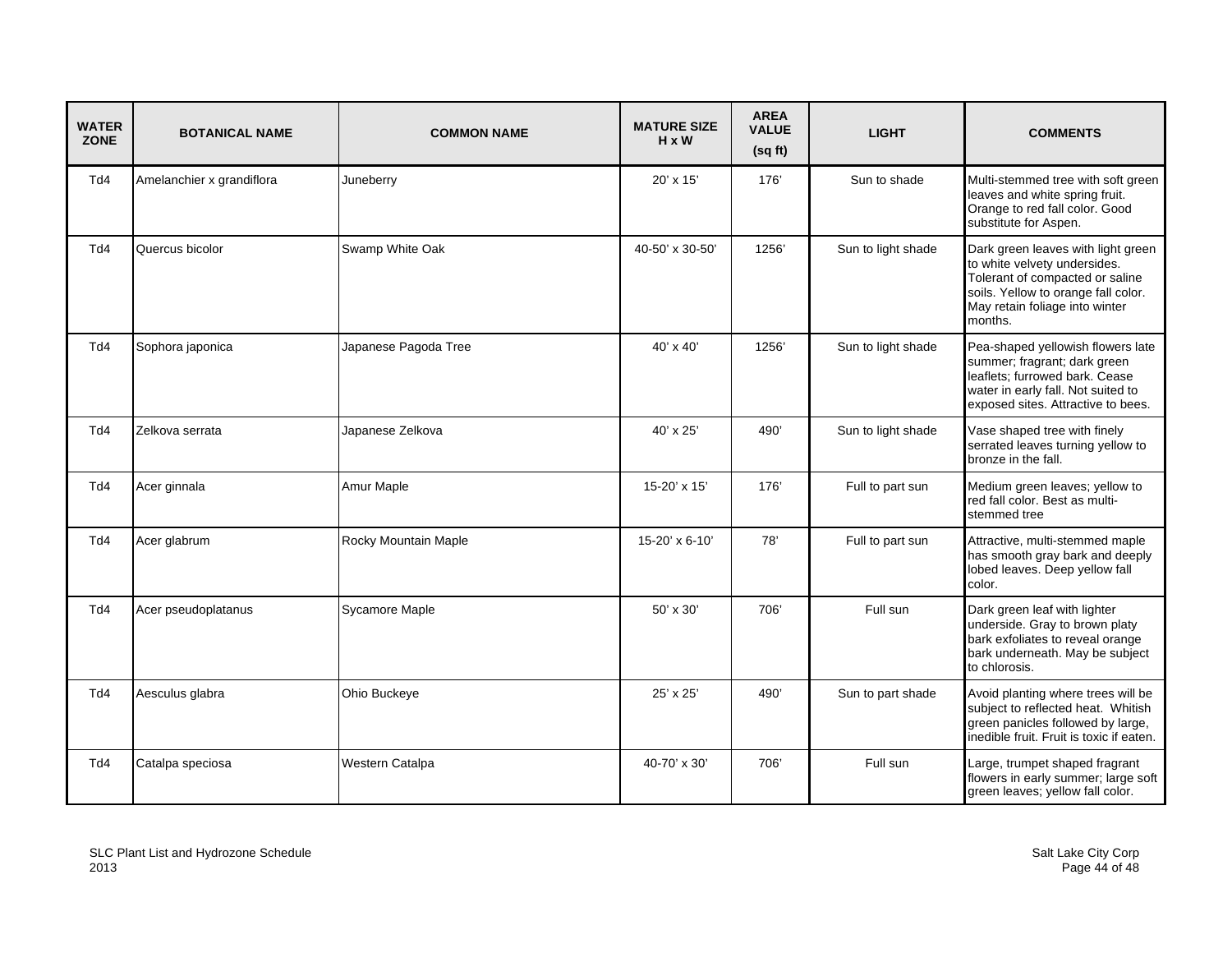| <b>WATER</b><br><b>ZONE</b> | <b>BOTANICAL NAME</b>     | <b>COMMON NAME</b>   | <b>MATURE SIZE</b><br>$H \times W$ | <b>AREA</b><br><b>VALUE</b><br>(sqft) | <b>LIGHT</b>       | <b>COMMENTS</b>                                                                                                                                                                           |
|-----------------------------|---------------------------|----------------------|------------------------------------|---------------------------------------|--------------------|-------------------------------------------------------------------------------------------------------------------------------------------------------------------------------------------|
| Td4                         | Amelanchier x grandiflora | Juneberry            | 20' x 15'                          | 176                                   | Sun to shade       | Multi-stemmed tree with soft green<br>leaves and white spring fruit.<br>Orange to red fall color. Good<br>substitute for Aspen.                                                           |
| Td4                         | Quercus bicolor           | Swamp White Oak      | 40-50' x 30-50'                    | 1256'                                 | Sun to light shade | Dark green leaves with light green<br>to white velvety undersides.<br>Tolerant of compacted or saline<br>soils. Yellow to orange fall color.<br>May retain foliage into winter<br>months. |
| Td4                         | Sophora japonica          | Japanese Pagoda Tree | $40' \times 40'$                   | 1256                                  | Sun to light shade | Pea-shaped yellowish flowers late<br>summer; fragrant; dark green<br>leaflets; furrowed bark. Cease<br>water in early fall. Not suited to<br>exposed sites. Attractive to bees.           |
| Td4                         | Zelkova serrata           | Japanese Zelkova     | 40' x 25'                          | 490'                                  | Sun to light shade | Vase shaped tree with finely<br>serrated leaves turning yellow to<br>bronze in the fall.                                                                                                  |
| Td4                         | Acer ginnala              | Amur Maple           | 15-20' x 15'                       | 176                                   | Full to part sun   | Medium green leaves; yellow to<br>red fall color. Best as multi-<br>stemmed tree                                                                                                          |
| Td4                         | Acer glabrum              | Rocky Mountain Maple | 15-20' x 6-10'                     | 78'                                   | Full to part sun   | Attractive, multi-stemmed maple<br>has smooth gray bark and deeply<br>lobed leaves. Deep yellow fall<br>color.                                                                            |
| Td4                         | Acer pseudoplatanus       | Sycamore Maple       | 50' x 30'                          | 706'                                  | Full sun           | Dark green leaf with lighter<br>underside. Gray to brown platy<br>bark exfoliates to reveal orange<br>bark underneath. May be subject<br>to chlorosis.                                    |
| Td4                         | Aesculus glabra           | Ohio Buckeye         | 25' x 25'                          | 490'                                  | Sun to part shade  | Avoid planting where trees will be<br>subject to reflected heat. Whitish<br>green panicles followed by large,<br>inedible fruit. Fruit is toxic if eaten.                                 |
| Td4                         | Catalpa speciosa          | Western Catalpa      | 40-70' x 30'                       | 706'                                  | Full sun           | Large, trumpet shaped fragrant<br>flowers in early summer; large soft<br>green leaves; yellow fall color.                                                                                 |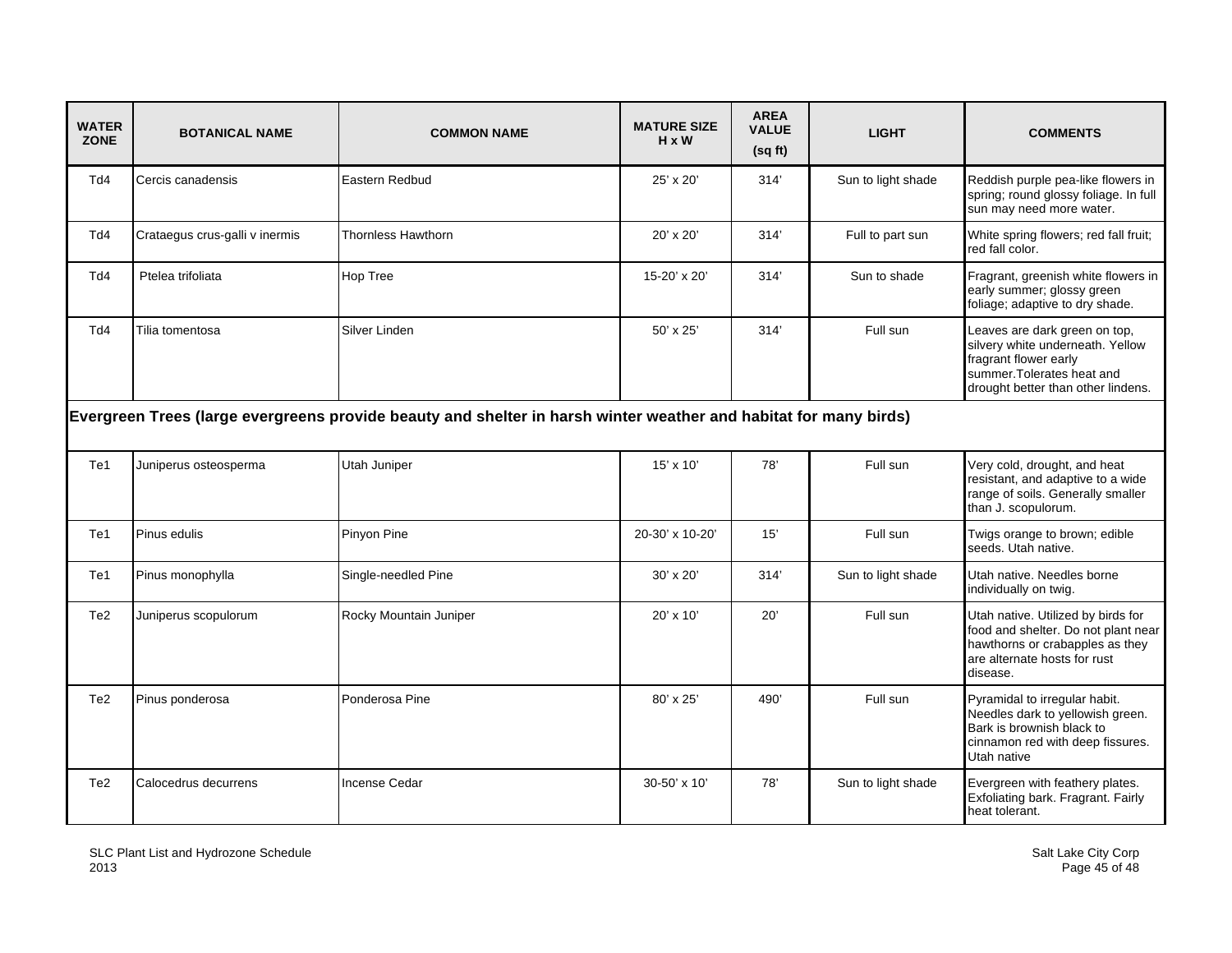| <b>WATER</b><br><b>ZONE</b> | <b>BOTANICAL NAME</b>                                                                                            | <b>COMMON NAME</b>        | <b>MATURE SIZE</b><br>$H \times W$ | <b>AREA</b><br><b>VALUE</b><br>(sqft) | <b>LIGHT</b>       | <b>COMMENTS</b>                                                                                                                                                |  |  |
|-----------------------------|------------------------------------------------------------------------------------------------------------------|---------------------------|------------------------------------|---------------------------------------|--------------------|----------------------------------------------------------------------------------------------------------------------------------------------------------------|--|--|
| Td4                         | Cercis canadensis                                                                                                | Eastern Redbud            | $25' \times 20'$                   | 314'                                  | Sun to light shade | Reddish purple pea-like flowers in<br>spring; round glossy foliage. In full<br>sun may need more water.                                                        |  |  |
| Td4                         | Crataegus crus-galli v inermis                                                                                   | <b>Thornless Hawthorn</b> | $20' \times 20'$                   | 314'                                  | Full to part sun   | White spring flowers; red fall fruit;<br>red fall color.                                                                                                       |  |  |
| Td4                         | Ptelea trifoliata                                                                                                | Hop Tree                  | 15-20' x 20'                       | 314'                                  | Sun to shade       | Fragrant, greenish white flowers in<br>early summer; glossy green<br>foliage; adaptive to dry shade.                                                           |  |  |
| Td4                         | Tilia tomentosa                                                                                                  | Silver Linden             | 50' x 25'                          | 314'                                  | Full sun           | Leaves are dark green on top,<br>silvery white underneath. Yellow<br>fragrant flower early<br>summer. Tolerates heat and<br>drought better than other lindens. |  |  |
|                             | Evergreen Trees (large evergreens provide beauty and shelter in harsh winter weather and habitat for many birds) |                           |                                    |                                       |                    |                                                                                                                                                                |  |  |
| Te1                         | Juniperus osteosperma                                                                                            | Utah Juniper              | $15' \times 10'$                   | 78'                                   | Full sun           | Very cold, drought, and heat<br>resistant, and adaptive to a wide<br>range of soils. Generally smaller<br>than J. scopulorum.                                  |  |  |
| Te1                         | Pinus edulis                                                                                                     | Pinyon Pine               | 20-30' x 10-20'                    | 15'                                   | Full sun           | Twigs orange to brown; edible<br>seeds. Utah native.                                                                                                           |  |  |
| Te1                         | Pinus monophylla                                                                                                 | Single-needled Pine       | $30' \times 20'$                   | 314'                                  | Sun to light shade | Utah native. Needles borne<br>individually on twig.                                                                                                            |  |  |
| Te <sub>2</sub>             | Juniperus scopulorum                                                                                             | Rocky Mountain Juniper    | 20' x 10'                          | 20'                                   | Full sun           | Utah native. Utilized by birds for<br>food and shelter. Do not plant near<br>hawthorns or crabapples as they<br>are alternate hosts for rust<br>disease.       |  |  |
| Te <sub>2</sub>             | Pinus ponderosa                                                                                                  | Ponderosa Pine            | 80' x 25'                          | 490'                                  | Full sun           | Pyramidal to irregular habit.<br>Needles dark to yellowish green.<br>Bark is brownish black to<br>cinnamon red with deep fissures.<br>Utah native              |  |  |
| Te <sub>2</sub>             | Calocedrus decurrens                                                                                             | <b>Incense Cedar</b>      | 30-50' x 10'                       | 78'                                   | Sun to light shade | Evergreen with feathery plates.<br>Exfoliating bark. Fragrant. Fairly<br>heat tolerant.                                                                        |  |  |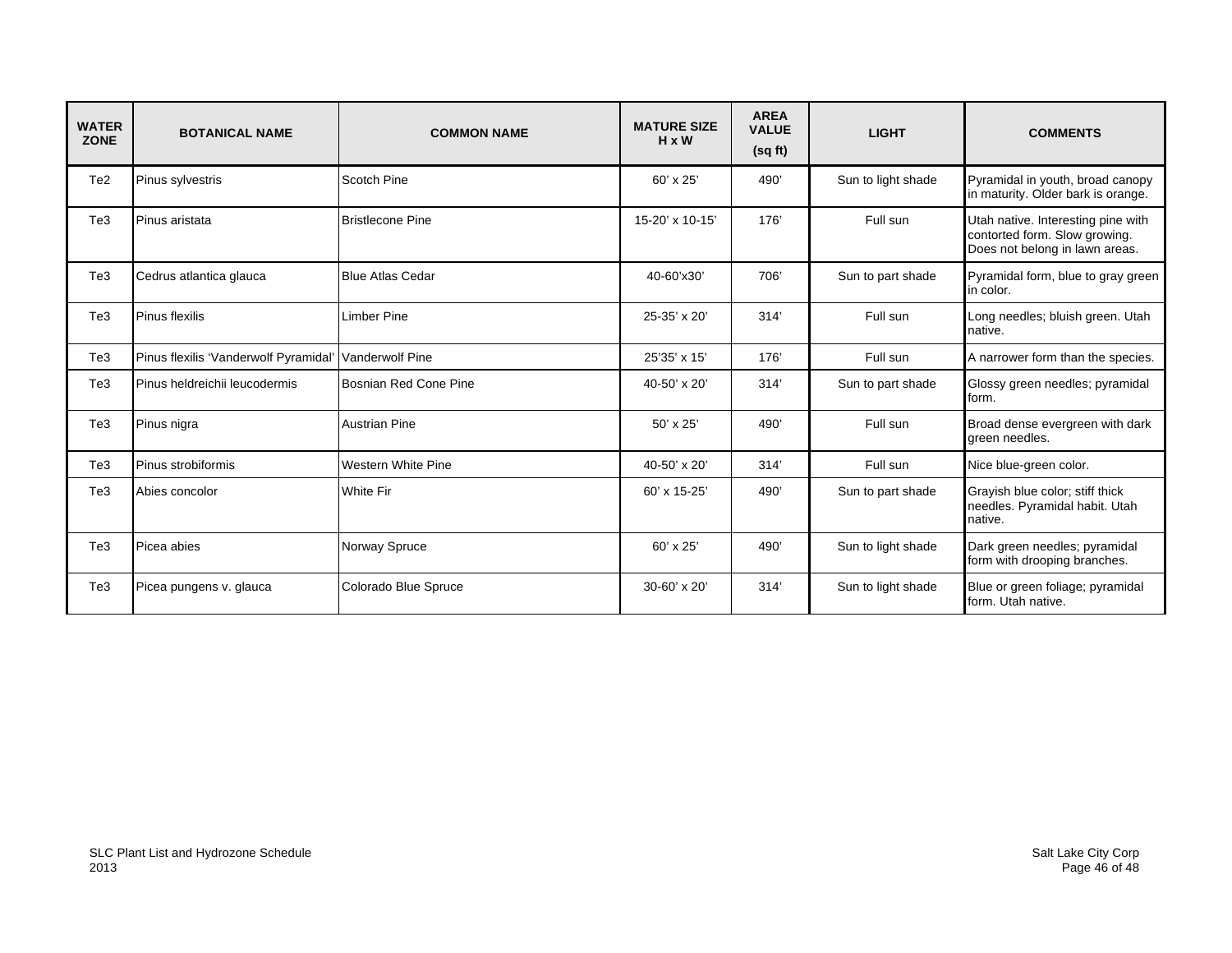| <b>WATER</b><br><b>ZONE</b> | <b>BOTANICAL NAME</b>                 | <b>COMMON NAME</b>           | <b>MATURE SIZE</b><br>H x W | <b>AREA</b><br><b>VALUE</b><br>(sqft) | <b>LIGHT</b>       | <b>COMMENTS</b>                                                                                       |
|-----------------------------|---------------------------------------|------------------------------|-----------------------------|---------------------------------------|--------------------|-------------------------------------------------------------------------------------------------------|
| Te <sub>2</sub>             | Pinus sylvestris                      | Scotch Pine                  | $60' \times 25'$            | 490'                                  | Sun to light shade | Pyramidal in youth, broad canopy<br>in maturity. Older bark is orange.                                |
| Te <sub>3</sub>             | Pinus aristata                        | <b>Bristlecone Pine</b>      | 15-20' x 10-15'             | 176'                                  | Full sun           | Utah native. Interesting pine with<br>contorted form. Slow growing.<br>Does not belong in lawn areas. |
| Te <sub>3</sub>             | Cedrus atlantica glauca               | <b>Blue Atlas Cedar</b>      | 40-60'x30'                  | 706                                   | Sun to part shade  | Pyramidal form, blue to gray green<br>in color.                                                       |
| Te <sub>3</sub>             | Pinus flexilis                        | Limber Pine                  | 25-35' x 20'                | 314'                                  | Full sun           | Long needles; bluish green. Utah<br>native.                                                           |
| Te <sub>3</sub>             | Pinus flexilis 'Vanderwolf Pyramidal' | Vanderwolf Pine              | 25'35' x 15'                | 176                                   | Full sun           | A narrower form than the species.                                                                     |
| Te <sub>3</sub>             | Pinus heldreichii leucodermis         | <b>Bosnian Red Cone Pine</b> | 40-50 $'$ x 20'             | 314'                                  | Sun to part shade  | Glossy green needles; pyramidal<br>form.                                                              |
| Te <sub>3</sub>             | Pinus nigra                           | <b>Austrian Pine</b>         | $50' \times 25'$            | 490                                   | Full sun           | Broad dense evergreen with dark<br>areen needles.                                                     |
| Te <sub>3</sub>             | Pinus strobiformis                    | <b>Western White Pine</b>    | 40-50' x 20'                | 314'                                  | Full sun           | Nice blue-green color.                                                                                |
| Te <sub>3</sub>             | Abies concolor                        | <b>White Fir</b>             | 60' x 15-25'                | 490'                                  | Sun to part shade  | Grayish blue color; stiff thick<br>needles. Pyramidal habit. Utah<br>native.                          |
| Te <sub>3</sub>             | Picea abies                           | Norway Spruce                | $60' \times 25'$            | 490'                                  | Sun to light shade | Dark green needles; pyramidal<br>form with drooping branches.                                         |
| Te <sub>3</sub>             | Picea pungens v. glauca               | Colorado Blue Spruce         | $30 - 60' \times 20'$       | 314'                                  | Sun to light shade | Blue or green foliage; pyramidal<br>form. Utah native.                                                |